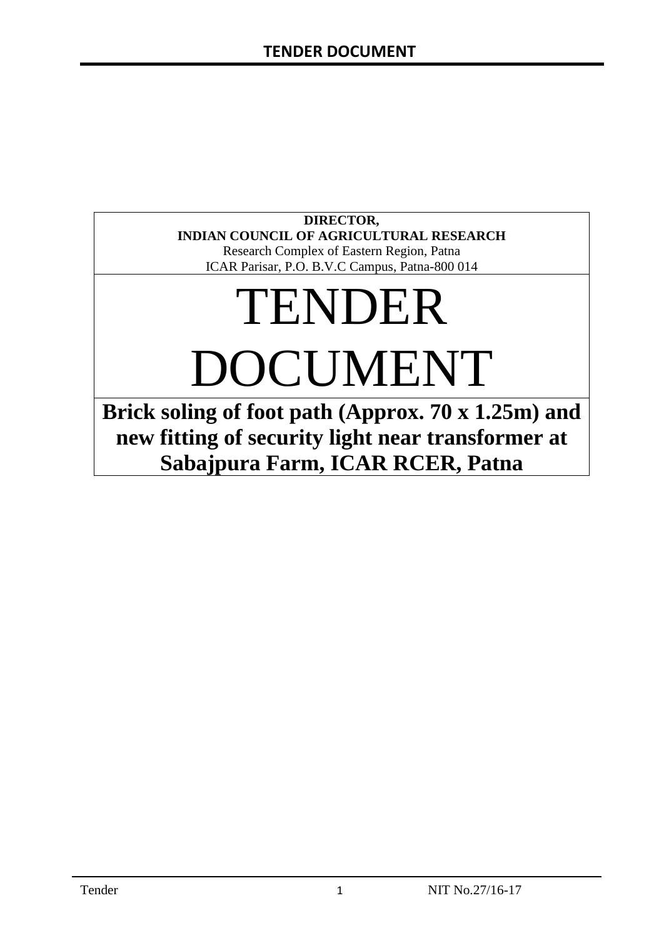# **DIRECTOR, INDIAN COUNCIL OF AGRICULTURAL RESEARCH**

Research Complex of Eastern Region, Patna ICAR Parisar, P.O. B.V.C Campus, Patna-800 014

# TENDER DOCUMENT

**Brick soling of foot path (Approx. 70 x 1.25m) and new fitting of security light near transformer at Sabajpura Farm, ICAR RCER, Patna**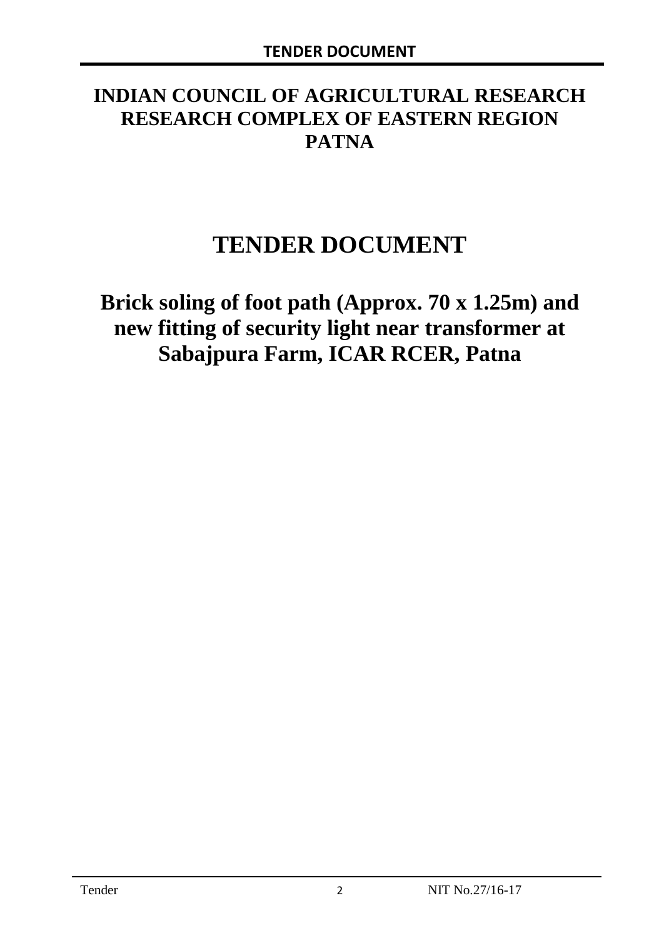# **INDIAN COUNCIL OF AGRICULTURAL RESEARCH RESEARCH COMPLEX OF EASTERN REGION PATNA**

# **TENDER DOCUMENT**

**Brick soling of foot path (Approx. 70 x 1.25m) and new fitting of security light near transformer at Sabajpura Farm, ICAR RCER, Patna**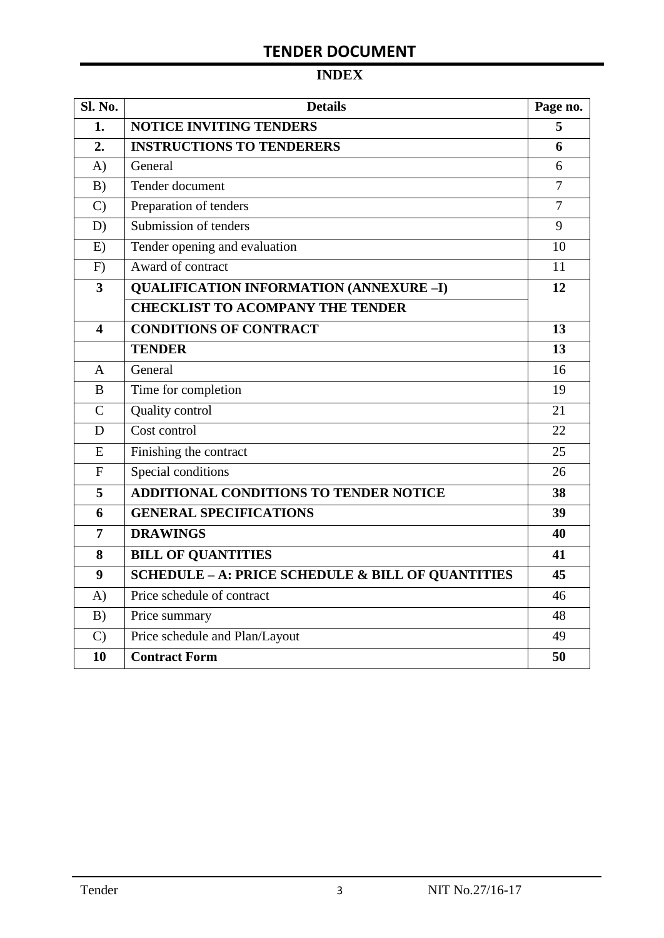# **INDEX**

| <b>Sl. No.</b> | <b>Details</b>                                    |                |
|----------------|---------------------------------------------------|----------------|
| 1.             | <b>NOTICE INVITING TENDERS</b>                    |                |
| 2.             | <b>INSTRUCTIONS TO TENDERERS</b>                  | 6              |
| A)             | General                                           | 6              |
| B)             | Tender document                                   | $\overline{7}$ |
| $\mathcal{C}$  | Preparation of tenders                            | $\overline{7}$ |
| D)             | Submission of tenders                             | 9              |
| E)             | Tender opening and evaluation                     | 10             |
| F)             | Award of contract                                 | 11             |
| 3              | <b>QUALIFICATION INFORMATION (ANNEXURE-I)</b>     | 12             |
|                | <b>CHECKLIST TO ACOMPANY THE TENDER</b>           |                |
| 4              | <b>CONDITIONS OF CONTRACT</b>                     | 13             |
|                | <b>TENDER</b>                                     | 13             |
| A              | General                                           | 16             |
| B              | Time for completion                               | 19             |
| $\overline{C}$ | Quality control                                   | 21             |
| D              | Cost control                                      | 22             |
| E              | Finishing the contract                            | 25             |
| $\overline{F}$ | Special conditions                                | 26             |
| 5              | ADDITIONAL CONDITIONS TO TENDER NOTICE            | 38             |
| 6              | <b>GENERAL SPECIFICATIONS</b>                     | 39             |
| $\overline{7}$ | <b>DRAWINGS</b>                                   | 40             |
| 8              | <b>BILL OF QUANTITIES</b>                         | 41             |
| 9              | SCHEDULE - A: PRICE SCHEDULE & BILL OF QUANTITIES | 45             |
| A)             | Price schedule of contract                        | 46             |
| B)             | Price summary                                     | 48             |
| $\mathcal{C}$  | Price schedule and Plan/Layout                    | 49             |
| 10             | <b>Contract Form</b>                              | 50             |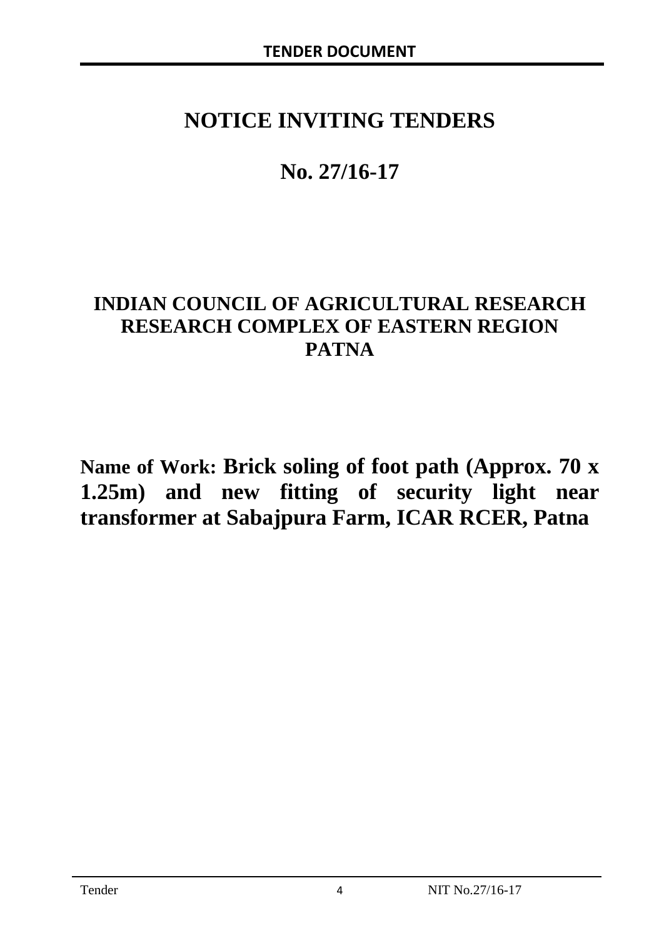# **NOTICE INVITING TENDERS**

# **No. 27/16-17**

# **INDIAN COUNCIL OF AGRICULTURAL RESEARCH RESEARCH COMPLEX OF EASTERN REGION PATNA**

**Name of Work: Brick soling of foot path (Approx. 70 x 1.25m) and new fitting of security light near transformer at Sabajpura Farm, ICAR RCER, Patna**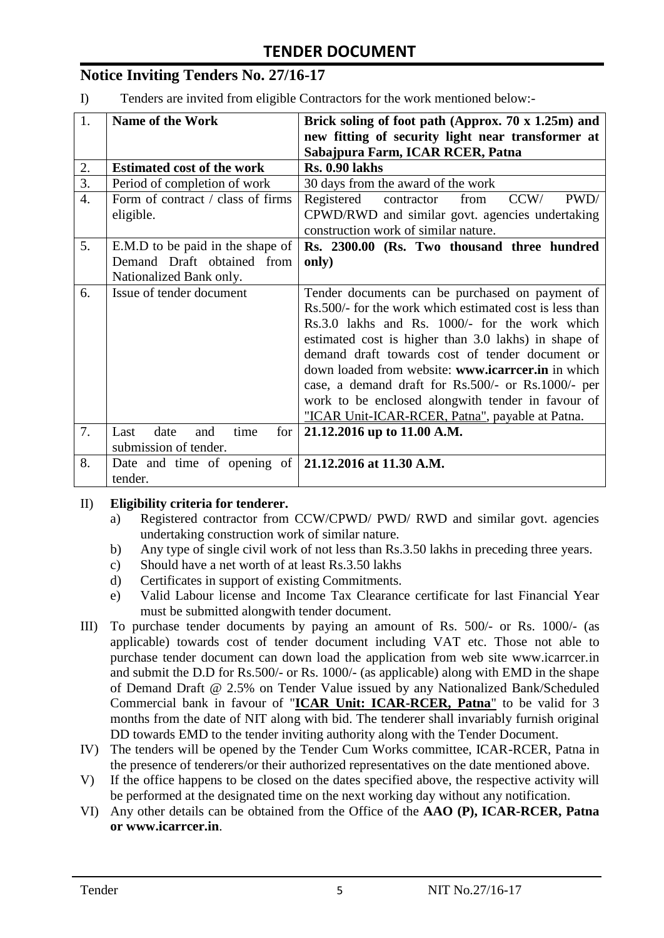# **Notice Inviting Tenders No. 27/16-17**

I) Tenders are invited from eligible Contractors for the work mentioned below:-

| 1.               | <b>Name of the Work</b>                                 | Brick soling of foot path (Approx. $70 \times 1.25$ m) and |  |  |
|------------------|---------------------------------------------------------|------------------------------------------------------------|--|--|
|                  |                                                         | new fitting of security light near transformer at          |  |  |
|                  |                                                         | Sabajpura Farm, ICAR RCER, Patna                           |  |  |
| 2.               | <b>Estimated cost of the work</b>                       | <b>Rs. 0.90 lakhs</b>                                      |  |  |
| $\overline{3}$ . | Period of completion of work                            | 30 days from the award of the work                         |  |  |
| $\overline{4}$ . | Form of contract / class of firms                       | contractor<br>Registered<br>from<br>CCW/<br>PWD/           |  |  |
|                  | eligible.                                               | CPWD/RWD and similar govt. agencies undertaking            |  |  |
|                  |                                                         | construction work of similar nature.                       |  |  |
| 5.               | E.M.D to be paid in the shape of                        | Rs. 2300.00 (Rs. Two thousand three hundred                |  |  |
|                  | Demand Draft obtained from                              | only)                                                      |  |  |
|                  | Nationalized Bank only.                                 |                                                            |  |  |
| 6.               | Issue of tender document                                | Tender documents can be purchased on payment of            |  |  |
|                  |                                                         | Rs.500/- for the work which estimated cost is less than    |  |  |
|                  |                                                         | Rs.3.0 lakhs and Rs. 1000/- for the work which             |  |  |
|                  |                                                         | estimated cost is higher than 3.0 lakhs) in shape of       |  |  |
|                  |                                                         | demand draft towards cost of tender document or            |  |  |
|                  |                                                         | down loaded from website: www.icarrcer.in in which         |  |  |
|                  |                                                         | case, a demand draft for Rs.500/- or Rs.1000/- per         |  |  |
|                  |                                                         | work to be enclosed alongwith tender in favour of          |  |  |
|                  |                                                         | "ICAR Unit-ICAR-RCER, Patna", payable at Patna.            |  |  |
| 7.               | date<br>for  <br>Last<br>time<br>and                    | 21.12.2016 up to 11.00 A.M.                                |  |  |
|                  | submission of tender.                                   |                                                            |  |  |
| 8.               | Date and time of opening of $ 21.12.2016$ at 11.30 A.M. |                                                            |  |  |
|                  | tender.                                                 |                                                            |  |  |

#### II) **Eligibility criteria for tenderer.**

- a) Registered contractor from CCW/CPWD/ PWD/ RWD and similar govt. agencies undertaking construction work of similar nature.
- b) Any type of single civil work of not less than Rs.3.50 lakhs in preceding three years.
- c) Should have a net worth of at least Rs.3.50 lakhs
- d) Certificates in support of existing Commitments.
- e) Valid Labour license and Income Tax Clearance certificate for last Financial Year must be submitted alongwith tender document.
- III) To purchase tender documents by paying an amount of Rs. 500/- or Rs. 1000/- (as applicable) towards cost of tender document including VAT etc. Those not able to purchase tender document can down load the application from web site www.icarrcer.in and submit the D.D for Rs.500/- or Rs. 1000/- (as applicable) along with EMD in the shape of Demand Draft @ 2.5% on Tender Value issued by any Nationalized Bank/Scheduled Commercial bank in favour of "**ICAR Unit: ICAR-RCER, Patna**" to be valid for 3 months from the date of NIT along with bid. The tenderer shall invariably furnish original DD towards EMD to the tender inviting authority along with the Tender Document.
- IV) The tenders will be opened by the Tender Cum Works committee, ICAR-RCER, Patna in the presence of tenderers/or their authorized representatives on the date mentioned above.
- V) If the office happens to be closed on the dates specified above, the respective activity will be performed at the designated time on the next working day without any notification.
- VI) Any other details can be obtained from the Office of the **AAO (P), ICAR-RCER, Patna or www.icarrcer.in**.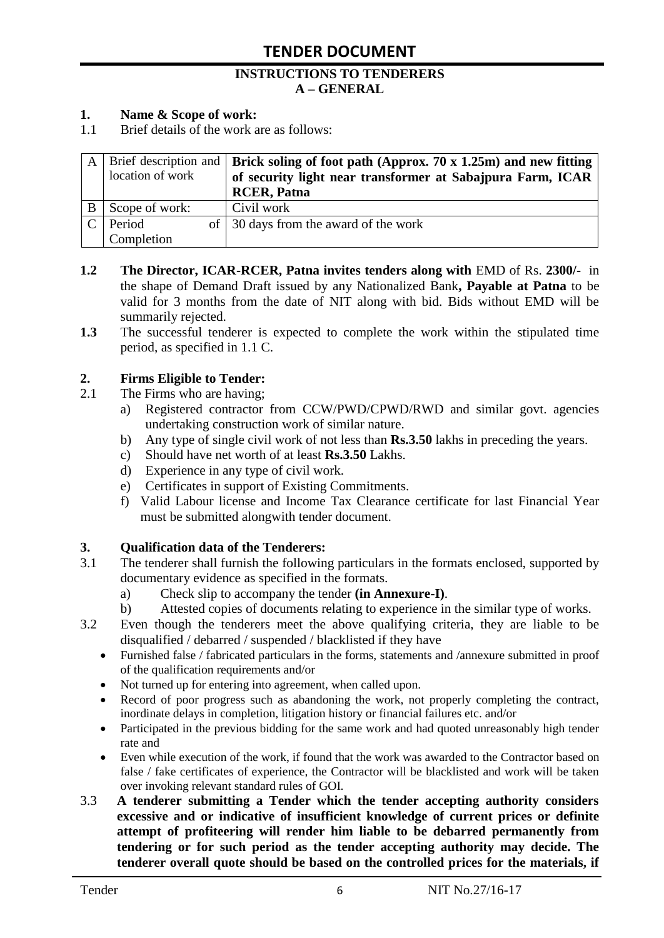#### **INSTRUCTIONS TO TENDERERS A – GENERAL**

#### **1. Name & Scope of work:**

1.1 Brief details of the work are as follows:

|                  | A   Brief description and   Brick soling of foot path (Approx. 70 x 1.25m) and new fitting |
|------------------|--------------------------------------------------------------------------------------------|
| location of work | of security light near transformer at Sabajpura Farm, ICAR                                 |
|                  | <b>RCER, Patna</b>                                                                         |
| Scope of work:   | Civil work                                                                                 |
| Period           | of 30 days from the award of the work                                                      |
| Completion       |                                                                                            |

- **1.2** The Director, ICAR-RCER, Patna invites tenders along with EMD of Rs. 2300/- in the shape of Demand Draft issued by any Nationalized Bank**, Payable at Patna** to be valid for 3 months from the date of NIT along with bid. Bids without EMD will be summarily rejected.
- **1.3** The successful tenderer is expected to complete the work within the stipulated time period, as specified in 1.1 C.

#### **2. Firms Eligible to Tender:**

- 2.1 The Firms who are having;
	- a) Registered contractor from CCW/PWD/CPWD/RWD and similar govt. agencies undertaking construction work of similar nature.
	- b) Any type of single civil work of not less than **Rs.3.50** lakhs in preceding the years.
	- c) Should have net worth of at least **Rs.3.50** Lakhs.
	- d) Experience in any type of civil work.
	- e) Certificates in support of Existing Commitments.
	- f) Valid Labour license and Income Tax Clearance certificate for last Financial Year must be submitted alongwith tender document.

#### **3. Qualification data of the Tenderers:**

- 3.1 The tenderer shall furnish the following particulars in the formats enclosed, supported by documentary evidence as specified in the formats.
	- a) Check slip to accompany the tender **(in Annexure-I)**.
	- b) Attested copies of documents relating to experience in the similar type of works.
- 3.2 Even though the tenderers meet the above qualifying criteria, they are liable to be disqualified / debarred / suspended / blacklisted if they have
	- Furnished false / fabricated particulars in the forms, statements and /annexure submitted in proof of the qualification requirements and/or
	- Not turned up for entering into agreement, when called upon.
	- Record of poor progress such as abandoning the work, not properly completing the contract, inordinate delays in completion, litigation history or financial failures etc. and/or
	- Participated in the previous bidding for the same work and had quoted unreasonably high tender rate and
	- Even while execution of the work, if found that the work was awarded to the Contractor based on false / fake certificates of experience, the Contractor will be blacklisted and work will be taken over invoking relevant standard rules of GOI.
- 3.3 **A tenderer submitting a Tender which the tender accepting authority considers excessive and or indicative of insufficient knowledge of current prices or definite attempt of profiteering will render him liable to be debarred permanently from tendering or for such period as the tender accepting authority may decide. The tenderer overall quote should be based on the controlled prices for the materials, if**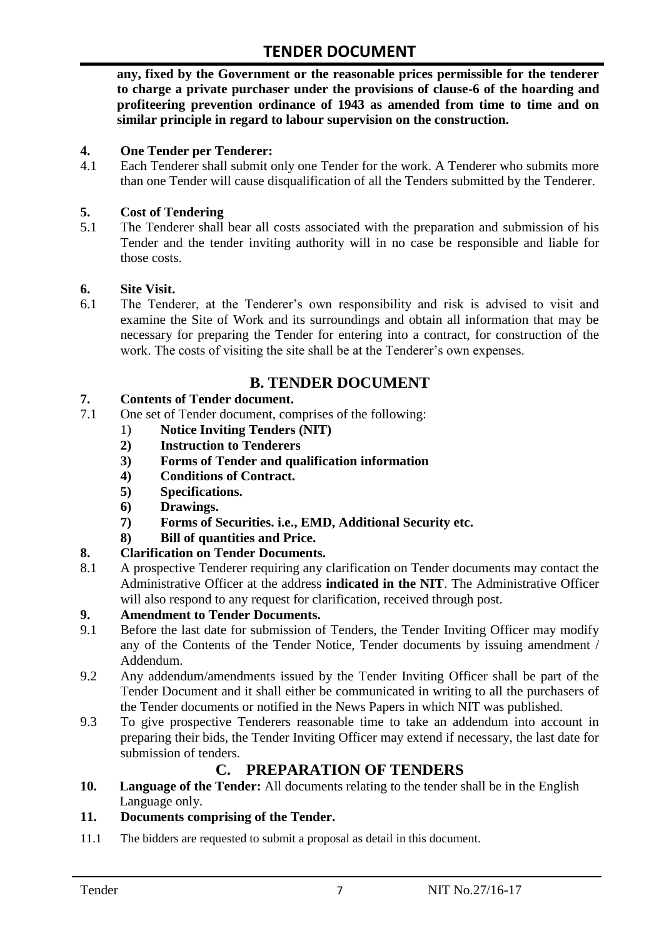**any, fixed by the Government or the reasonable prices permissible for the tenderer to charge a private purchaser under the provisions of clause-6 of the hoarding and profiteering prevention ordinance of 1943 as amended from time to time and on similar principle in regard to labour supervision on the construction.**

#### **4. One Tender per Tenderer:**

4.1 Each Tenderer shall submit only one Tender for the work. A Tenderer who submits more than one Tender will cause disqualification of all the Tenders submitted by the Tenderer.

#### **5. Cost of Tendering**

5.1 The Tenderer shall bear all costs associated with the preparation and submission of his Tender and the tender inviting authority will in no case be responsible and liable for those costs.

#### **6. Site Visit.**

6.1 The Tenderer, at the Tenderer"s own responsibility and risk is advised to visit and examine the Site of Work and its surroundings and obtain all information that may be necessary for preparing the Tender for entering into a contract, for construction of the work. The costs of visiting the site shall be at the Tenderer's own expenses.

# **B. TENDER DOCUMENT**

#### **7. Contents of Tender document.**

- 7.1 One set of Tender document, comprises of the following:
	- 1) **Notice Inviting Tenders (NIT)**
	- **2) Instruction to Tenderers**
	- **3) Forms of Tender and qualification information**
	- **4) Conditions of Contract.**
	- **5) Specifications.**
	- **6) Drawings.**
	- **7) Forms of Securities. i.e., EMD, Additional Security etc.**
	- **8) Bill of quantities and Price.**

#### **8. Clarification on Tender Documents.**

8.1 A prospective Tenderer requiring any clarification on Tender documents may contact the Administrative Officer at the address **indicated in the NIT**. The Administrative Officer will also respond to any request for clarification, received through post.

#### **9. Amendment to Tender Documents.**

- 9.1 Before the last date for submission of Tenders, the Tender Inviting Officer may modify any of the Contents of the Tender Notice, Tender documents by issuing amendment / Addendum.
- 9.2 Any addendum/amendments issued by the Tender Inviting Officer shall be part of the Tender Document and it shall either be communicated in writing to all the purchasers of the Tender documents or notified in the News Papers in which NIT was published.
- 9.3 To give prospective Tenderers reasonable time to take an addendum into account in preparing their bids, the Tender Inviting Officer may extend if necessary, the last date for submission of tenders.

## **C. PREPARATION OF TENDERS**

**10. Language of the Tender:** All documents relating to the tender shall be in the English Language only.

#### **11. Documents comprising of the Tender.**

11.1 The bidders are requested to submit a proposal as detail in this document.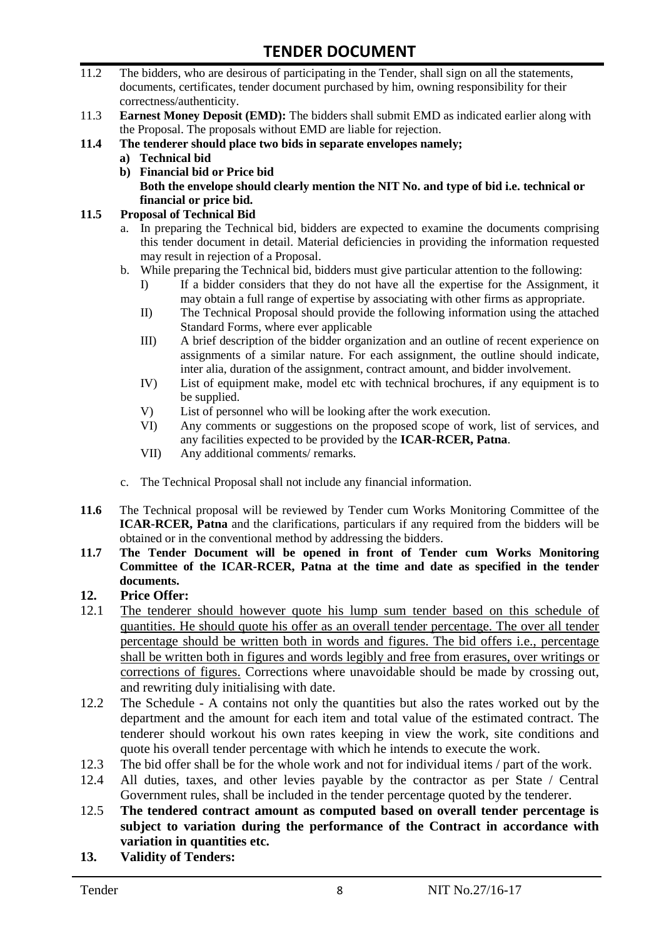- 11.2 The bidders, who are desirous of participating in the Tender, shall sign on all the statements, documents, certificates, tender document purchased by him, owning responsibility for their correctness/authenticity.
- 11.3 **Earnest Money Deposit (EMD):** The bidders shall submit EMD as indicated earlier along with the Proposal. The proposals without EMD are liable for rejection.
- **11.4 The tenderer should place two bids in separate envelopes namely;**
	- **a) Technical bid**
	- **b) Financial bid or Price bid Both the envelope should clearly mention the NIT No. and type of bid i.e. technical or financial or price bid.**

#### **11.5 Proposal of Technical Bid**

- a. In preparing the Technical bid, bidders are expected to examine the documents comprising this tender document in detail. Material deficiencies in providing the information requested may result in rejection of a Proposal.
- b. While preparing the Technical bid, bidders must give particular attention to the following:
	- I) If a bidder considers that they do not have all the expertise for the Assignment, it may obtain a full range of expertise by associating with other firms as appropriate.
	- II) The Technical Proposal should provide the following information using the attached Standard Forms, where ever applicable
	- III) A brief description of the bidder organization and an outline of recent experience on assignments of a similar nature. For each assignment, the outline should indicate, inter alia, duration of the assignment, contract amount, and bidder involvement.
	- IV) List of equipment make, model etc with technical brochures, if any equipment is to be supplied.
	- V) List of personnel who will be looking after the work execution.
	- VI) Any comments or suggestions on the proposed scope of work, list of services, and any facilities expected to be provided by the **ICAR-RCER, Patna**.
	- VII) Any additional comments/ remarks.
- c. The Technical Proposal shall not include any financial information.
- **11.6** The Technical proposal will be reviewed by Tender cum Works Monitoring Committee of the **ICAR-RCER, Patna** and the clarifications, particulars if any required from the bidders will be obtained or in the conventional method by addressing the bidders.
- **11.7 The Tender Document will be opened in front of Tender cum Works Monitoring Committee of the ICAR-RCER, Patna at the time and date as specified in the tender documents.**

#### **12. Price Offer:**

- 12.1 The tenderer should however quote his lump sum tender based on this schedule of quantities. He should quote his offer as an overall tender percentage. The over all tender percentage should be written both in words and figures. The bid offers i.e., percentage shall be written both in figures and words legibly and free from erasures, over writings or corrections of figures. Corrections where unavoidable should be made by crossing out, and rewriting duly initialising with date.
- 12.2 The Schedule A contains not only the quantities but also the rates worked out by the department and the amount for each item and total value of the estimated contract. The tenderer should workout his own rates keeping in view the work, site conditions and quote his overall tender percentage with which he intends to execute the work.
- 12.3 The bid offer shall be for the whole work and not for individual items / part of the work.
- 12.4 All duties, taxes, and other levies payable by the contractor as per State / Central Government rules, shall be included in the tender percentage quoted by the tenderer.
- 12.5 **The tendered contract amount as computed based on overall tender percentage is subject to variation during the performance of the Contract in accordance with variation in quantities etc.**
- **13. Validity of Tenders:**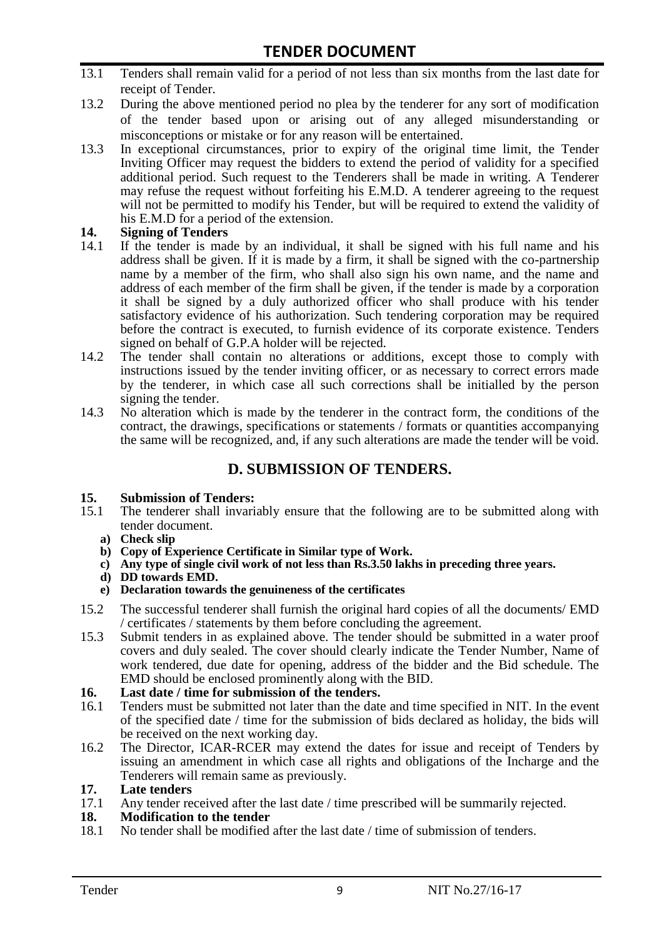- 13.1 Tenders shall remain valid for a period of not less than six months from the last date for receipt of Tender.
- 13.2 During the above mentioned period no plea by the tenderer for any sort of modification of the tender based upon or arising out of any alleged misunderstanding or misconceptions or mistake or for any reason will be entertained.
- 13.3 In exceptional circumstances, prior to expiry of the original time limit, the Tender Inviting Officer may request the bidders to extend the period of validity for a specified additional period. Such request to the Tenderers shall be made in writing. A Tenderer may refuse the request without forfeiting his E.M.D. A tenderer agreeing to the request will not be permitted to modify his Tender, but will be required to extend the validity of his E.M.D for a period of the extension.

# **14.** Signing of Tenders<br>14.1 If the tender is made

- If the tender is made by an individual, it shall be signed with his full name and his address shall be given. If it is made by a firm, it shall be signed with the co-partnership name by a member of the firm, who shall also sign his own name, and the name and address of each member of the firm shall be given, if the tender is made by a corporation it shall be signed by a duly authorized officer who shall produce with his tender satisfactory evidence of his authorization. Such tendering corporation may be required before the contract is executed, to furnish evidence of its corporate existence. Tenders signed on behalf of G.P.A holder will be rejected.
- 14.2 The tender shall contain no alterations or additions, except those to comply with instructions issued by the tender inviting officer, or as necessary to correct errors made by the tenderer, in which case all such corrections shall be initialled by the person signing the tender.
- 14.3 No alteration which is made by the tenderer in the contract form, the conditions of the contract, the drawings, specifications or statements / formats or quantities accompanying the same will be recognized, and, if any such alterations are made the tender will be void.

## **D. SUBMISSION OF TENDERS.**

#### **15. Submission of Tenders:**

- 15.1 The tenderer shall invariably ensure that the following are to be submitted along with tender document.
	- **a) Check slip**
	- **b) Copy of Experience Certificate in Similar type of Work.**
	- **c) Any type of single civil work of not less than Rs.3.50 lakhs in preceding three years.**
	- **d) DD towards EMD.**
	- **e) Declaration towards the genuineness of the certificates**
- 15.2 The successful tenderer shall furnish the original hard copies of all the documents/ EMD / certificates / statements by them before concluding the agreement.
- 15.3 Submit tenders in as explained above. The tender should be submitted in a water proof covers and duly sealed. The cover should clearly indicate the Tender Number, Name of work tendered, due date for opening, address of the bidder and the Bid schedule. The EMD should be enclosed prominently along with the BID.
- **16. Last date / time for submission of the tenders.**
- 16.1 Tenders must be submitted not later than the date and time specified in NIT. In the event of the specified date / time for the submission of bids declared as holiday, the bids will be received on the next working day.
- 16.2 The Director, ICAR-RCER may extend the dates for issue and receipt of Tenders by issuing an amendment in which case all rights and obligations of the Incharge and the Tenderers will remain same as previously.

#### **17. Late tenders**

17.1 Any tender received after the last date / time prescribed will be summarily rejected.

#### **18. Modification to the tender**

18.1 No tender shall be modified after the last date / time of submission of tenders.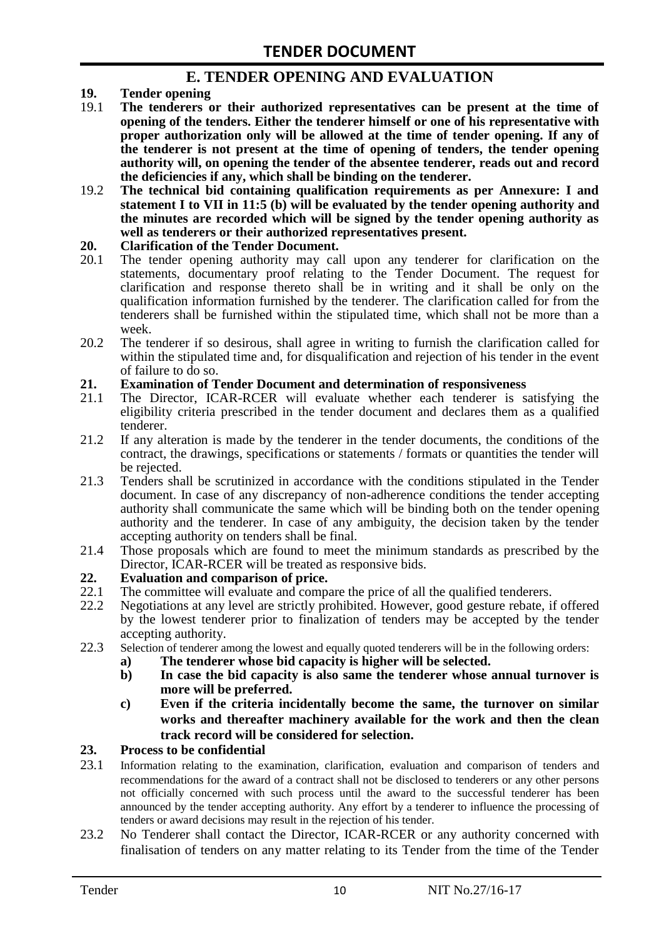### **E. TENDER OPENING AND EVALUATION**

- **19. Tender opening**
- 19.1 **The tenderers or their authorized representatives can be present at the time of opening of the tenders. Either the tenderer himself or one of his representative with proper authorization only will be allowed at the time of tender opening. If any of the tenderer is not present at the time of opening of tenders, the tender opening authority will, on opening the tender of the absentee tenderer, reads out and record the deficiencies if any, which shall be binding on the tenderer.**
- 19.2 **The technical bid containing qualification requirements as per Annexure: I and statement I to VII in 11:5 (b) will be evaluated by the tender opening authority and the minutes are recorded which will be signed by the tender opening authority as well as tenderers or their authorized representatives present.**

#### **20. Clarification of the Tender Document.**

- 20.1 The tender opening authority may call upon any tenderer for clarification on the statements, documentary proof relating to the Tender Document. The request for clarification and response thereto shall be in writing and it shall be only on the qualification information furnished by the tenderer. The clarification called for from the tenderers shall be furnished within the stipulated time, which shall not be more than a week.
- 20.2 The tenderer if so desirous, shall agree in writing to furnish the clarification called for within the stipulated time and, for disqualification and rejection of his tender in the event of failure to do so.

# **21. Examination of Tender Document and determination of responsiveness**

- 21.1 The Director, ICAR-RCER will evaluate whether each tenderer is satisfying the eligibility criteria prescribed in the tender document and declares them as a qualified tenderer.
- 21.2 If any alteration is made by the tenderer in the tender documents, the conditions of the contract, the drawings, specifications or statements / formats or quantities the tender will be rejected.
- 21.3 Tenders shall be scrutinized in accordance with the conditions stipulated in the Tender document. In case of any discrepancy of non-adherence conditions the tender accepting authority shall communicate the same which will be binding both on the tender opening authority and the tenderer. In case of any ambiguity, the decision taken by the tender accepting authority on tenders shall be final.
- 21.4 Those proposals which are found to meet the minimum standards as prescribed by the Director, ICAR-RCER will be treated as responsive bids.

# **22. Evaluation and comparison of price.**

- The committee will evaluate and compare the price of all the qualified tenderers.
- 22.2 Negotiations at any level are strictly prohibited. However, good gesture rebate, if offered by the lowest tenderer prior to finalization of tenders may be accepted by the tender accepting authority.
- 22.3 Selection of tenderer among the lowest and equally quoted tenderers will be in the following orders:
	- **a) The tenderer whose bid capacity is higher will be selected.**
	- **b) In case the bid capacity is also same the tenderer whose annual turnover is more will be preferred.**
	- **c) Even if the criteria incidentally become the same, the turnover on similar works and thereafter machinery available for the work and then the clean track record will be considered for selection.**

#### **23. Process to be confidential**

- 23.1 Information relating to the examination, clarification, evaluation and comparison of tenders and recommendations for the award of a contract shall not be disclosed to tenderers or any other persons not officially concerned with such process until the award to the successful tenderer has been announced by the tender accepting authority. Any effort by a tenderer to influence the processing of tenders or award decisions may result in the rejection of his tender.
- 23.2 No Tenderer shall contact the Director, ICAR-RCER or any authority concerned with finalisation of tenders on any matter relating to its Tender from the time of the Tender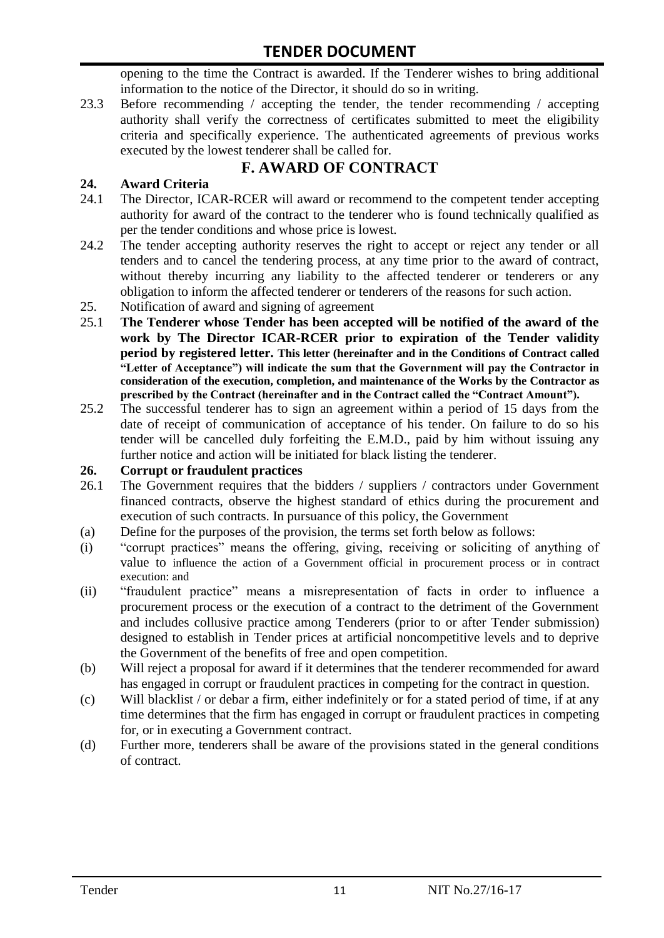opening to the time the Contract is awarded. If the Tenderer wishes to bring additional information to the notice of the Director, it should do so in writing.

23.3 Before recommending / accepting the tender, the tender recommending / accepting authority shall verify the correctness of certificates submitted to meet the eligibility criteria and specifically experience. The authenticated agreements of previous works executed by the lowest tenderer shall be called for.

# **F. AWARD OF CONTRACT**

### **24. Award Criteria**

- 24.1 The Director, ICAR-RCER will award or recommend to the competent tender accepting authority for award of the contract to the tenderer who is found technically qualified as per the tender conditions and whose price is lowest.
- 24.2 The tender accepting authority reserves the right to accept or reject any tender or all tenders and to cancel the tendering process, at any time prior to the award of contract, without thereby incurring any liability to the affected tenderer or tenderers or any obligation to inform the affected tenderer or tenderers of the reasons for such action.
- 25. Notification of award and signing of agreement
- 25.1 **The Tenderer whose Tender has been accepted will be notified of the award of the work by The Director ICAR-RCER prior to expiration of the Tender validity period by registered letter. This letter (hereinafter and in the Conditions of Contract called "Letter of Acceptance") will indicate the sum that the Government will pay the Contractor in consideration of the execution, completion, and maintenance of the Works by the Contractor as prescribed by the Contract (hereinafter and in the Contract called the "Contract Amount").**
- 25.2 The successful tenderer has to sign an agreement within a period of 15 days from the date of receipt of communication of acceptance of his tender. On failure to do so his tender will be cancelled duly forfeiting the E.M.D., paid by him without issuing any further notice and action will be initiated for black listing the tenderer.

#### **26. Corrupt or fraudulent practices**

- 26.1 The Government requires that the bidders / suppliers / contractors under Government financed contracts, observe the highest standard of ethics during the procurement and execution of such contracts. In pursuance of this policy, the Government
- (a) Define for the purposes of the provision, the terms set forth below as follows:
- (i) "corrupt practices" means the offering, giving, receiving or soliciting of anything of value to influence the action of a Government official in procurement process or in contract execution: and
- (ii) "fraudulent practice" means a misrepresentation of facts in order to influence a procurement process or the execution of a contract to the detriment of the Government and includes collusive practice among Tenderers (prior to or after Tender submission) designed to establish in Tender prices at artificial noncompetitive levels and to deprive the Government of the benefits of free and open competition.
- (b) Will reject a proposal for award if it determines that the tenderer recommended for award has engaged in corrupt or fraudulent practices in competing for the contract in question.
- (c) Will blacklist / or debar a firm, either indefinitely or for a stated period of time, if at any time determines that the firm has engaged in corrupt or fraudulent practices in competing for, or in executing a Government contract.
- (d) Further more, tenderers shall be aware of the provisions stated in the general conditions of contract.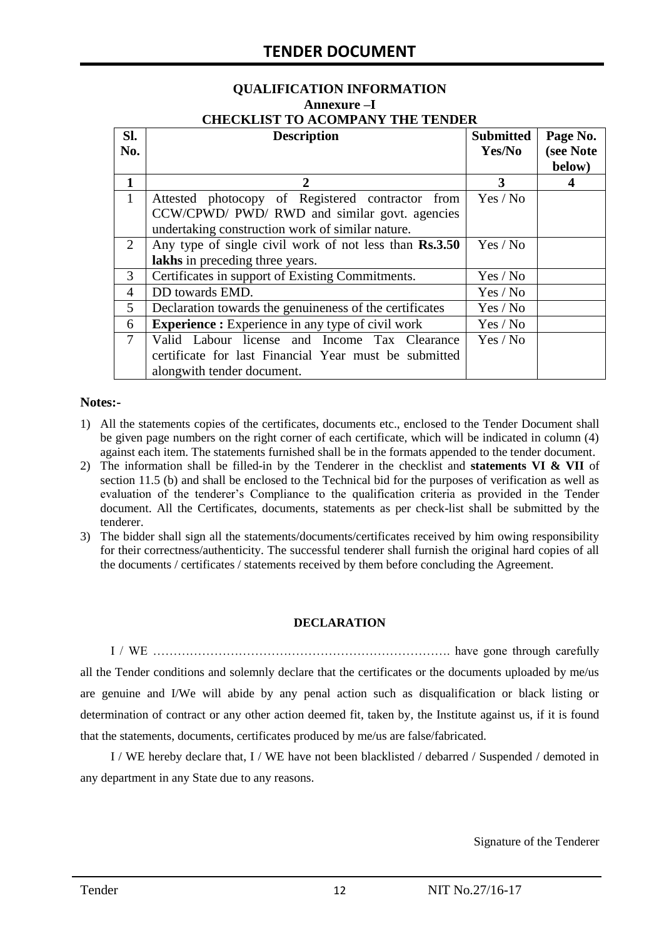# **QUALIFICATION INFORMATION Annexure –I**

|  | <b>CHECKLIST TO ACOMPANY THE TENDER</b> |  |
|--|-----------------------------------------|--|
|  |                                         |  |

| SI.<br>No.     | <b>Description</b>                                                                                                                            | <b>Submitted</b><br>Yes/No | Page No.<br>(see Note<br>below) |
|----------------|-----------------------------------------------------------------------------------------------------------------------------------------------|----------------------------|---------------------------------|
| 1              |                                                                                                                                               | 3                          | 4                               |
| $\mathbf{1}$   | Attested photocopy of Registered contractor from<br>CCW/CPWD/ PWD/ RWD and similar govt. agencies                                             | Yes / No                   |                                 |
| 2              | undertaking construction work of similar nature.<br>Any type of single civil work of not less than Rs.3.50<br>lakhs in preceding three years. | Yes / No                   |                                 |
| 3              | Certificates in support of Existing Commitments.                                                                                              | Yes / No                   |                                 |
| $\overline{4}$ | DD towards EMD.                                                                                                                               | Yes / No                   |                                 |
| 5              | Declaration towards the genuineness of the certificates                                                                                       | Yes / No                   |                                 |
| 6              | <b>Experience :</b> Experience in any type of civil work                                                                                      | Yes / No                   |                                 |
| $\overline{7}$ | Valid Labour license and Income Tax Clearance<br>certificate for last Financial Year must be submitted<br>alongwith tender document.          | Yes / No                   |                                 |

#### **Notes:-**

- 1) All the statements copies of the certificates, documents etc., enclosed to the Tender Document shall be given page numbers on the right corner of each certificate, which will be indicated in column (4) against each item. The statements furnished shall be in the formats appended to the tender document.
- 2) The information shall be filled-in by the Tenderer in the checklist and **statements VI & VII** of section 11.5 (b) and shall be enclosed to the Technical bid for the purposes of verification as well as evaluation of the tenderer"s Compliance to the qualification criteria as provided in the Tender document. All the Certificates, documents, statements as per check-list shall be submitted by the tenderer.
- 3) The bidder shall sign all the statements/documents/certificates received by him owing responsibility for their correctness/authenticity. The successful tenderer shall furnish the original hard copies of all the documents / certificates / statements received by them before concluding the Agreement.

#### **DECLARATION**

I / WE ………………………………………………………………. have gone through carefully all the Tender conditions and solemnly declare that the certificates or the documents uploaded by me/us are genuine and I/We will abide by any penal action such as disqualification or black listing or determination of contract or any other action deemed fit, taken by, the Institute against us, if it is found that the statements, documents, certificates produced by me/us are false/fabricated.

I / WE hereby declare that, I / WE have not been blacklisted / debarred / Suspended / demoted in any department in any State due to any reasons.

Signature of the Tenderer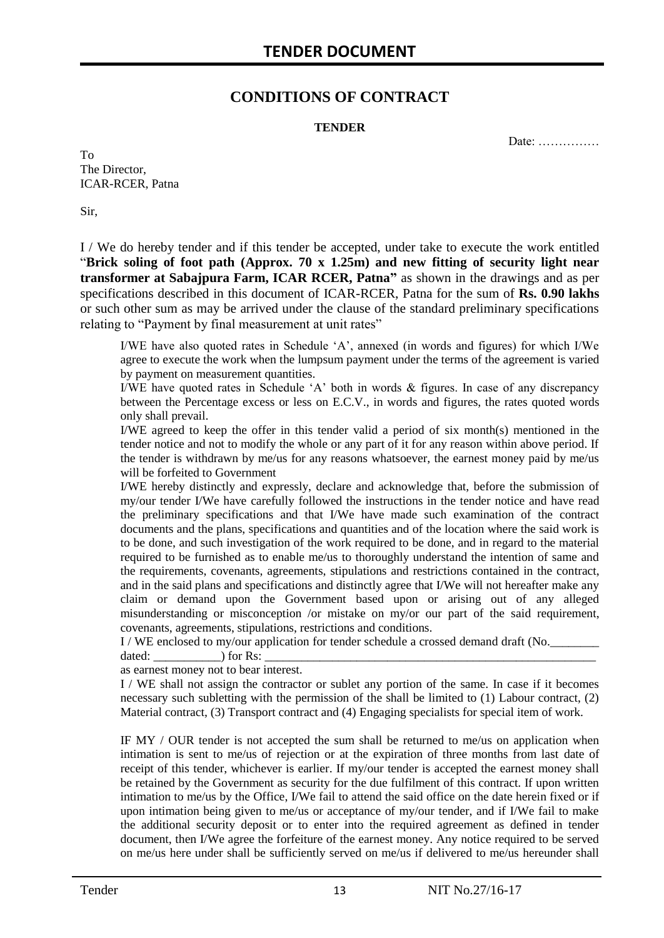### **CONDITIONS OF CONTRACT**

#### **TENDER**

Date: ……………

To The Director, ICAR-RCER, Patna

Sir,

I / We do hereby tender and if this tender be accepted, under take to execute the work entitled "**Brick soling of foot path (Approx. 70 x 1.25m) and new fitting of security light near transformer at Sabajpura Farm, ICAR RCER, Patna"** as shown in the drawings and as per specifications described in this document of ICAR-RCER, Patna for the sum of **Rs. 0.90 lakhs** or such other sum as may be arrived under the clause of the standard preliminary specifications relating to "Payment by final measurement at unit rates"

I/WE have also quoted rates in Schedule "A", annexed (in words and figures) for which I/We agree to execute the work when the lumpsum payment under the terms of the agreement is varied by payment on measurement quantities.

I/WE have quoted rates in Schedule "A" both in words & figures. In case of any discrepancy between the Percentage excess or less on E.C.V., in words and figures, the rates quoted words only shall prevail.

I/WE agreed to keep the offer in this tender valid a period of six month(s) mentioned in the tender notice and not to modify the whole or any part of it for any reason within above period. If the tender is withdrawn by me/us for any reasons whatsoever, the earnest money paid by me/us will be forfeited to Government

I/WE hereby distinctly and expressly, declare and acknowledge that, before the submission of my/our tender I/We have carefully followed the instructions in the tender notice and have read the preliminary specifications and that I/We have made such examination of the contract documents and the plans, specifications and quantities and of the location where the said work is to be done, and such investigation of the work required to be done, and in regard to the material required to be furnished as to enable me/us to thoroughly understand the intention of same and the requirements, covenants, agreements, stipulations and restrictions contained in the contract, and in the said plans and specifications and distinctly agree that I/We will not hereafter make any claim or demand upon the Government based upon or arising out of any alleged misunderstanding or misconception /or mistake on my/or our part of the said requirement, covenants, agreements, stipulations, restrictions and conditions.

I / WE enclosed to my/our application for tender schedule a crossed demand draft (No.

dated:  $\qquad \qquad$  ) for Rs:

as earnest money not to bear interest.

I / WE shall not assign the contractor or sublet any portion of the same. In case if it becomes necessary such subletting with the permission of the shall be limited to (1) Labour contract, (2) Material contract, (3) Transport contract and (4) Engaging specialists for special item of work.

IF MY / OUR tender is not accepted the sum shall be returned to me/us on application when intimation is sent to me/us of rejection or at the expiration of three months from last date of receipt of this tender, whichever is earlier. If my/our tender is accepted the earnest money shall be retained by the Government as security for the due fulfilment of this contract. If upon written intimation to me/us by the Office, I/We fail to attend the said office on the date herein fixed or if upon intimation being given to me/us or acceptance of my/our tender, and if I/We fail to make the additional security deposit or to enter into the required agreement as defined in tender document, then I/We agree the forfeiture of the earnest money. Any notice required to be served on me/us here under shall be sufficiently served on me/us if delivered to me/us hereunder shall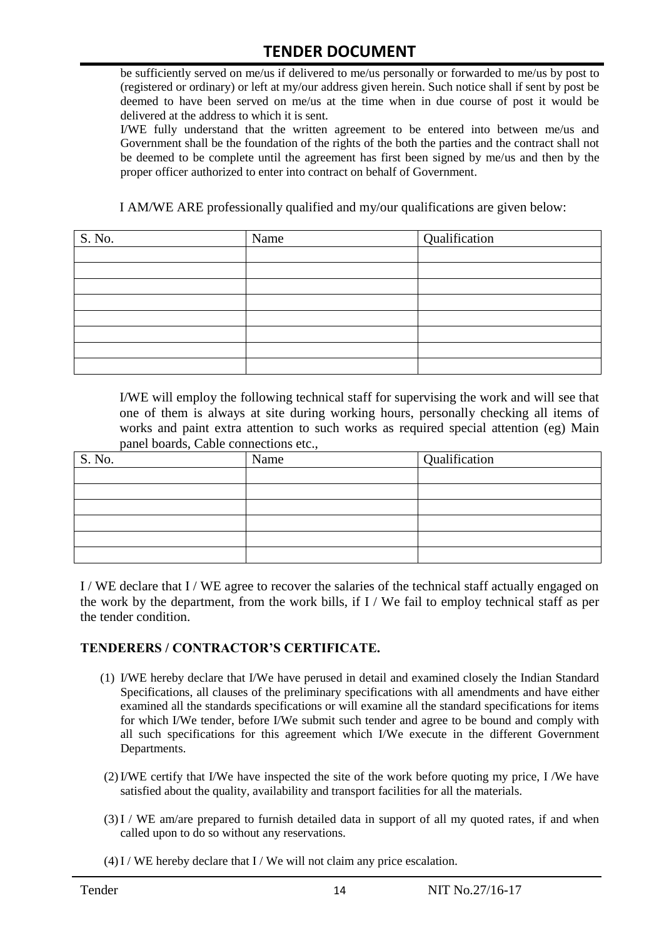be sufficiently served on me/us if delivered to me/us personally or forwarded to me/us by post to (registered or ordinary) or left at my/our address given herein. Such notice shall if sent by post be deemed to have been served on me/us at the time when in due course of post it would be delivered at the address to which it is sent.

I/WE fully understand that the written agreement to be entered into between me/us and Government shall be the foundation of the rights of the both the parties and the contract shall not be deemed to be complete until the agreement has first been signed by me/us and then by the proper officer authorized to enter into contract on behalf of Government.

I AM/WE ARE professionally qualified and my/our qualifications are given below:

| S. No. | Name | Qualification |
|--------|------|---------------|
|        |      |               |
|        |      |               |
|        |      |               |
|        |      |               |
|        |      |               |
|        |      |               |
|        |      |               |
|        |      |               |

I/WE will employ the following technical staff for supervising the work and will see that one of them is always at site during working hours, personally checking all items of works and paint extra attention to such works as required special attention (eg) Main panel boards, Cable connections etc.,

| S. No. | Name | Qualification |
|--------|------|---------------|
|        |      |               |
|        |      |               |
|        |      |               |
|        |      |               |
|        |      |               |
|        |      |               |

I / WE declare that I / WE agree to recover the salaries of the technical staff actually engaged on the work by the department, from the work bills, if I / We fail to employ technical staff as per the tender condition.

#### **TENDERERS / CONTRACTOR'S CERTIFICATE.**

- (1) I/WE hereby declare that I/We have perused in detail and examined closely the Indian Standard Specifications, all clauses of the preliminary specifications with all amendments and have either examined all the standards specifications or will examine all the standard specifications for items for which I/We tender, before I/We submit such tender and agree to be bound and comply with all such specifications for this agreement which I/We execute in the different Government Departments.
- (2)I/WE certify that I/We have inspected the site of the work before quoting my price, I /We have satisfied about the quality, availability and transport facilities for all the materials.
- (3)I / WE am/are prepared to furnish detailed data in support of all my quoted rates, if and when called upon to do so without any reservations.
- $(4)$ I / WE hereby declare that I / We will not claim any price escalation.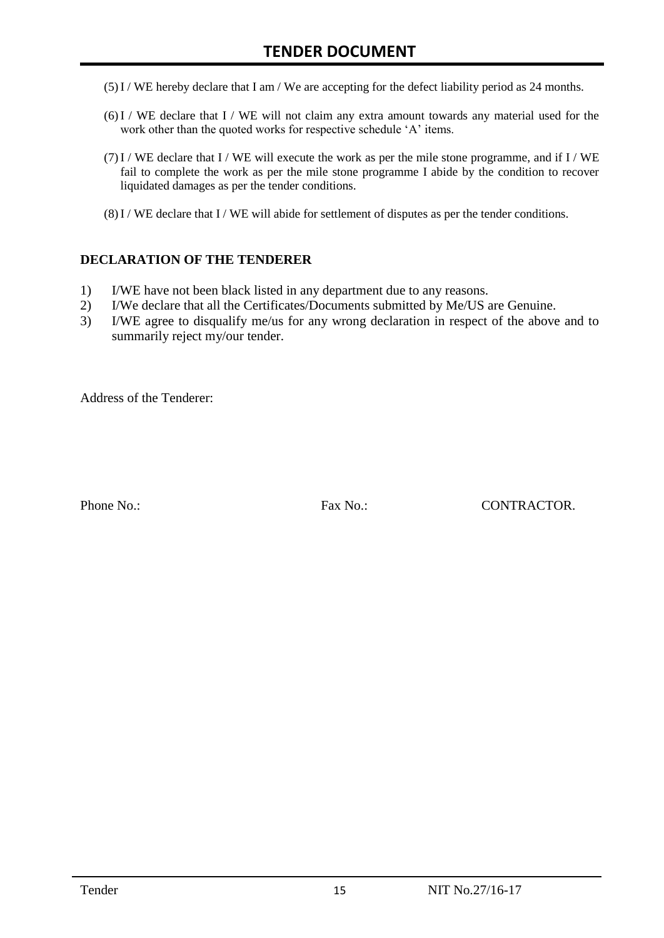- (5)I / WE hereby declare that I am / We are accepting for the defect liability period as 24 months.
- (6)I / WE declare that I / WE will not claim any extra amount towards any material used for the work other than the quoted works for respective schedule 'A' items.
- $(7)$ I / WE declare that I / WE will execute the work as per the mile stone programme, and if I / WE fail to complete the work as per the mile stone programme I abide by the condition to recover liquidated damages as per the tender conditions.
- $(8)$  I / WE declare that I / WE will abide for settlement of disputes as per the tender conditions.

#### **DECLARATION OF THE TENDERER**

- 1) I/WE have not been black listed in any department due to any reasons.
- 2) I/We declare that all the Certificates/Documents submitted by Me/US are Genuine.
- 3) I/WE agree to disqualify me/us for any wrong declaration in respect of the above and to summarily reject my/our tender.

Address of the Tenderer:

Phone No.: Fax No.: CONTRACTOR.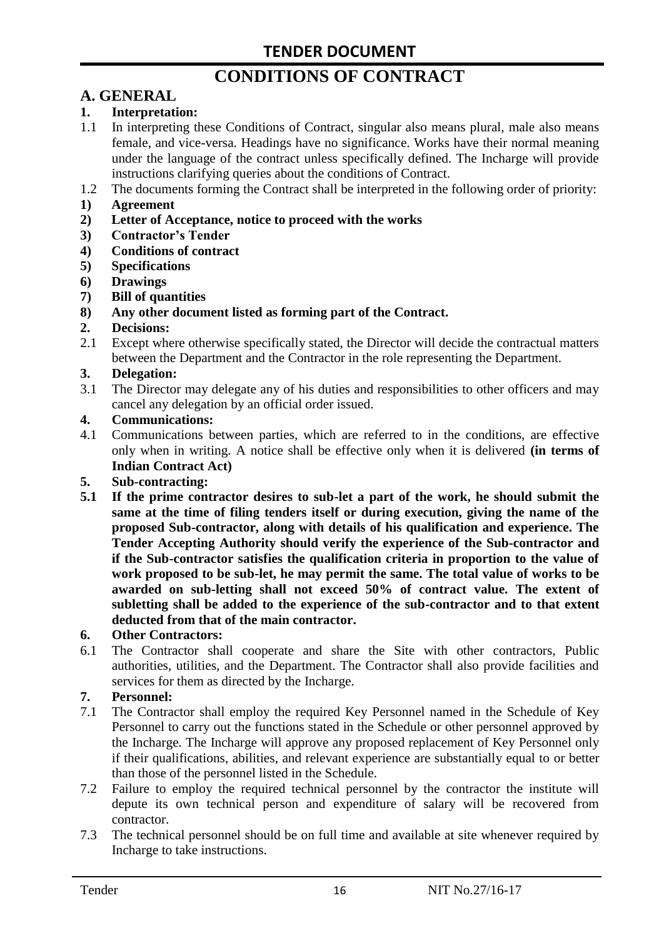# **CONDITIONS OF CONTRACT**

# **A. GENERAL**

#### **1. Interpretation:**

- 1.1 In interpreting these Conditions of Contract, singular also means plural, male also means female, and vice-versa. Headings have no significance. Works have their normal meaning under the language of the contract unless specifically defined. The Incharge will provide instructions clarifying queries about the conditions of Contract.
- 1.2 The documents forming the Contract shall be interpreted in the following order of priority:
- **1) Agreement**
- **2) Letter of Acceptance, notice to proceed with the works**
- **3) Contractor's Tender**
- **4) Conditions of contract**
- **5) Specifications**
- **6) Drawings**
- **7) Bill of quantities**
- **8) Any other document listed as forming part of the Contract.**

#### **2. Decisions:**

2.1 Except where otherwise specifically stated, the Director will decide the contractual matters between the Department and the Contractor in the role representing the Department.

#### **3. Delegation:**

3.1 The Director may delegate any of his duties and responsibilities to other officers and may cancel any delegation by an official order issued.

#### **4. Communications:**

4.1 Communications between parties, which are referred to in the conditions, are effective only when in writing. A notice shall be effective only when it is delivered **(in terms of Indian Contract Act)**

#### **5. Sub-contracting:**

**5.1 If the prime contractor desires to sub-let a part of the work, he should submit the same at the time of filing tenders itself or during execution, giving the name of the proposed Sub-contractor, along with details of his qualification and experience. The Tender Accepting Authority should verify the experience of the Sub-contractor and if the Sub-contractor satisfies the qualification criteria in proportion to the value of work proposed to be sub-let, he may permit the same. The total value of works to be awarded on sub-letting shall not exceed 50% of contract value. The extent of subletting shall be added to the experience of the sub-contractor and to that extent deducted from that of the main contractor.**

#### **6. Other Contractors:**

6.1 The Contractor shall cooperate and share the Site with other contractors, Public authorities, utilities, and the Department. The Contractor shall also provide facilities and services for them as directed by the Incharge.

#### **7. Personnel:**

- 7.1 The Contractor shall employ the required Key Personnel named in the Schedule of Key Personnel to carry out the functions stated in the Schedule or other personnel approved by the Incharge. The Incharge will approve any proposed replacement of Key Personnel only if their qualifications, abilities, and relevant experience are substantially equal to or better than those of the personnel listed in the Schedule.
- 7.2 Failure to employ the required technical personnel by the contractor the institute will depute its own technical person and expenditure of salary will be recovered from contractor.
- 7.3 The technical personnel should be on full time and available at site whenever required by Incharge to take instructions.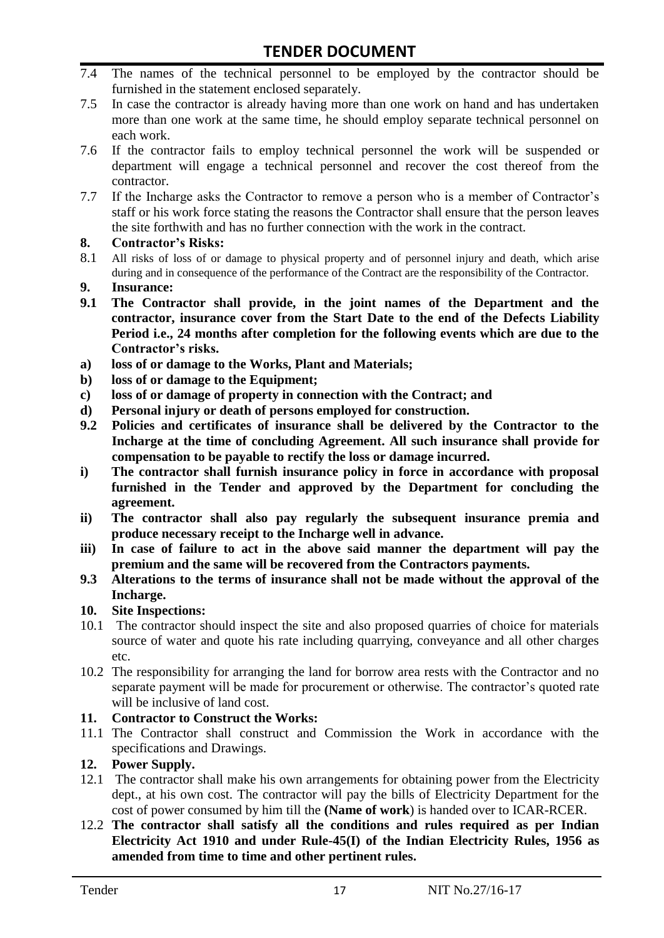- 7.4 The names of the technical personnel to be employed by the contractor should be furnished in the statement enclosed separately.
- 7.5 In case the contractor is already having more than one work on hand and has undertaken more than one work at the same time, he should employ separate technical personnel on each work.
- 7.6 If the contractor fails to employ technical personnel the work will be suspended or department will engage a technical personnel and recover the cost thereof from the contractor.
- 7.7 If the Incharge asks the Contractor to remove a person who is a member of Contractor"s staff or his work force stating the reasons the Contractor shall ensure that the person leaves the site forthwith and has no further connection with the work in the contract.

#### **8. Contractor's Risks:**

- 8.1 All risks of loss of or damage to physical property and of personnel injury and death, which arise during and in consequence of the performance of the Contract are the responsibility of the Contractor.
- **9. Insurance:**
- **9.1 The Contractor shall provide, in the joint names of the Department and the contractor, insurance cover from the Start Date to the end of the Defects Liability Period i.e., 24 months after completion for the following events which are due to the Contractor's risks.**
- **a) loss of or damage to the Works, Plant and Materials;**
- **b) loss of or damage to the Equipment;**
- **c) loss of or damage of property in connection with the Contract; and**
- **d) Personal injury or death of persons employed for construction.**
- **9.2 Policies and certificates of insurance shall be delivered by the Contractor to the Incharge at the time of concluding Agreement. All such insurance shall provide for compensation to be payable to rectify the loss or damage incurred.**
- **i) The contractor shall furnish insurance policy in force in accordance with proposal furnished in the Tender and approved by the Department for concluding the agreement.**
- **ii) The contractor shall also pay regularly the subsequent insurance premia and produce necessary receipt to the Incharge well in advance.**
- **iii) In case of failure to act in the above said manner the department will pay the premium and the same will be recovered from the Contractors payments.**
- **9.3 Alterations to the terms of insurance shall not be made without the approval of the Incharge.**

#### **10. Site Inspections:**

- 10.1 The contractor should inspect the site and also proposed quarries of choice for materials source of water and quote his rate including quarrying, conveyance and all other charges etc.
- 10.2 The responsibility for arranging the land for borrow area rests with the Contractor and no separate payment will be made for procurement or otherwise. The contractor's quoted rate will be inclusive of land cost.

#### **11. Contractor to Construct the Works:**

11.1 The Contractor shall construct and Commission the Work in accordance with the specifications and Drawings.

#### **12. Power Supply.**

- 12.1 The contractor shall make his own arrangements for obtaining power from the Electricity dept., at his own cost. The contractor will pay the bills of Electricity Department for the cost of power consumed by him till the **(Name of work**) is handed over to ICAR-RCER.
- 12.2 **The contractor shall satisfy all the conditions and rules required as per Indian Electricity Act 1910 and under Rule-45(I) of the Indian Electricity Rules, 1956 as amended from time to time and other pertinent rules.**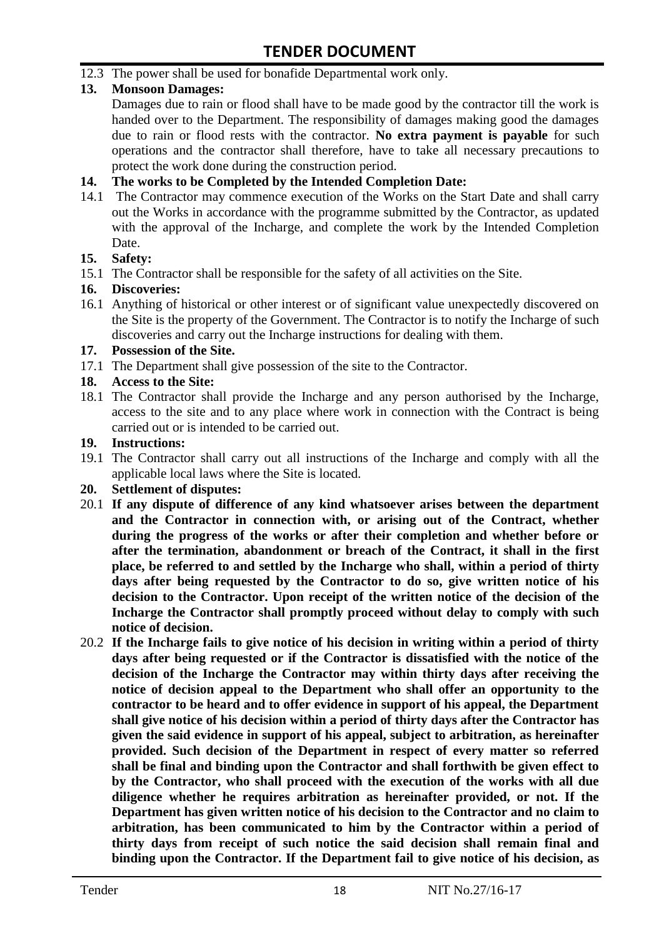12.3 The power shall be used for bonafide Departmental work only.

#### **13. Monsoon Damages:**

Damages due to rain or flood shall have to be made good by the contractor till the work is handed over to the Department. The responsibility of damages making good the damages due to rain or flood rests with the contractor. **No extra payment is payable** for such operations and the contractor shall therefore, have to take all necessary precautions to protect the work done during the construction period.

#### **14. The works to be Completed by the Intended Completion Date:**

14.1 The Contractor may commence execution of the Works on the Start Date and shall carry out the Works in accordance with the programme submitted by the Contractor, as updated with the approval of the Incharge, and complete the work by the Intended Completion Date.

#### **15. Safety:**

15.1 The Contractor shall be responsible for the safety of all activities on the Site.

#### **16. Discoveries:**

16.1 Anything of historical or other interest or of significant value unexpectedly discovered on the Site is the property of the Government. The Contractor is to notify the Incharge of such discoveries and carry out the Incharge instructions for dealing with them.

#### **17. Possession of the Site.**

17.1 The Department shall give possession of the site to the Contractor.

#### **18. Access to the Site:**

18.1 The Contractor shall provide the Incharge and any person authorised by the Incharge, access to the site and to any place where work in connection with the Contract is being carried out or is intended to be carried out.

#### **19. Instructions:**

- 19.1 The Contractor shall carry out all instructions of the Incharge and comply with all the applicable local laws where the Site is located.
- **20. Settlement of disputes:**
- 20.1 **If any dispute of difference of any kind whatsoever arises between the department and the Contractor in connection with, or arising out of the Contract, whether during the progress of the works or after their completion and whether before or after the termination, abandonment or breach of the Contract, it shall in the first place, be referred to and settled by the Incharge who shall, within a period of thirty days after being requested by the Contractor to do so, give written notice of his decision to the Contractor. Upon receipt of the written notice of the decision of the Incharge the Contractor shall promptly proceed without delay to comply with such notice of decision.**
- 20.2 **If the Incharge fails to give notice of his decision in writing within a period of thirty days after being requested or if the Contractor is dissatisfied with the notice of the decision of the Incharge the Contractor may within thirty days after receiving the notice of decision appeal to the Department who shall offer an opportunity to the contractor to be heard and to offer evidence in support of his appeal, the Department shall give notice of his decision within a period of thirty days after the Contractor has given the said evidence in support of his appeal, subject to arbitration, as hereinafter provided. Such decision of the Department in respect of every matter so referred shall be final and binding upon the Contractor and shall forthwith be given effect to by the Contractor, who shall proceed with the execution of the works with all due diligence whether he requires arbitration as hereinafter provided, or not. If the Department has given written notice of his decision to the Contractor and no claim to arbitration, has been communicated to him by the Contractor within a period of thirty days from receipt of such notice the said decision shall remain final and binding upon the Contractor. If the Department fail to give notice of his decision, as**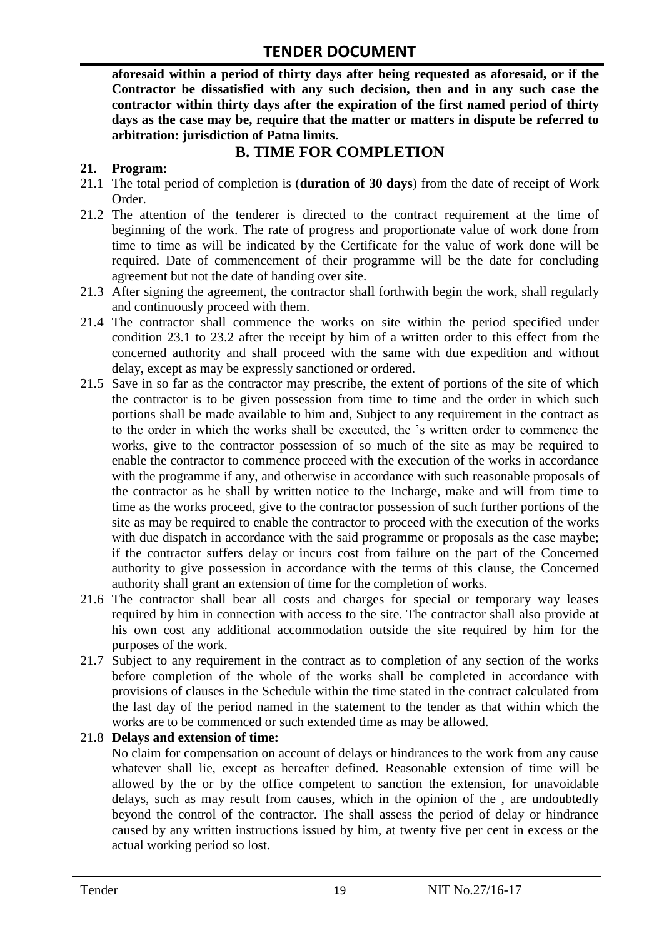**aforesaid within a period of thirty days after being requested as aforesaid, or if the Contractor be dissatisfied with any such decision, then and in any such case the contractor within thirty days after the expiration of the first named period of thirty days as the case may be, require that the matter or matters in dispute be referred to arbitration: jurisdiction of Patna limits.**

## **B. TIME FOR COMPLETION**

#### **21. Program:**

- 21.1 The total period of completion is (**duration of 30 days**) from the date of receipt of Work Order.
- 21.2 The attention of the tenderer is directed to the contract requirement at the time of beginning of the work. The rate of progress and proportionate value of work done from time to time as will be indicated by the Certificate for the value of work done will be required. Date of commencement of their programme will be the date for concluding agreement but not the date of handing over site.
- 21.3 After signing the agreement, the contractor shall forthwith begin the work, shall regularly and continuously proceed with them.
- 21.4 The contractor shall commence the works on site within the period specified under condition 23.1 to 23.2 after the receipt by him of a written order to this effect from the concerned authority and shall proceed with the same with due expedition and without delay, except as may be expressly sanctioned or ordered.
- 21.5 Save in so far as the contractor may prescribe, the extent of portions of the site of which the contractor is to be given possession from time to time and the order in which such portions shall be made available to him and, Subject to any requirement in the contract as to the order in which the works shall be executed, the "s written order to commence the works, give to the contractor possession of so much of the site as may be required to enable the contractor to commence proceed with the execution of the works in accordance with the programme if any, and otherwise in accordance with such reasonable proposals of the contractor as he shall by written notice to the Incharge, make and will from time to time as the works proceed, give to the contractor possession of such further portions of the site as may be required to enable the contractor to proceed with the execution of the works with due dispatch in accordance with the said programme or proposals as the case maybe; if the contractor suffers delay or incurs cost from failure on the part of the Concerned authority to give possession in accordance with the terms of this clause, the Concerned authority shall grant an extension of time for the completion of works.
- 21.6 The contractor shall bear all costs and charges for special or temporary way leases required by him in connection with access to the site. The contractor shall also provide at his own cost any additional accommodation outside the site required by him for the purposes of the work.
- 21.7 Subject to any requirement in the contract as to completion of any section of the works before completion of the whole of the works shall be completed in accordance with provisions of clauses in the Schedule within the time stated in the contract calculated from the last day of the period named in the statement to the tender as that within which the works are to be commenced or such extended time as may be allowed.

#### 21.8 **Delays and extension of time:**

No claim for compensation on account of delays or hindrances to the work from any cause whatever shall lie, except as hereafter defined. Reasonable extension of time will be allowed by the or by the office competent to sanction the extension, for unavoidable delays, such as may result from causes, which in the opinion of the , are undoubtedly beyond the control of the contractor. The shall assess the period of delay or hindrance caused by any written instructions issued by him, at twenty five per cent in excess or the actual working period so lost.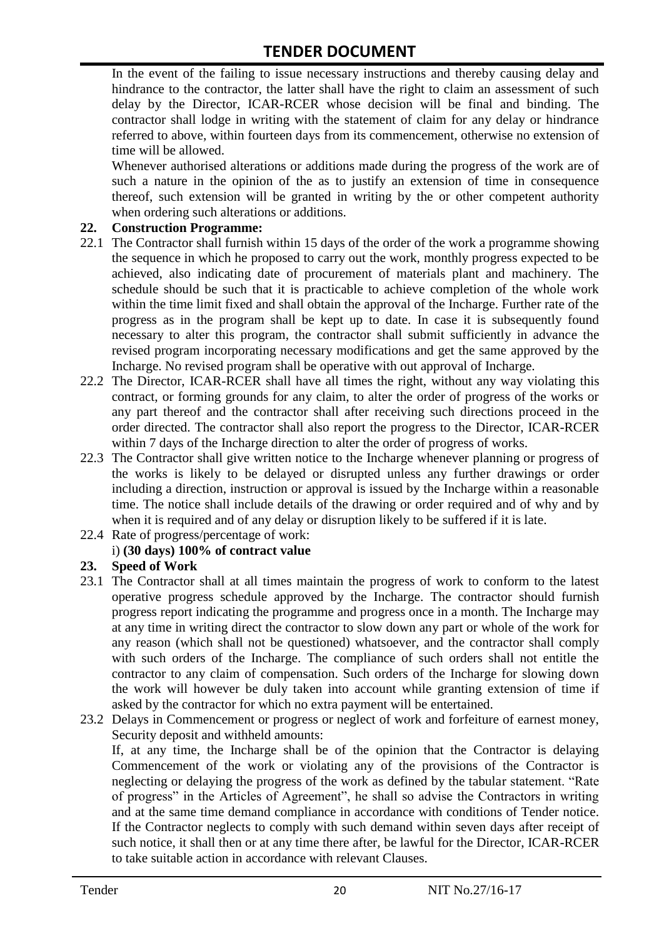In the event of the failing to issue necessary instructions and thereby causing delay and hindrance to the contractor, the latter shall have the right to claim an assessment of such delay by the Director, ICAR-RCER whose decision will be final and binding. The contractor shall lodge in writing with the statement of claim for any delay or hindrance referred to above, within fourteen days from its commencement, otherwise no extension of time will be allowed.

Whenever authorised alterations or additions made during the progress of the work are of such a nature in the opinion of the as to justify an extension of time in consequence thereof, such extension will be granted in writing by the or other competent authority when ordering such alterations or additions.

#### **22. Construction Programme:**

- 22.1 The Contractor shall furnish within 15 days of the order of the work a programme showing the sequence in which he proposed to carry out the work, monthly progress expected to be achieved, also indicating date of procurement of materials plant and machinery. The schedule should be such that it is practicable to achieve completion of the whole work within the time limit fixed and shall obtain the approval of the Incharge. Further rate of the progress as in the program shall be kept up to date. In case it is subsequently found necessary to alter this program, the contractor shall submit sufficiently in advance the revised program incorporating necessary modifications and get the same approved by the Incharge. No revised program shall be operative with out approval of Incharge.
- 22.2 The Director, ICAR-RCER shall have all times the right, without any way violating this contract, or forming grounds for any claim, to alter the order of progress of the works or any part thereof and the contractor shall after receiving such directions proceed in the order directed. The contractor shall also report the progress to the Director, ICAR-RCER within 7 days of the Incharge direction to alter the order of progress of works.
- 22.3 The Contractor shall give written notice to the Incharge whenever planning or progress of the works is likely to be delayed or disrupted unless any further drawings or order including a direction, instruction or approval is issued by the Incharge within a reasonable time. The notice shall include details of the drawing or order required and of why and by when it is required and of any delay or disruption likely to be suffered if it is late.
- 22.4 Rate of progress/percentage of work:

#### i) **(30 days) 100% of contract value**

#### **23. Speed of Work**

- 23.1 The Contractor shall at all times maintain the progress of work to conform to the latest operative progress schedule approved by the Incharge. The contractor should furnish progress report indicating the programme and progress once in a month. The Incharge may at any time in writing direct the contractor to slow down any part or whole of the work for any reason (which shall not be questioned) whatsoever, and the contractor shall comply with such orders of the Incharge. The compliance of such orders shall not entitle the contractor to any claim of compensation. Such orders of the Incharge for slowing down the work will however be duly taken into account while granting extension of time if asked by the contractor for which no extra payment will be entertained.
- 23.2 Delays in Commencement or progress or neglect of work and forfeiture of earnest money, Security deposit and withheld amounts:

If, at any time, the Incharge shall be of the opinion that the Contractor is delaying Commencement of the work or violating any of the provisions of the Contractor is neglecting or delaying the progress of the work as defined by the tabular statement. "Rate of progress" in the Articles of Agreement", he shall so advise the Contractors in writing and at the same time demand compliance in accordance with conditions of Tender notice. If the Contractor neglects to comply with such demand within seven days after receipt of such notice, it shall then or at any time there after, be lawful for the Director, ICAR-RCER to take suitable action in accordance with relevant Clauses.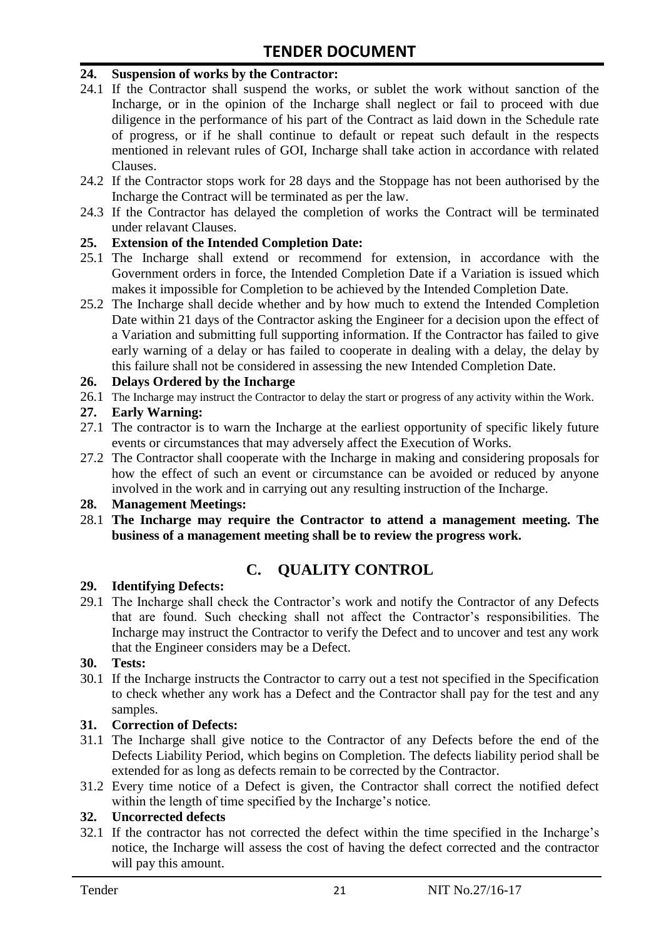#### **24. Suspension of works by the Contractor:**

- 24.1 If the Contractor shall suspend the works, or sublet the work without sanction of the Incharge, or in the opinion of the Incharge shall neglect or fail to proceed with due diligence in the performance of his part of the Contract as laid down in the Schedule rate of progress, or if he shall continue to default or repeat such default in the respects mentioned in relevant rules of GOI, Incharge shall take action in accordance with related Clauses.
- 24.2 If the Contractor stops work for 28 days and the Stoppage has not been authorised by the Incharge the Contract will be terminated as per the law.
- 24.3 If the Contractor has delayed the completion of works the Contract will be terminated under relavant Clauses.

#### **25. Extension of the Intended Completion Date:**

- 25.1 The Incharge shall extend or recommend for extension, in accordance with the Government orders in force, the Intended Completion Date if a Variation is issued which makes it impossible for Completion to be achieved by the Intended Completion Date.
- 25.2 The Incharge shall decide whether and by how much to extend the Intended Completion Date within 21 days of the Contractor asking the Engineer for a decision upon the effect of a Variation and submitting full supporting information. If the Contractor has failed to give early warning of a delay or has failed to cooperate in dealing with a delay, the delay by this failure shall not be considered in assessing the new Intended Completion Date.

#### **26. Delays Ordered by the Incharge**

26.1 The Incharge may instruct the Contractor to delay the start or progress of any activity within the Work.

#### **27. Early Warning:**

- 27.1 The contractor is to warn the Incharge at the earliest opportunity of specific likely future events or circumstances that may adversely affect the Execution of Works.
- 27.2 The Contractor shall cooperate with the Incharge in making and considering proposals for how the effect of such an event or circumstance can be avoided or reduced by anyone involved in the work and in carrying out any resulting instruction of the Incharge.

#### **28. Management Meetings:**

28.1 **The Incharge may require the Contractor to attend a management meeting. The business of a management meeting shall be to review the progress work.**

## **C. QUALITY CONTROL**

#### **29. Identifying Defects:**

29.1 The Incharge shall check the Contractor's work and notify the Contractor of any Defects that are found. Such checking shall not affect the Contractor"s responsibilities. The Incharge may instruct the Contractor to verify the Defect and to uncover and test any work that the Engineer considers may be a Defect.

#### **30. Tests:**

30.1 If the Incharge instructs the Contractor to carry out a test not specified in the Specification to check whether any work has a Defect and the Contractor shall pay for the test and any samples.

#### **31. Correction of Defects:**

- 31.1 The Incharge shall give notice to the Contractor of any Defects before the end of the Defects Liability Period, which begins on Completion. The defects liability period shall be extended for as long as defects remain to be corrected by the Contractor.
- 31.2 Every time notice of a Defect is given, the Contractor shall correct the notified defect within the length of time specified by the Incharge's notice.

#### **32. Uncorrected defects**

32.1 If the contractor has not corrected the defect within the time specified in the Incharge"s notice, the Incharge will assess the cost of having the defect corrected and the contractor will pay this amount.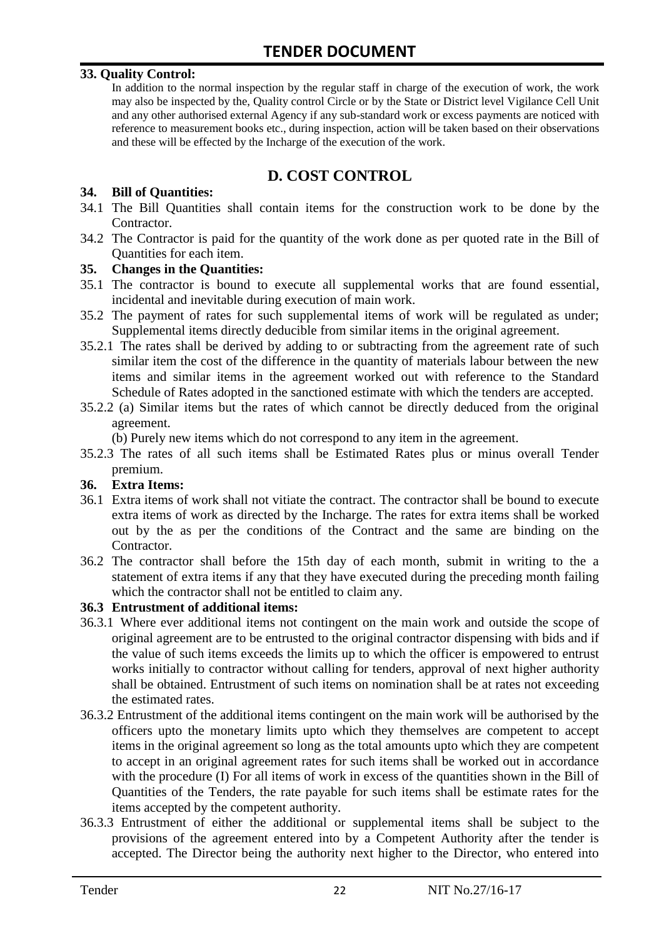#### **33. Quality Control:**

In addition to the normal inspection by the regular staff in charge of the execution of work, the work may also be inspected by the, Quality control Circle or by the State or District level Vigilance Cell Unit and any other authorised external Agency if any sub-standard work or excess payments are noticed with reference to measurement books etc., during inspection, action will be taken based on their observations and these will be effected by the Incharge of the execution of the work.

# **D. COST CONTROL**

#### **34. Bill of Quantities:**

- 34.1 The Bill Quantities shall contain items for the construction work to be done by the Contractor.
- 34.2 The Contractor is paid for the quantity of the work done as per quoted rate in the Bill of Quantities for each item.

#### **35. Changes in the Quantities:**

- 35.1 The contractor is bound to execute all supplemental works that are found essential, incidental and inevitable during execution of main work.
- 35.2 The payment of rates for such supplemental items of work will be regulated as under; Supplemental items directly deducible from similar items in the original agreement.
- 35.2.1 The rates shall be derived by adding to or subtracting from the agreement rate of such similar item the cost of the difference in the quantity of materials labour between the new items and similar items in the agreement worked out with reference to the Standard Schedule of Rates adopted in the sanctioned estimate with which the tenders are accepted.
- 35.2.2 (a) Similar items but the rates of which cannot be directly deduced from the original agreement.

(b) Purely new items which do not correspond to any item in the agreement.

35.2.3 The rates of all such items shall be Estimated Rates plus or minus overall Tender premium.

#### **36. Extra Items:**

- 36.1 Extra items of work shall not vitiate the contract. The contractor shall be bound to execute extra items of work as directed by the Incharge. The rates for extra items shall be worked out by the as per the conditions of the Contract and the same are binding on the Contractor.
- 36.2 The contractor shall before the 15th day of each month, submit in writing to the a statement of extra items if any that they have executed during the preceding month failing which the contractor shall not be entitled to claim any.

#### **36.3 Entrustment of additional items:**

- 36.3.1 Where ever additional items not contingent on the main work and outside the scope of original agreement are to be entrusted to the original contractor dispensing with bids and if the value of such items exceeds the limits up to which the officer is empowered to entrust works initially to contractor without calling for tenders, approval of next higher authority shall be obtained. Entrustment of such items on nomination shall be at rates not exceeding the estimated rates.
- 36.3.2 Entrustment of the additional items contingent on the main work will be authorised by the officers upto the monetary limits upto which they themselves are competent to accept items in the original agreement so long as the total amounts upto which they are competent to accept in an original agreement rates for such items shall be worked out in accordance with the procedure (I) For all items of work in excess of the quantities shown in the Bill of Quantities of the Tenders, the rate payable for such items shall be estimate rates for the items accepted by the competent authority.
- 36.3.3 Entrustment of either the additional or supplemental items shall be subject to the provisions of the agreement entered into by a Competent Authority after the tender is accepted. The Director being the authority next higher to the Director, who entered into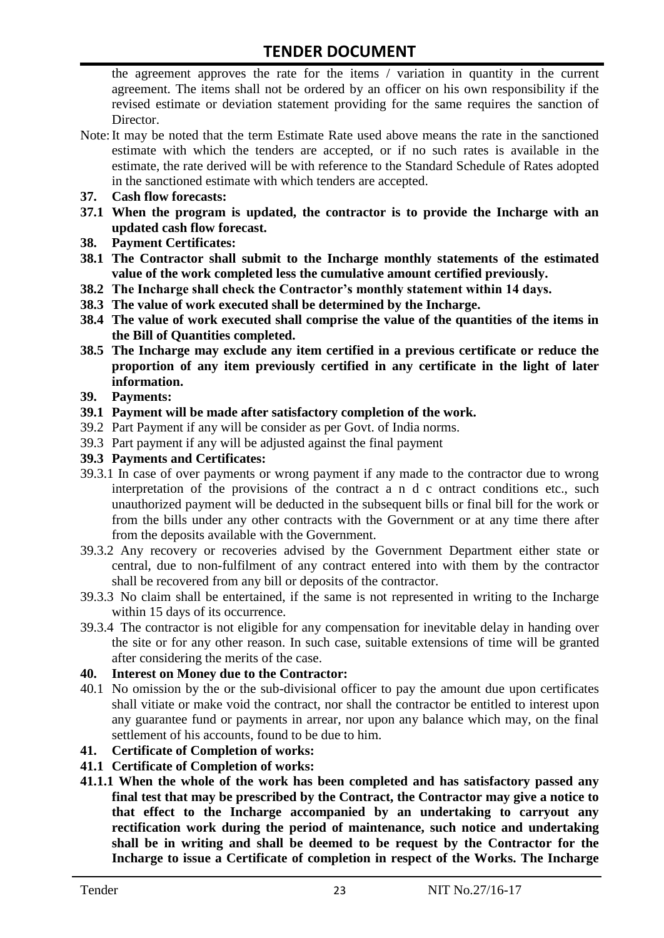the agreement approves the rate for the items / variation in quantity in the current agreement. The items shall not be ordered by an officer on his own responsibility if the revised estimate or deviation statement providing for the same requires the sanction of Director.

- Note:It may be noted that the term Estimate Rate used above means the rate in the sanctioned estimate with which the tenders are accepted, or if no such rates is available in the estimate, the rate derived will be with reference to the Standard Schedule of Rates adopted in the sanctioned estimate with which tenders are accepted.
- **37. Cash flow forecasts:**
- **37.1 When the program is updated, the contractor is to provide the Incharge with an updated cash flow forecast.**
- **38. Payment Certificates:**
- **38.1 The Contractor shall submit to the Incharge monthly statements of the estimated value of the work completed less the cumulative amount certified previously.**
- **38.2 The Incharge shall check the Contractor's monthly statement within 14 days.**
- **38.3 The value of work executed shall be determined by the Incharge.**
- **38.4 The value of work executed shall comprise the value of the quantities of the items in the Bill of Quantities completed.**
- **38.5 The Incharge may exclude any item certified in a previous certificate or reduce the proportion of any item previously certified in any certificate in the light of later information.**
- **39. Payments:**
- **39.1 Payment will be made after satisfactory completion of the work.**
- 39.2 Part Payment if any will be consider as per Govt. of India norms.
- 39.3 Part payment if any will be adjusted against the final payment
- **39.3 Payments and Certificates:**
- 39.3.1 In case of over payments or wrong payment if any made to the contractor due to wrong interpretation of the provisions of the contract a n d c ontract conditions etc., such unauthorized payment will be deducted in the subsequent bills or final bill for the work or from the bills under any other contracts with the Government or at any time there after from the deposits available with the Government.
- 39.3.2 Any recovery or recoveries advised by the Government Department either state or central, due to non-fulfilment of any contract entered into with them by the contractor shall be recovered from any bill or deposits of the contractor.
- 39.3.3 No claim shall be entertained, if the same is not represented in writing to the Incharge within 15 days of its occurrence.
- 39.3.4 The contractor is not eligible for any compensation for inevitable delay in handing over the site or for any other reason. In such case, suitable extensions of time will be granted after considering the merits of the case.

#### **40. Interest on Money due to the Contractor:**

- 40.1 No omission by the or the sub-divisional officer to pay the amount due upon certificates shall vitiate or make void the contract, nor shall the contractor be entitled to interest upon any guarantee fund or payments in arrear, nor upon any balance which may, on the final settlement of his accounts, found to be due to him.
- **41. Certificate of Completion of works:**
- **41.1 Certificate of Completion of works:**
- **41.1.1 When the whole of the work has been completed and has satisfactory passed any final test that may be prescribed by the Contract, the Contractor may give a notice to that effect to the Incharge accompanied by an undertaking to carryout any rectification work during the period of maintenance, such notice and undertaking shall be in writing and shall be deemed to be request by the Contractor for the Incharge to issue a Certificate of completion in respect of the Works. The Incharge**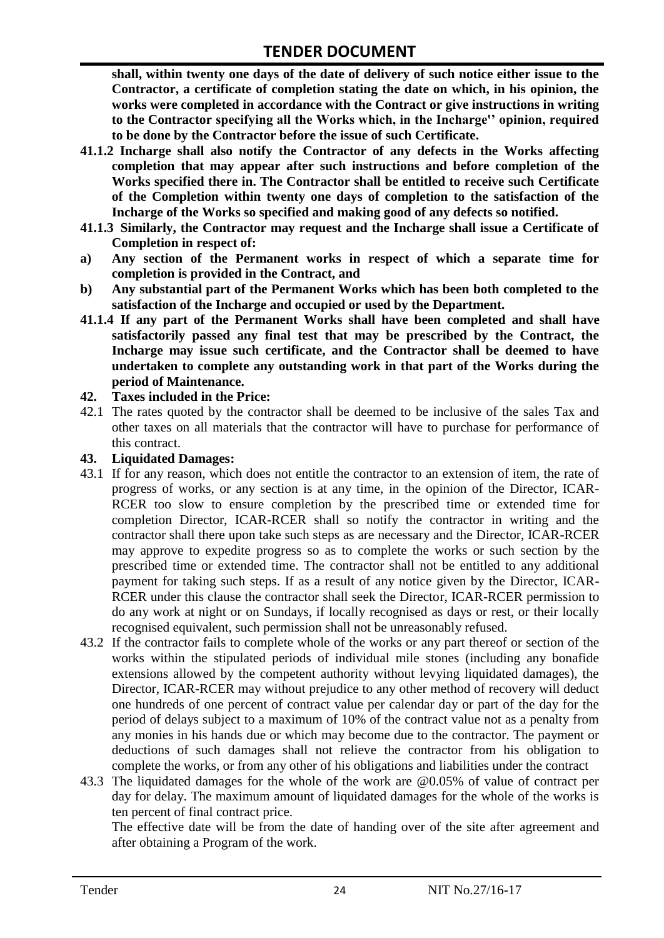**shall, within twenty one days of the date of delivery of such notice either issue to the Contractor, a certificate of completion stating the date on which, in his opinion, the works were completed in accordance with the Contract or give instructions in writing to the Contractor specifying all the Works which, in the Incharge'' opinion, required to be done by the Contractor before the issue of such Certificate.**

- **41.1.2 Incharge shall also notify the Contractor of any defects in the Works affecting completion that may appear after such instructions and before completion of the Works specified there in. The Contractor shall be entitled to receive such Certificate of the Completion within twenty one days of completion to the satisfaction of the Incharge of the Works so specified and making good of any defects so notified.**
- **41.1.3 Similarly, the Contractor may request and the Incharge shall issue a Certificate of Completion in respect of:**
- **a) Any section of the Permanent works in respect of which a separate time for completion is provided in the Contract, and**
- **b) Any substantial part of the Permanent Works which has been both completed to the satisfaction of the Incharge and occupied or used by the Department.**
- **41.1.4 If any part of the Permanent Works shall have been completed and shall have satisfactorily passed any final test that may be prescribed by the Contract, the Incharge may issue such certificate, and the Contractor shall be deemed to have undertaken to complete any outstanding work in that part of the Works during the period of Maintenance.**

#### **42. Taxes included in the Price:**

42.1 The rates quoted by the contractor shall be deemed to be inclusive of the sales Tax and other taxes on all materials that the contractor will have to purchase for performance of this contract.

#### **43. Liquidated Damages:**

- 43.1 If for any reason, which does not entitle the contractor to an extension of item, the rate of progress of works, or any section is at any time, in the opinion of the Director, ICAR-RCER too slow to ensure completion by the prescribed time or extended time for completion Director, ICAR-RCER shall so notify the contractor in writing and the contractor shall there upon take such steps as are necessary and the Director, ICAR-RCER may approve to expedite progress so as to complete the works or such section by the prescribed time or extended time. The contractor shall not be entitled to any additional payment for taking such steps. If as a result of any notice given by the Director, ICAR-RCER under this clause the contractor shall seek the Director, ICAR-RCER permission to do any work at night or on Sundays, if locally recognised as days or rest, or their locally recognised equivalent, such permission shall not be unreasonably refused.
- 43.2 If the contractor fails to complete whole of the works or any part thereof or section of the works within the stipulated periods of individual mile stones (including any bonafide extensions allowed by the competent authority without levying liquidated damages), the Director, ICAR-RCER may without prejudice to any other method of recovery will deduct one hundreds of one percent of contract value per calendar day or part of the day for the period of delays subject to a maximum of 10% of the contract value not as a penalty from any monies in his hands due or which may become due to the contractor. The payment or deductions of such damages shall not relieve the contractor from his obligation to complete the works, or from any other of his obligations and liabilities under the contract
- 43.3 The liquidated damages for the whole of the work are @0.05% of value of contract per day for delay. The maximum amount of liquidated damages for the whole of the works is ten percent of final contract price.

The effective date will be from the date of handing over of the site after agreement and after obtaining a Program of the work.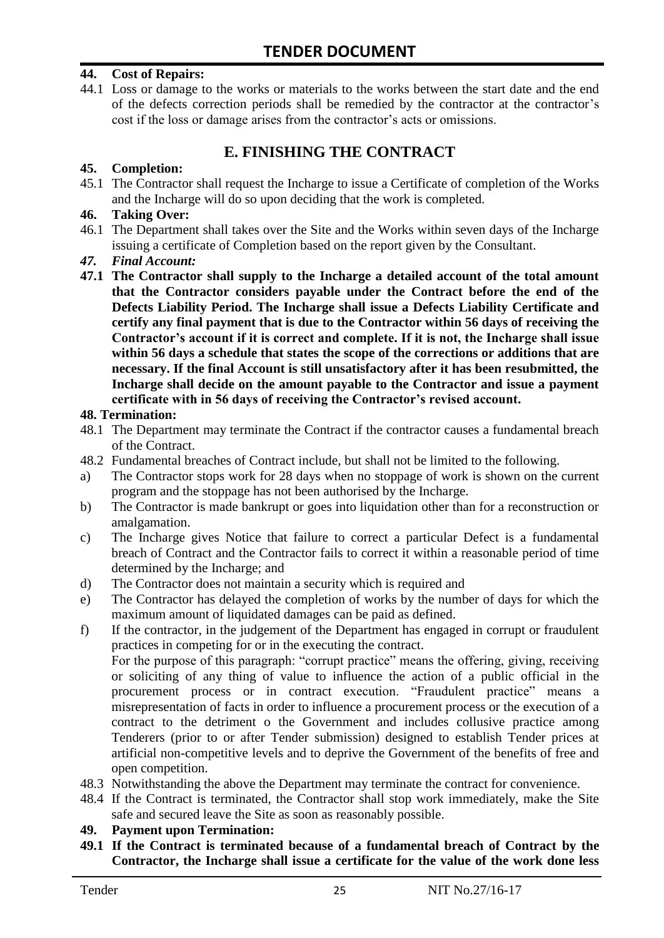#### **44. Cost of Repairs:**

44.1 Loss or damage to the works or materials to the works between the start date and the end of the defects correction periods shall be remedied by the contractor at the contractor"s cost if the loss or damage arises from the contractor's acts or omissions.

# **E. FINISHING THE CONTRACT**

#### **45. Completion:**

45.1 The Contractor shall request the Incharge to issue a Certificate of completion of the Works and the Incharge will do so upon deciding that the work is completed.

#### **46. Taking Over:**

- 46.1 The Department shall takes over the Site and the Works within seven days of the Incharge issuing a certificate of Completion based on the report given by the Consultant.
- *47. Final Account:*
- **47.1 The Contractor shall supply to the Incharge a detailed account of the total amount that the Contractor considers payable under the Contract before the end of the Defects Liability Period. The Incharge shall issue a Defects Liability Certificate and certify any final payment that is due to the Contractor within 56 days of receiving the Contractor's account if it is correct and complete. If it is not, the Incharge shall issue within 56 days a schedule that states the scope of the corrections or additions that are necessary. If the final Account is still unsatisfactory after it has been resubmitted, the Incharge shall decide on the amount payable to the Contractor and issue a payment certificate with in 56 days of receiving the Contractor's revised account.**

#### **48. Termination:**

- 48.1 The Department may terminate the Contract if the contractor causes a fundamental breach of the Contract.
- 48.2 Fundamental breaches of Contract include, but shall not be limited to the following.
- a) The Contractor stops work for 28 days when no stoppage of work is shown on the current program and the stoppage has not been authorised by the Incharge.
- b) The Contractor is made bankrupt or goes into liquidation other than for a reconstruction or amalgamation.
- c) The Incharge gives Notice that failure to correct a particular Defect is a fundamental breach of Contract and the Contractor fails to correct it within a reasonable period of time determined by the Incharge; and
- d) The Contractor does not maintain a security which is required and
- e) The Contractor has delayed the completion of works by the number of days for which the maximum amount of liquidated damages can be paid as defined.
- f) If the contractor, in the judgement of the Department has engaged in corrupt or fraudulent practices in competing for or in the executing the contract.

For the purpose of this paragraph: "corrupt practice" means the offering, giving, receiving or soliciting of any thing of value to influence the action of a public official in the procurement process or in contract execution. "Fraudulent practice" means a misrepresentation of facts in order to influence a procurement process or the execution of a contract to the detriment o the Government and includes collusive practice among Tenderers (prior to or after Tender submission) designed to establish Tender prices at artificial non-competitive levels and to deprive the Government of the benefits of free and open competition.

- 48.3 Notwithstanding the above the Department may terminate the contract for convenience.
- 48.4 If the Contract is terminated, the Contractor shall stop work immediately, make the Site safe and secured leave the Site as soon as reasonably possible.

#### **49. Payment upon Termination:**

**49.1 If the Contract is terminated because of a fundamental breach of Contract by the Contractor, the Incharge shall issue a certificate for the value of the work done less**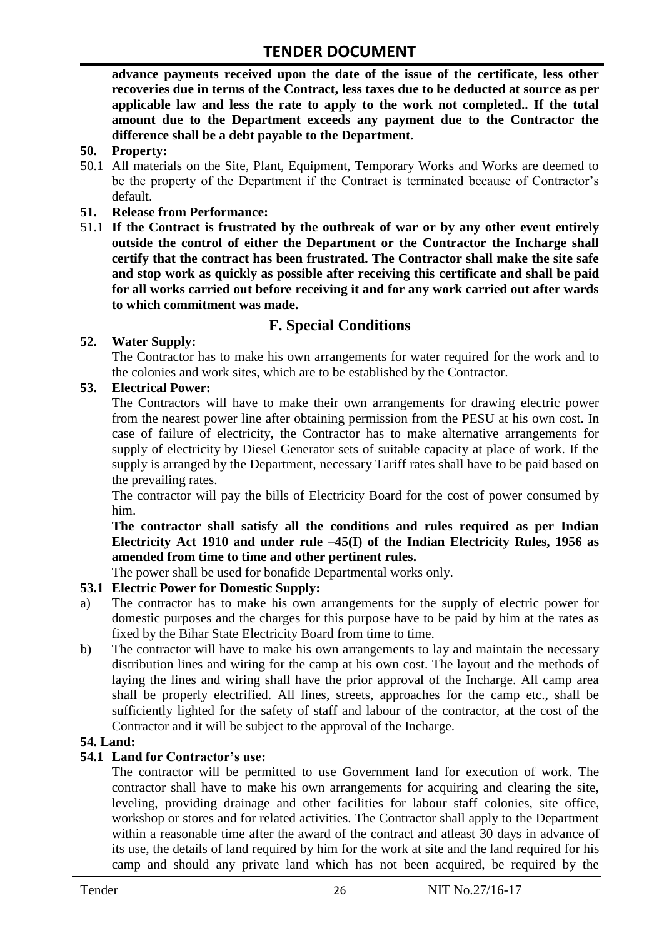**advance payments received upon the date of the issue of the certificate, less other recoveries due in terms of the Contract, less taxes due to be deducted at source as per applicable law and less the rate to apply to the work not completed.. If the total amount due to the Department exceeds any payment due to the Contractor the difference shall be a debt payable to the Department.**

- **50. Property:**
- 50.1 All materials on the Site, Plant, Equipment, Temporary Works and Works are deemed to be the property of the Department if the Contract is terminated because of Contractor's default.
- **51. Release from Performance:**
- 51.1 **If the Contract is frustrated by the outbreak of war or by any other event entirely outside the control of either the Department or the Contractor the Incharge shall certify that the contract has been frustrated. The Contractor shall make the site safe and stop work as quickly as possible after receiving this certificate and shall be paid for all works carried out before receiving it and for any work carried out after wards to which commitment was made.**

# **F. Special Conditions**

#### **52. Water Supply:**

The Contractor has to make his own arrangements for water required for the work and to the colonies and work sites, which are to be established by the Contractor.

#### **53. Electrical Power:**

The Contractors will have to make their own arrangements for drawing electric power from the nearest power line after obtaining permission from the PESU at his own cost. In case of failure of electricity, the Contractor has to make alternative arrangements for supply of electricity by Diesel Generator sets of suitable capacity at place of work. If the supply is arranged by the Department, necessary Tariff rates shall have to be paid based on the prevailing rates.

The contractor will pay the bills of Electricity Board for the cost of power consumed by him.

**The contractor shall satisfy all the conditions and rules required as per Indian Electricity Act 1910 and under rule –45(I) of the Indian Electricity Rules, 1956 as amended from time to time and other pertinent rules.**

The power shall be used for bonafide Departmental works only.

#### **53.1 Electric Power for Domestic Supply:**

- a) The contractor has to make his own arrangements for the supply of electric power for domestic purposes and the charges for this purpose have to be paid by him at the rates as fixed by the Bihar State Electricity Board from time to time.
- b) The contractor will have to make his own arrangements to lay and maintain the necessary distribution lines and wiring for the camp at his own cost. The layout and the methods of laying the lines and wiring shall have the prior approval of the Incharge. All camp area shall be properly electrified. All lines, streets, approaches for the camp etc., shall be sufficiently lighted for the safety of staff and labour of the contractor, at the cost of the Contractor and it will be subject to the approval of the Incharge.

#### **54. Land:**

#### **54.1 Land for Contractor's use:**

The contractor will be permitted to use Government land for execution of work. The contractor shall have to make his own arrangements for acquiring and clearing the site, leveling, providing drainage and other facilities for labour staff colonies, site office, workshop or stores and for related activities. The Contractor shall apply to the Department within a reasonable time after the award of the contract and atleast 30 days in advance of its use, the details of land required by him for the work at site and the land required for his camp and should any private land which has not been acquired, be required by the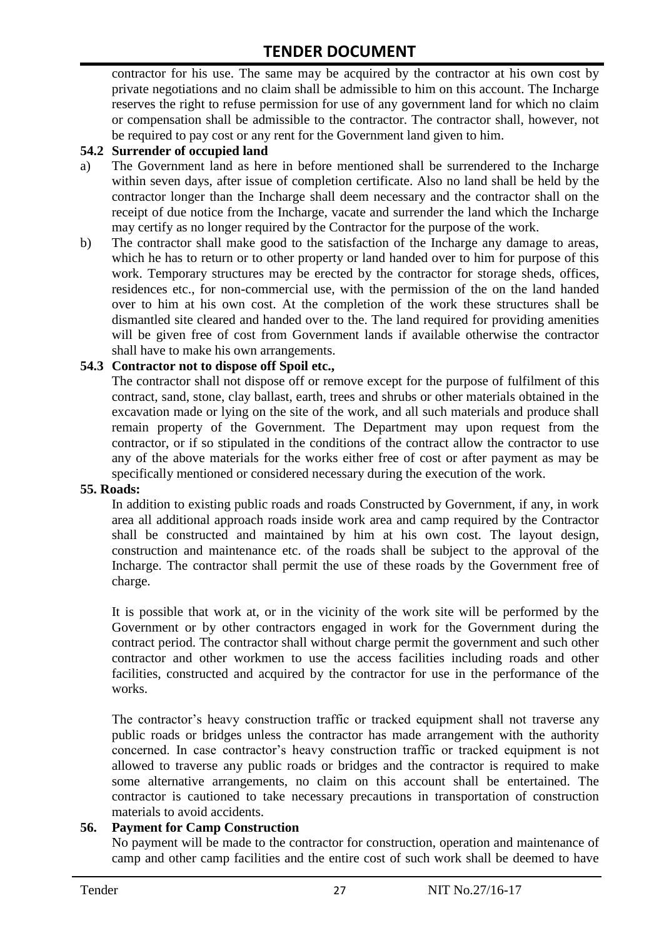contractor for his use. The same may be acquired by the contractor at his own cost by private negotiations and no claim shall be admissible to him on this account. The Incharge reserves the right to refuse permission for use of any government land for which no claim or compensation shall be admissible to the contractor. The contractor shall, however, not be required to pay cost or any rent for the Government land given to him.

#### **54.2 Surrender of occupied land**

- a) The Government land as here in before mentioned shall be surrendered to the Incharge within seven days, after issue of completion certificate. Also no land shall be held by the contractor longer than the Incharge shall deem necessary and the contractor shall on the receipt of due notice from the Incharge, vacate and surrender the land which the Incharge may certify as no longer required by the Contractor for the purpose of the work.
- b) The contractor shall make good to the satisfaction of the Incharge any damage to areas, which he has to return or to other property or land handed over to him for purpose of this work. Temporary structures may be erected by the contractor for storage sheds, offices, residences etc., for non-commercial use, with the permission of the on the land handed over to him at his own cost. At the completion of the work these structures shall be dismantled site cleared and handed over to the. The land required for providing amenities will be given free of cost from Government lands if available otherwise the contractor shall have to make his own arrangements.

#### **54.3 Contractor not to dispose off Spoil etc.,**

The contractor shall not dispose off or remove except for the purpose of fulfilment of this contract, sand, stone, clay ballast, earth, trees and shrubs or other materials obtained in the excavation made or lying on the site of the work, and all such materials and produce shall remain property of the Government. The Department may upon request from the contractor, or if so stipulated in the conditions of the contract allow the contractor to use any of the above materials for the works either free of cost or after payment as may be specifically mentioned or considered necessary during the execution of the work.

#### **55. Roads:**

In addition to existing public roads and roads Constructed by Government, if any, in work area all additional approach roads inside work area and camp required by the Contractor shall be constructed and maintained by him at his own cost. The layout design, construction and maintenance etc. of the roads shall be subject to the approval of the Incharge. The contractor shall permit the use of these roads by the Government free of charge.

It is possible that work at, or in the vicinity of the work site will be performed by the Government or by other contractors engaged in work for the Government during the contract period. The contractor shall without charge permit the government and such other contractor and other workmen to use the access facilities including roads and other facilities, constructed and acquired by the contractor for use in the performance of the works.

The contractor's heavy construction traffic or tracked equipment shall not traverse any public roads or bridges unless the contractor has made arrangement with the authority concerned. In case contractor"s heavy construction traffic or tracked equipment is not allowed to traverse any public roads or bridges and the contractor is required to make some alternative arrangements, no claim on this account shall be entertained. The contractor is cautioned to take necessary precautions in transportation of construction materials to avoid accidents.

#### **56. Payment for Camp Construction**

No payment will be made to the contractor for construction, operation and maintenance of camp and other camp facilities and the entire cost of such work shall be deemed to have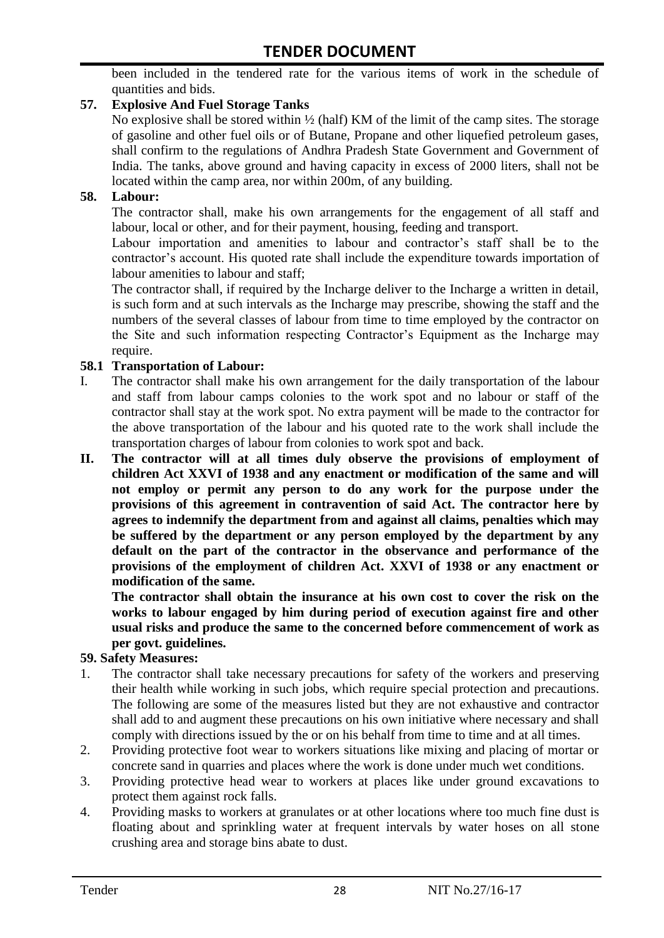been included in the tendered rate for the various items of work in the schedule of quantities and bids.

#### **57. Explosive And Fuel Storage Tanks**

No explosive shall be stored within ½ (half) KM of the limit of the camp sites. The storage of gasoline and other fuel oils or of Butane, Propane and other liquefied petroleum gases, shall confirm to the regulations of Andhra Pradesh State Government and Government of India. The tanks, above ground and having capacity in excess of 2000 liters, shall not be located within the camp area, nor within 200m, of any building.

#### **58. Labour:**

The contractor shall, make his own arrangements for the engagement of all staff and labour, local or other, and for their payment, housing, feeding and transport.

Labour importation and amenities to labour and contractor's staff shall be to the contractor's account. His quoted rate shall include the expenditure towards importation of labour amenities to labour and staff;

The contractor shall, if required by the Incharge deliver to the Incharge a written in detail, is such form and at such intervals as the Incharge may prescribe, showing the staff and the numbers of the several classes of labour from time to time employed by the contractor on the Site and such information respecting Contractor"s Equipment as the Incharge may require.

#### **58.1 Transportation of Labour:**

- I. The contractor shall make his own arrangement for the daily transportation of the labour and staff from labour camps colonies to the work spot and no labour or staff of the contractor shall stay at the work spot. No extra payment will be made to the contractor for the above transportation of the labour and his quoted rate to the work shall include the transportation charges of labour from colonies to work spot and back.
- **II. The contractor will at all times duly observe the provisions of employment of children Act XXVI of 1938 and any enactment or modification of the same and will not employ or permit any person to do any work for the purpose under the provisions of this agreement in contravention of said Act. The contractor here by agrees to indemnify the department from and against all claims, penalties which may be suffered by the department or any person employed by the department by any default on the part of the contractor in the observance and performance of the provisions of the employment of children Act. XXVI of 1938 or any enactment or modification of the same.**

**The contractor shall obtain the insurance at his own cost to cover the risk on the works to labour engaged by him during period of execution against fire and other usual risks and produce the same to the concerned before commencement of work as per govt. guidelines.**

#### **59. Safety Measures:**

- 1. The contractor shall take necessary precautions for safety of the workers and preserving their health while working in such jobs, which require special protection and precautions. The following are some of the measures listed but they are not exhaustive and contractor shall add to and augment these precautions on his own initiative where necessary and shall comply with directions issued by the or on his behalf from time to time and at all times.
- 2. Providing protective foot wear to workers situations like mixing and placing of mortar or concrete sand in quarries and places where the work is done under much wet conditions.
- 3. Providing protective head wear to workers at places like under ground excavations to protect them against rock falls.
- 4. Providing masks to workers at granulates or at other locations where too much fine dust is floating about and sprinkling water at frequent intervals by water hoses on all stone crushing area and storage bins abate to dust.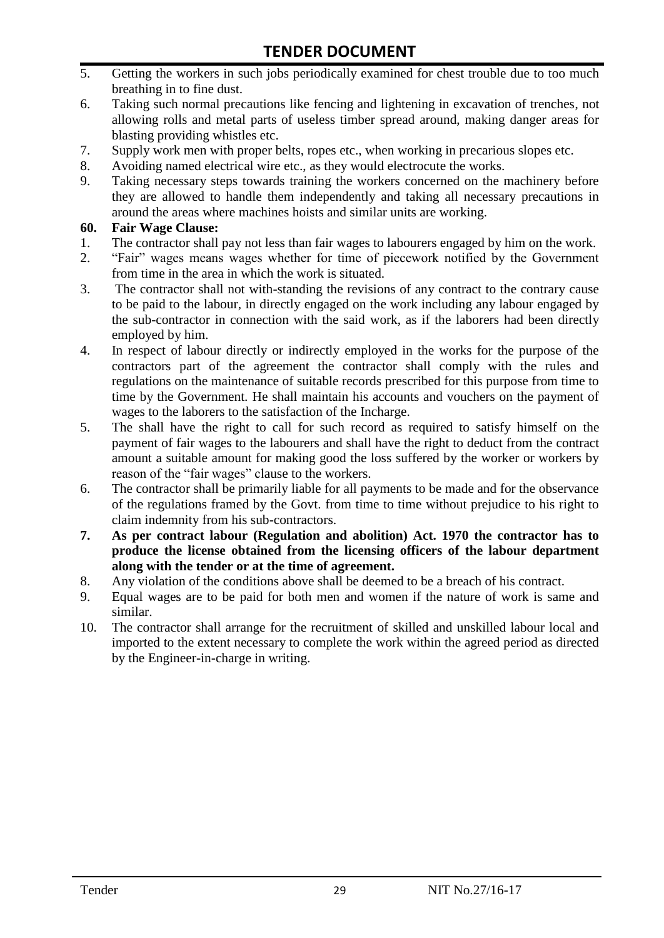- 5. Getting the workers in such jobs periodically examined for chest trouble due to too much breathing in to fine dust.
- 6. Taking such normal precautions like fencing and lightening in excavation of trenches, not allowing rolls and metal parts of useless timber spread around, making danger areas for blasting providing whistles etc.
- 7. Supply work men with proper belts, ropes etc., when working in precarious slopes etc.
- 8. Avoiding named electrical wire etc., as they would electrocute the works.
- 9. Taking necessary steps towards training the workers concerned on the machinery before they are allowed to handle them independently and taking all necessary precautions in around the areas where machines hoists and similar units are working.

#### **60. Fair Wage Clause:**

- 1. The contractor shall pay not less than fair wages to labourers engaged by him on the work.
- 2. "Fair" wages means wages whether for time of piecework notified by the Government from time in the area in which the work is situated.
- 3. The contractor shall not with-standing the revisions of any contract to the contrary cause to be paid to the labour, in directly engaged on the work including any labour engaged by the sub-contractor in connection with the said work, as if the laborers had been directly employed by him.
- 4. In respect of labour directly or indirectly employed in the works for the purpose of the contractors part of the agreement the contractor shall comply with the rules and regulations on the maintenance of suitable records prescribed for this purpose from time to time by the Government. He shall maintain his accounts and vouchers on the payment of wages to the laborers to the satisfaction of the Incharge.
- 5. The shall have the right to call for such record as required to satisfy himself on the payment of fair wages to the labourers and shall have the right to deduct from the contract amount a suitable amount for making good the loss suffered by the worker or workers by reason of the "fair wages" clause to the workers.
- 6. The contractor shall be primarily liable for all payments to be made and for the observance of the regulations framed by the Govt. from time to time without prejudice to his right to claim indemnity from his sub-contractors.
- **7. As per contract labour (Regulation and abolition) Act. 1970 the contractor has to produce the license obtained from the licensing officers of the labour department along with the tender or at the time of agreement.**
- 8. Any violation of the conditions above shall be deemed to be a breach of his contract.
- 9. Equal wages are to be paid for both men and women if the nature of work is same and similar.
- 10. The contractor shall arrange for the recruitment of skilled and unskilled labour local and imported to the extent necessary to complete the work within the agreed period as directed by the Engineer-in-charge in writing.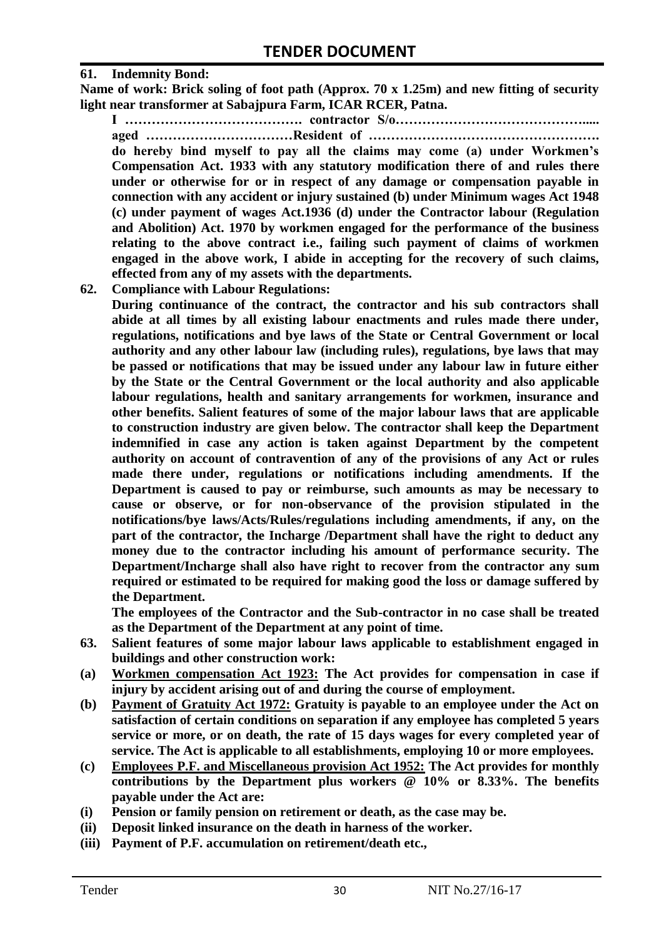#### **61. Indemnity Bond:**

**Name of work: Brick soling of foot path (Approx. 70 x 1.25m) and new fitting of security light near transformer at Sabajpura Farm, ICAR RCER, Patna.**

**I …………………………………. contractor S/o……………………………………..... aged ……………………………Resident of ……………………………………………. do hereby bind myself to pay all the claims may come (a) under Workmen's Compensation Act. 1933 with any statutory modification there of and rules there under or otherwise for or in respect of any damage or compensation payable in connection with any accident or injury sustained (b) under Minimum wages Act 1948 (c) under payment of wages Act.1936 (d) under the Contractor labour (Regulation and Abolition) Act. 1970 by workmen engaged for the performance of the business relating to the above contract i.e., failing such payment of claims of workmen engaged in the above work, I abide in accepting for the recovery of such claims, effected from any of my assets with the departments.**

**62. Compliance with Labour Regulations:**

**During continuance of the contract, the contractor and his sub contractors shall abide at all times by all existing labour enactments and rules made there under, regulations, notifications and bye laws of the State or Central Government or local authority and any other labour law (including rules), regulations, bye laws that may be passed or notifications that may be issued under any labour law in future either by the State or the Central Government or the local authority and also applicable labour regulations, health and sanitary arrangements for workmen, insurance and other benefits. Salient features of some of the major labour laws that are applicable to construction industry are given below. The contractor shall keep the Department indemnified in case any action is taken against Department by the competent authority on account of contravention of any of the provisions of any Act or rules made there under, regulations or notifications including amendments. If the Department is caused to pay or reimburse, such amounts as may be necessary to cause or observe, or for non-observance of the provision stipulated in the notifications/bye laws/Acts/Rules/regulations including amendments, if any, on the part of the contractor, the Incharge /Department shall have the right to deduct any money due to the contractor including his amount of performance security. The Department/Incharge shall also have right to recover from the contractor any sum required or estimated to be required for making good the loss or damage suffered by the Department.**

**The employees of the Contractor and the Sub-contractor in no case shall be treated as the Department of the Department at any point of time.**

- **63. Salient features of some major labour laws applicable to establishment engaged in buildings and other construction work:**
- **(a) Workmen compensation Act 1923: The Act provides for compensation in case if injury by accident arising out of and during the course of employment.**
- **(b) Payment of Gratuity Act 1972: Gratuity is payable to an employee under the Act on satisfaction of certain conditions on separation if any employee has completed 5 years service or more, or on death, the rate of 15 days wages for every completed year of service. The Act is applicable to all establishments, employing 10 or more employees.**
- **(c) Employees P.F. and Miscellaneous provision Act 1952: The Act provides for monthly contributions by the Department plus workers @ 10% or 8.33%. The benefits payable under the Act are:**
- **(i) Pension or family pension on retirement or death, as the case may be.**
- **(ii) Deposit linked insurance on the death in harness of the worker.**
- **(iii) Payment of P.F. accumulation on retirement/death etc.,**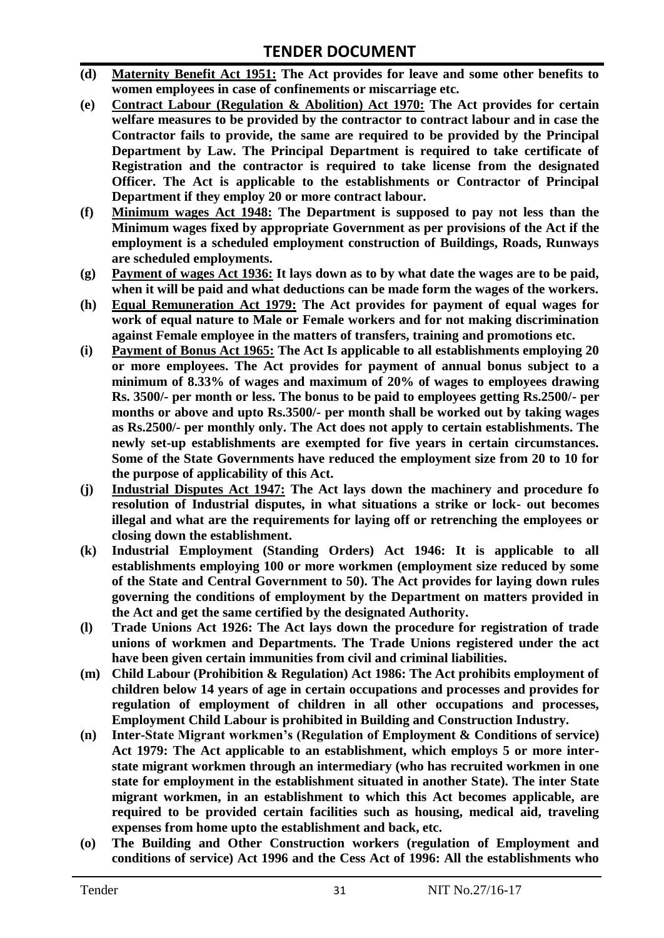- **(d) Maternity Benefit Act 1951: The Act provides for leave and some other benefits to women employees in case of confinements or miscarriage etc.**
- **(e) Contract Labour (Regulation & Abolition) Act 1970: The Act provides for certain**  welfare measures to be provided by the contractor to contract labour and in case the **Contractor fails to provide, the same are required to be provided by the Principal Department by Law. The Principal Department is required to take certificate of Registration and the contractor is required to take license from the designated Officer. The Act is applicable to the establishments or Contractor of Principal Department if they employ 20 or more contract labour.**
- **(f) Minimum wages Act 1948: The Department is supposed to pay not less than the Minimum wages fixed by appropriate Government as per provisions of the Act if the employment is a scheduled employment construction of Buildings, Roads, Runways are scheduled employments.**
- **(g) Payment of wages Act 1936: It lays down as to by what date the wages are to be paid, when it will be paid and what deductions can be made form the wages of the workers.**
- **(h) Equal Remuneration Act 1979: The Act provides for payment of equal wages for work of equal nature to Male or Female workers and for not making discrimination against Female employee in the matters of transfers, training and promotions etc.**
- **(i) Payment of Bonus Act 1965: The Act Is applicable to all establishments employing 20 or more employees. The Act provides for payment of annual bonus subject to a minimum of 8.33% of wages and maximum of 20% of wages to employees drawing Rs. 3500/- per month or less. The bonus to be paid to employees getting Rs.2500/- per months or above and upto Rs.3500/- per month shall be worked out by taking wages as Rs.2500/- per monthly only. The Act does not apply to certain establishments. The newly set-up establishments are exempted for five years in certain circumstances. Some of the State Governments have reduced the employment size from 20 to 10 for the purpose of applicability of this Act.**
- **(j) Industrial Disputes Act 1947: The Act lays down the machinery and procedure fo resolution of Industrial disputes, in what situations a strike or lock- out becomes illegal and what are the requirements for laying off or retrenching the employees or closing down the establishment.**
- **(k) Industrial Employment (Standing Orders) Act 1946: It is applicable to all establishments employing 100 or more workmen (employment size reduced by some of the State and Central Government to 50). The Act provides for laying down rules governing the conditions of employment by the Department on matters provided in the Act and get the same certified by the designated Authority.**
- **(l) Trade Unions Act 1926: The Act lays down the procedure for registration of trade unions of workmen and Departments. The Trade Unions registered under the act have been given certain immunities from civil and criminal liabilities.**
- **(m) Child Labour (Prohibition & Regulation) Act 1986: The Act prohibits employment of children below 14 years of age in certain occupations and processes and provides for regulation of employment of children in all other occupations and processes, Employment Child Labour is prohibited in Building and Construction Industry.**
- **(n) Inter-State Migrant workmen's (Regulation of Employment & Conditions of service) Act 1979: The Act applicable to an establishment, which employs 5 or more interstate migrant workmen through an intermediary (who has recruited workmen in one state for employment in the establishment situated in another State). The inter State migrant workmen, in an establishment to which this Act becomes applicable, are required to be provided certain facilities such as housing, medical aid, traveling expenses from home upto the establishment and back, etc.**
- **(o) The Building and Other Construction workers (regulation of Employment and conditions of service) Act 1996 and the Cess Act of 1996: All the establishments who**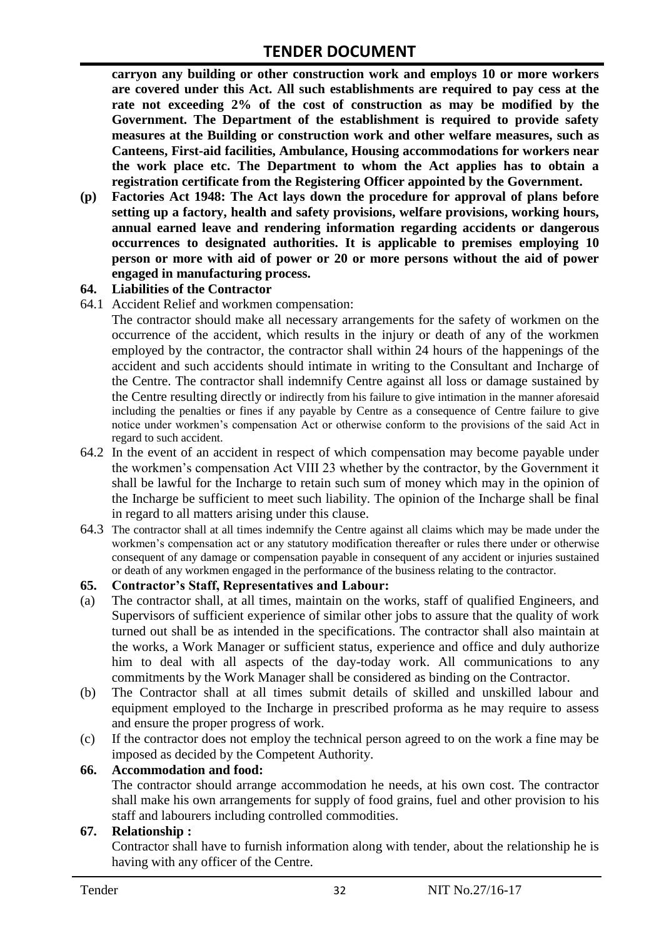**carryon any building or other construction work and employs 10 or more workers are covered under this Act. All such establishments are required to pay cess at the rate not exceeding 2% of the cost of construction as may be modified by the Government. The Department of the establishment is required to provide safety measures at the Building or construction work and other welfare measures, such as Canteens, First-aid facilities, Ambulance, Housing accommodations for workers near the work place etc. The Department to whom the Act applies has to obtain a registration certificate from the Registering Officer appointed by the Government.**

**(p) Factories Act 1948: The Act lays down the procedure for approval of plans before setting up a factory, health and safety provisions, welfare provisions, working hours, annual earned leave and rendering information regarding accidents or dangerous occurrences to designated authorities. It is applicable to premises employing 10 person or more with aid of power or 20 or more persons without the aid of power engaged in manufacturing process.**

#### **64. Liabilities of the Contractor**

64.1 Accident Relief and workmen compensation:

The contractor should make all necessary arrangements for the safety of workmen on the occurrence of the accident, which results in the injury or death of any of the workmen employed by the contractor, the contractor shall within 24 hours of the happenings of the accident and such accidents should intimate in writing to the Consultant and Incharge of the Centre. The contractor shall indemnify Centre against all loss or damage sustained by the Centre resulting directly or indirectly from his failure to give intimation in the manner aforesaid including the penalties or fines if any payable by Centre as a consequence of Centre failure to give notice under workmen"s compensation Act or otherwise conform to the provisions of the said Act in regard to such accident.

- 64.2 In the event of an accident in respect of which compensation may become payable under the workmen"s compensation Act VIII 23 whether by the contractor, by the Government it shall be lawful for the Incharge to retain such sum of money which may in the opinion of the Incharge be sufficient to meet such liability. The opinion of the Incharge shall be final in regard to all matters arising under this clause.
- 64.3 The contractor shall at all times indemnify the Centre against all claims which may be made under the workmen"s compensation act or any statutory modification thereafter or rules there under or otherwise consequent of any damage or compensation payable in consequent of any accident or injuries sustained or death of any workmen engaged in the performance of the business relating to the contractor.

#### **65. Contractor's Staff, Representatives and Labour:**

- (a) The contractor shall, at all times, maintain on the works, staff of qualified Engineers, and Supervisors of sufficient experience of similar other jobs to assure that the quality of work turned out shall be as intended in the specifications. The contractor shall also maintain at the works, a Work Manager or sufficient status, experience and office and duly authorize him to deal with all aspects of the day-today work. All communications to any commitments by the Work Manager shall be considered as binding on the Contractor.
- (b) The Contractor shall at all times submit details of skilled and unskilled labour and equipment employed to the Incharge in prescribed proforma as he may require to assess and ensure the proper progress of work.
- (c) If the contractor does not employ the technical person agreed to on the work a fine may be imposed as decided by the Competent Authority.

#### **66. Accommodation and food:**

The contractor should arrange accommodation he needs, at his own cost. The contractor shall make his own arrangements for supply of food grains, fuel and other provision to his staff and labourers including controlled commodities.

#### **67. Relationship :**

Contractor shall have to furnish information along with tender, about the relationship he is having with any officer of the Centre.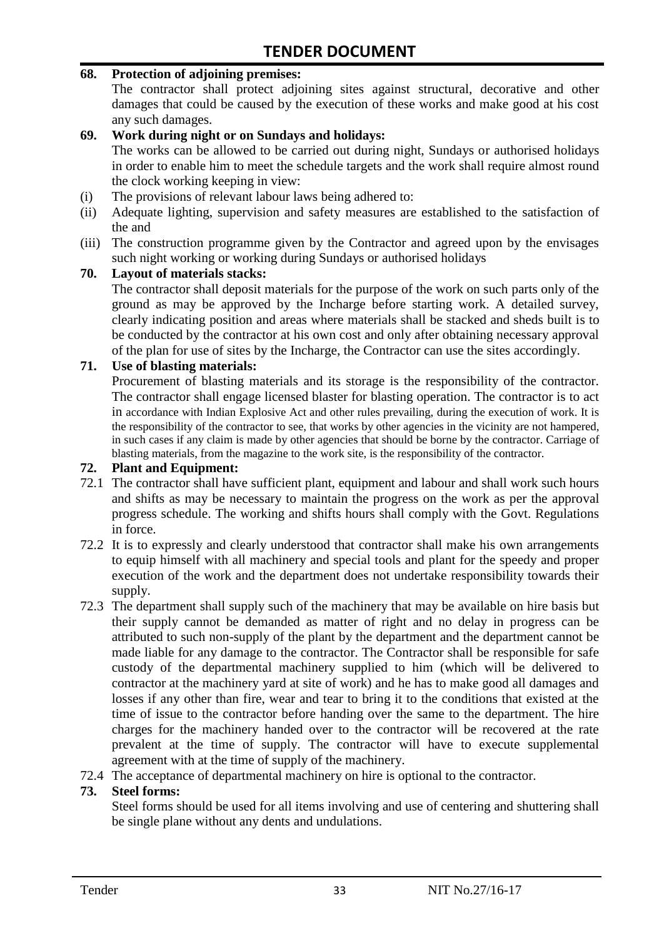#### **68. Protection of adjoining premises:**

The contractor shall protect adjoining sites against structural, decorative and other damages that could be caused by the execution of these works and make good at his cost any such damages.

#### **69. Work during night or on Sundays and holidays:**

The works can be allowed to be carried out during night, Sundays or authorised holidays in order to enable him to meet the schedule targets and the work shall require almost round the clock working keeping in view:

- (i) The provisions of relevant labour laws being adhered to:
- (ii) Adequate lighting, supervision and safety measures are established to the satisfaction of the and
- (iii) The construction programme given by the Contractor and agreed upon by the envisages such night working or working during Sundays or authorised holidays

#### **70. Layout of materials stacks:**

The contractor shall deposit materials for the purpose of the work on such parts only of the ground as may be approved by the Incharge before starting work. A detailed survey, clearly indicating position and areas where materials shall be stacked and sheds built is to be conducted by the contractor at his own cost and only after obtaining necessary approval of the plan for use of sites by the Incharge, the Contractor can use the sites accordingly.

#### **71. Use of blasting materials:**

Procurement of blasting materials and its storage is the responsibility of the contractor. The contractor shall engage licensed blaster for blasting operation. The contractor is to act in accordance with Indian Explosive Act and other rules prevailing, during the execution of work. It is the responsibility of the contractor to see, that works by other agencies in the vicinity are not hampered, in such cases if any claim is made by other agencies that should be borne by the contractor. Carriage of blasting materials, from the magazine to the work site, is the responsibility of the contractor.

#### **72. Plant and Equipment:**

- 72.1 The contractor shall have sufficient plant, equipment and labour and shall work such hours and shifts as may be necessary to maintain the progress on the work as per the approval progress schedule. The working and shifts hours shall comply with the Govt. Regulations in force.
- 72.2 It is to expressly and clearly understood that contractor shall make his own arrangements to equip himself with all machinery and special tools and plant for the speedy and proper execution of the work and the department does not undertake responsibility towards their supply.
- 72.3 The department shall supply such of the machinery that may be available on hire basis but their supply cannot be demanded as matter of right and no delay in progress can be attributed to such non-supply of the plant by the department and the department cannot be made liable for any damage to the contractor. The Contractor shall be responsible for safe custody of the departmental machinery supplied to him (which will be delivered to contractor at the machinery yard at site of work) and he has to make good all damages and losses if any other than fire, wear and tear to bring it to the conditions that existed at the time of issue to the contractor before handing over the same to the department. The hire charges for the machinery handed over to the contractor will be recovered at the rate prevalent at the time of supply. The contractor will have to execute supplemental agreement with at the time of supply of the machinery.
- 72.4 The acceptance of departmental machinery on hire is optional to the contractor.

#### **73. Steel forms:**

Steel forms should be used for all items involving and use of centering and shuttering shall be single plane without any dents and undulations.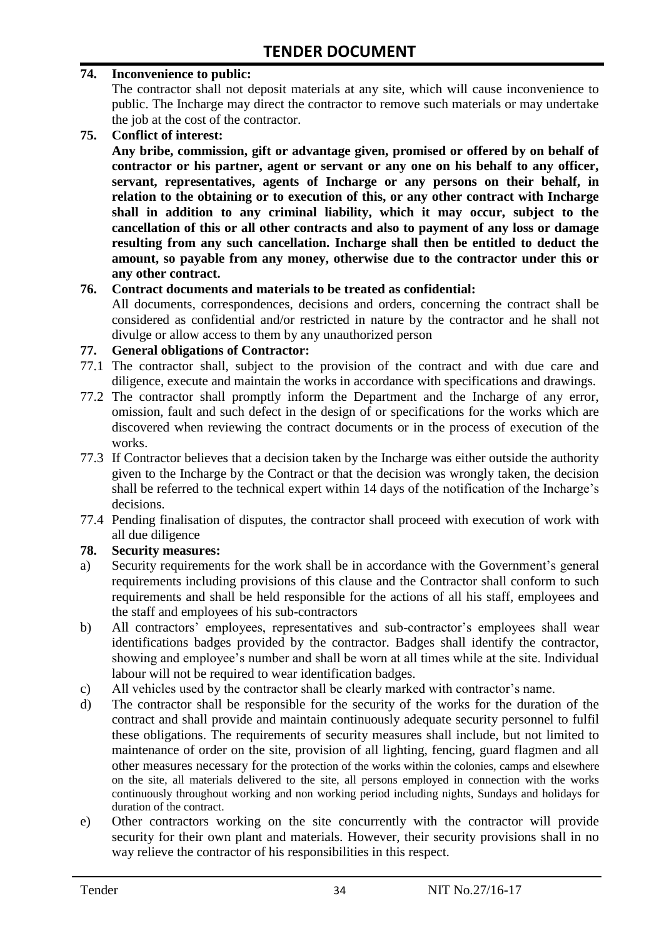#### **74. Inconvenience to public:**

The contractor shall not deposit materials at any site, which will cause inconvenience to public. The Incharge may direct the contractor to remove such materials or may undertake the job at the cost of the contractor.

**75. Conflict of interest:**

**Any bribe, commission, gift or advantage given, promised or offered by on behalf of contractor or his partner, agent or servant or any one on his behalf to any officer, servant, representatives, agents of Incharge or any persons on their behalf, in relation to the obtaining or to execution of this, or any other contract with Incharge shall in addition to any criminal liability, which it may occur, subject to the cancellation of this or all other contracts and also to payment of any loss or damage resulting from any such cancellation. Incharge shall then be entitled to deduct the amount, so payable from any money, otherwise due to the contractor under this or any other contract.**

#### **76. Contract documents and materials to be treated as confidential:**

All documents, correspondences, decisions and orders, concerning the contract shall be considered as confidential and/or restricted in nature by the contractor and he shall not divulge or allow access to them by any unauthorized person

#### **77. General obligations of Contractor:**

- 77.1 The contractor shall, subject to the provision of the contract and with due care and diligence, execute and maintain the works in accordance with specifications and drawings.
- 77.2 The contractor shall promptly inform the Department and the Incharge of any error, omission, fault and such defect in the design of or specifications for the works which are discovered when reviewing the contract documents or in the process of execution of the works.
- 77.3 If Contractor believes that a decision taken by the Incharge was either outside the authority given to the Incharge by the Contract or that the decision was wrongly taken, the decision shall be referred to the technical expert within 14 days of the notification of the Incharge's decisions.
- 77.4 Pending finalisation of disputes, the contractor shall proceed with execution of work with all due diligence

#### **78. Security measures:**

- a) Security requirements for the work shall be in accordance with the Government's general requirements including provisions of this clause and the Contractor shall conform to such requirements and shall be held responsible for the actions of all his staff, employees and the staff and employees of his sub-contractors
- b) All contractors' employees, representatives and sub-contractor's employees shall wear identifications badges provided by the contractor. Badges shall identify the contractor, showing and employee's number and shall be worn at all times while at the site. Individual labour will not be required to wear identification badges.
- c) All vehicles used by the contractor shall be clearly marked with contractor"s name.
- d) The contractor shall be responsible for the security of the works for the duration of the contract and shall provide and maintain continuously adequate security personnel to fulfil these obligations. The requirements of security measures shall include, but not limited to maintenance of order on the site, provision of all lighting, fencing, guard flagmen and all other measures necessary for the protection of the works within the colonies, camps and elsewhere on the site, all materials delivered to the site, all persons employed in connection with the works continuously throughout working and non working period including nights, Sundays and holidays for duration of the contract.
- e) Other contractors working on the site concurrently with the contractor will provide security for their own plant and materials. However, their security provisions shall in no way relieve the contractor of his responsibilities in this respect.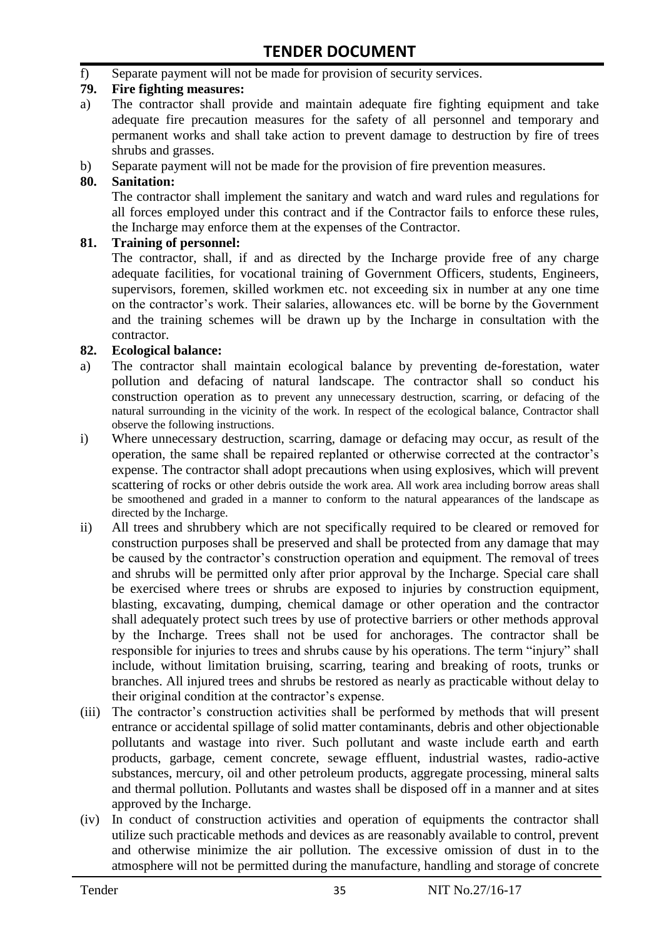f) Separate payment will not be made for provision of security services.

#### **79. Fire fighting measures:**

- a) The contractor shall provide and maintain adequate fire fighting equipment and take adequate fire precaution measures for the safety of all personnel and temporary and permanent works and shall take action to prevent damage to destruction by fire of trees shrubs and grasses.
- b) Separate payment will not be made for the provision of fire prevention measures.

#### **80. Sanitation:**

The contractor shall implement the sanitary and watch and ward rules and regulations for all forces employed under this contract and if the Contractor fails to enforce these rules, the Incharge may enforce them at the expenses of the Contractor.

#### **81. Training of personnel:**

The contractor, shall, if and as directed by the Incharge provide free of any charge adequate facilities, for vocational training of Government Officers, students, Engineers, supervisors, foremen, skilled workmen etc. not exceeding six in number at any one time on the contractor"s work. Their salaries, allowances etc. will be borne by the Government and the training schemes will be drawn up by the Incharge in consultation with the contractor.

#### **82. Ecological balance:**

- a) The contractor shall maintain ecological balance by preventing de-forestation, water pollution and defacing of natural landscape. The contractor shall so conduct his construction operation as to prevent any unnecessary destruction, scarring, or defacing of the natural surrounding in the vicinity of the work. In respect of the ecological balance, Contractor shall observe the following instructions.
- i) Where unnecessary destruction, scarring, damage or defacing may occur, as result of the operation, the same shall be repaired replanted or otherwise corrected at the contractor"s expense. The contractor shall adopt precautions when using explosives, which will prevent scattering of rocks or other debris outside the work area. All work area including borrow areas shall be smoothened and graded in a manner to conform to the natural appearances of the landscape as directed by the Incharge.
- ii) All trees and shrubbery which are not specifically required to be cleared or removed for construction purposes shall be preserved and shall be protected from any damage that may be caused by the contractor's construction operation and equipment. The removal of trees and shrubs will be permitted only after prior approval by the Incharge. Special care shall be exercised where trees or shrubs are exposed to injuries by construction equipment, blasting, excavating, dumping, chemical damage or other operation and the contractor shall adequately protect such trees by use of protective barriers or other methods approval by the Incharge. Trees shall not be used for anchorages. The contractor shall be responsible for injuries to trees and shrubs cause by his operations. The term "injury" shall include, without limitation bruising, scarring, tearing and breaking of roots, trunks or branches. All injured trees and shrubs be restored as nearly as practicable without delay to their original condition at the contractor"s expense.
- (iii) The contractor's construction activities shall be performed by methods that will present entrance or accidental spillage of solid matter contaminants, debris and other objectionable pollutants and wastage into river. Such pollutant and waste include earth and earth products, garbage, cement concrete, sewage effluent, industrial wastes, radio-active substances, mercury, oil and other petroleum products, aggregate processing, mineral salts and thermal pollution. Pollutants and wastes shall be disposed off in a manner and at sites approved by the Incharge.
- (iv) In conduct of construction activities and operation of equipments the contractor shall utilize such practicable methods and devices as are reasonably available to control, prevent and otherwise minimize the air pollution. The excessive omission of dust in to the atmosphere will not be permitted during the manufacture, handling and storage of concrete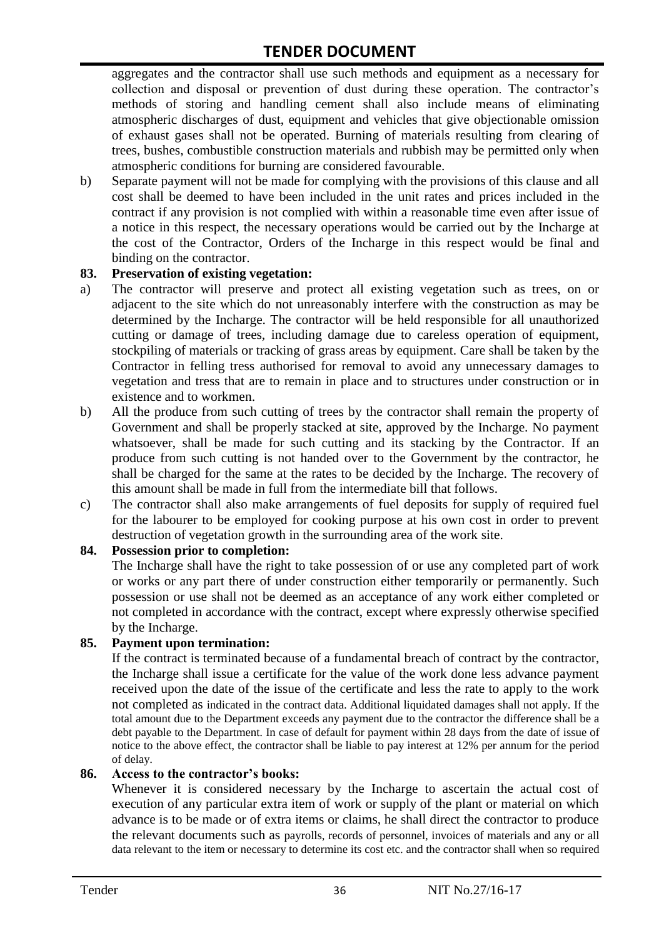aggregates and the contractor shall use such methods and equipment as a necessary for collection and disposal or prevention of dust during these operation. The contractor's methods of storing and handling cement shall also include means of eliminating atmospheric discharges of dust, equipment and vehicles that give objectionable omission of exhaust gases shall not be operated. Burning of materials resulting from clearing of trees, bushes, combustible construction materials and rubbish may be permitted only when atmospheric conditions for burning are considered favourable.

b) Separate payment will not be made for complying with the provisions of this clause and all cost shall be deemed to have been included in the unit rates and prices included in the contract if any provision is not complied with within a reasonable time even after issue of a notice in this respect, the necessary operations would be carried out by the Incharge at the cost of the Contractor, Orders of the Incharge in this respect would be final and binding on the contractor.

#### **83. Preservation of existing vegetation:**

- a) The contractor will preserve and protect all existing vegetation such as trees, on or adjacent to the site which do not unreasonably interfere with the construction as may be determined by the Incharge. The contractor will be held responsible for all unauthorized cutting or damage of trees, including damage due to careless operation of equipment, stockpiling of materials or tracking of grass areas by equipment. Care shall be taken by the Contractor in felling tress authorised for removal to avoid any unnecessary damages to vegetation and tress that are to remain in place and to structures under construction or in existence and to workmen.
- b) All the produce from such cutting of trees by the contractor shall remain the property of Government and shall be properly stacked at site, approved by the Incharge. No payment whatsoever, shall be made for such cutting and its stacking by the Contractor. If an produce from such cutting is not handed over to the Government by the contractor, he shall be charged for the same at the rates to be decided by the Incharge. The recovery of this amount shall be made in full from the intermediate bill that follows.
- c) The contractor shall also make arrangements of fuel deposits for supply of required fuel for the labourer to be employed for cooking purpose at his own cost in order to prevent destruction of vegetation growth in the surrounding area of the work site.

#### **84. Possession prior to completion:**

The Incharge shall have the right to take possession of or use any completed part of work or works or any part there of under construction either temporarily or permanently. Such possession or use shall not be deemed as an acceptance of any work either completed or not completed in accordance with the contract, except where expressly otherwise specified by the Incharge.

#### **85. Payment upon termination:**

If the contract is terminated because of a fundamental breach of contract by the contractor, the Incharge shall issue a certificate for the value of the work done less advance payment received upon the date of the issue of the certificate and less the rate to apply to the work not completed as indicated in the contract data. Additional liquidated damages shall not apply. If the total amount due to the Department exceeds any payment due to the contractor the difference shall be a debt payable to the Department. In case of default for payment within 28 days from the date of issue of notice to the above effect, the contractor shall be liable to pay interest at 12% per annum for the period of delay.

#### **86. Access to the contractor's books:**

Whenever it is considered necessary by the Incharge to ascertain the actual cost of execution of any particular extra item of work or supply of the plant or material on which advance is to be made or of extra items or claims, he shall direct the contractor to produce the relevant documents such as payrolls, records of personnel, invoices of materials and any or all data relevant to the item or necessary to determine its cost etc. and the contractor shall when so required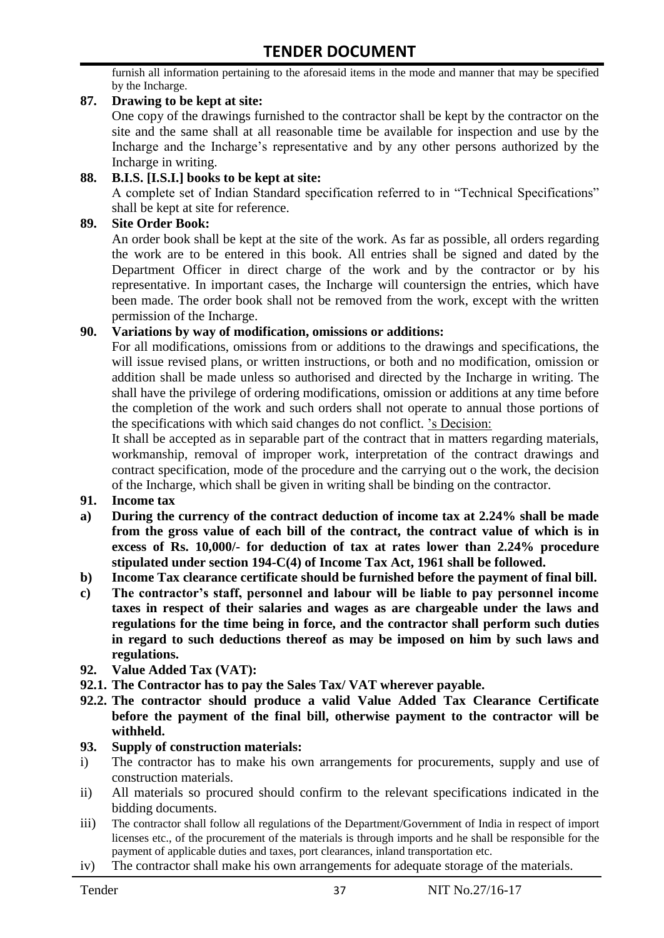furnish all information pertaining to the aforesaid items in the mode and manner that may be specified by the Incharge.

#### **87. Drawing to be kept at site:**

One copy of the drawings furnished to the contractor shall be kept by the contractor on the site and the same shall at all reasonable time be available for inspection and use by the Incharge and the Incharge"s representative and by any other persons authorized by the Incharge in writing.

#### **88. B.I.S. [I.S.I.] books to be kept at site:**

A complete set of Indian Standard specification referred to in "Technical Specifications" shall be kept at site for reference.

#### **89. Site Order Book:**

An order book shall be kept at the site of the work. As far as possible, all orders regarding the work are to be entered in this book. All entries shall be signed and dated by the Department Officer in direct charge of the work and by the contractor or by his representative. In important cases, the Incharge will countersign the entries, which have been made. The order book shall not be removed from the work, except with the written permission of the Incharge.

#### **90. Variations by way of modification, omissions or additions:**

For all modifications, omissions from or additions to the drawings and specifications, the will issue revised plans, or written instructions, or both and no modification, omission or addition shall be made unless so authorised and directed by the Incharge in writing. The shall have the privilege of ordering modifications, omission or additions at any time before the completion of the work and such orders shall not operate to annual those portions of the specifications with which said changes do not conflict. "s Decision:

It shall be accepted as in separable part of the contract that in matters regarding materials, workmanship, removal of improper work, interpretation of the contract drawings and contract specification, mode of the procedure and the carrying out o the work, the decision of the Incharge, which shall be given in writing shall be binding on the contractor.

- **91. Income tax**
- **a) During the currency of the contract deduction of income tax at 2.24% shall be made from the gross value of each bill of the contract, the contract value of which is in excess of Rs. 10,000/- for deduction of tax at rates lower than 2.24% procedure stipulated under section 194-C(4) of Income Tax Act, 1961 shall be followed.**
- **b) Income Tax clearance certificate should be furnished before the payment of final bill.**
- **c) The contractor's staff, personnel and labour will be liable to pay personnel income taxes in respect of their salaries and wages as are chargeable under the laws and regulations for the time being in force, and the contractor shall perform such duties in regard to such deductions thereof as may be imposed on him by such laws and regulations.**
- **92. Value Added Tax (VAT):**
- **92.1. The Contractor has to pay the Sales Tax/ VAT wherever payable.**
- **92.2. The contractor should produce a valid Value Added Tax Clearance Certificate before the payment of the final bill, otherwise payment to the contractor will be withheld.**

#### **93. Supply of construction materials:**

- i) The contractor has to make his own arrangements for procurements, supply and use of construction materials.
- ii) All materials so procured should confirm to the relevant specifications indicated in the bidding documents.
- iii) The contractor shall follow all regulations of the Department/Government of India in respect of import licenses etc., of the procurement of the materials is through imports and he shall be responsible for the payment of applicable duties and taxes, port clearances, inland transportation etc.
- iv) The contractor shall make his own arrangements for adequate storage of the materials.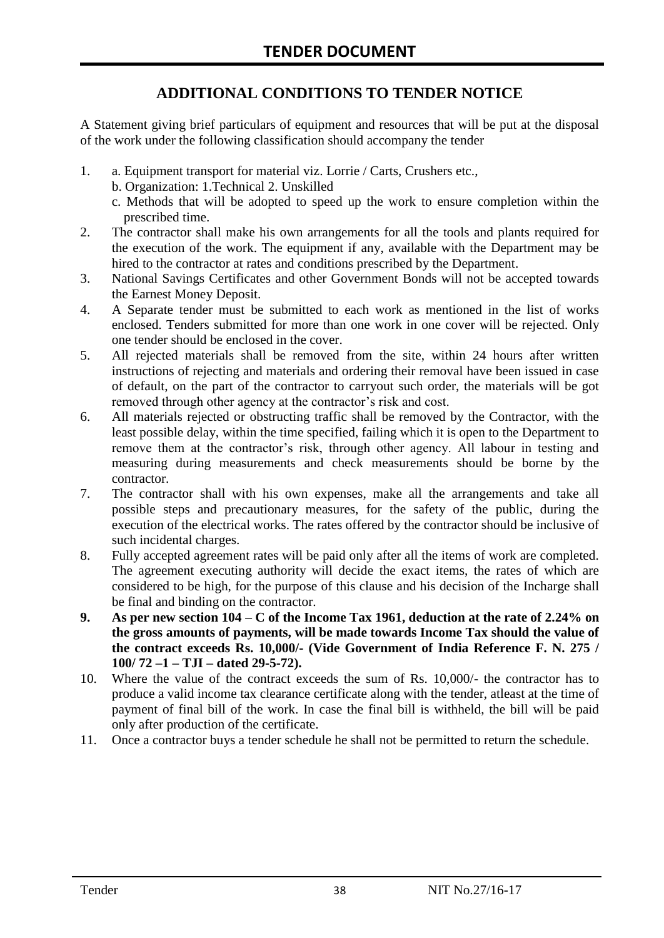# **ADDITIONAL CONDITIONS TO TENDER NOTICE**

A Statement giving brief particulars of equipment and resources that will be put at the disposal of the work under the following classification should accompany the tender

- 1. a. Equipment transport for material viz. Lorrie / Carts, Crushers etc.,
	- b. Organization: 1.Technical 2. Unskilled
	- c. Methods that will be adopted to speed up the work to ensure completion within the prescribed time.
- 2. The contractor shall make his own arrangements for all the tools and plants required for the execution of the work. The equipment if any, available with the Department may be hired to the contractor at rates and conditions prescribed by the Department.
- 3. National Savings Certificates and other Government Bonds will not be accepted towards the Earnest Money Deposit.
- 4. A Separate tender must be submitted to each work as mentioned in the list of works enclosed. Tenders submitted for more than one work in one cover will be rejected. Only one tender should be enclosed in the cover.
- 5. All rejected materials shall be removed from the site, within 24 hours after written instructions of rejecting and materials and ordering their removal have been issued in case of default, on the part of the contractor to carryout such order, the materials will be got removed through other agency at the contractor's risk and cost.
- 6. All materials rejected or obstructing traffic shall be removed by the Contractor, with the least possible delay, within the time specified, failing which it is open to the Department to remove them at the contractor's risk, through other agency. All labour in testing and measuring during measurements and check measurements should be borne by the contractor.
- 7. The contractor shall with his own expenses, make all the arrangements and take all possible steps and precautionary measures, for the safety of the public, during the execution of the electrical works. The rates offered by the contractor should be inclusive of such incidental charges.
- 8. Fully accepted agreement rates will be paid only after all the items of work are completed. The agreement executing authority will decide the exact items, the rates of which are considered to be high, for the purpose of this clause and his decision of the Incharge shall be final and binding on the contractor.
- **9. As per new section 104 – C of the Income Tax 1961, deduction at the rate of 2.24% on the gross amounts of payments, will be made towards Income Tax should the value of the contract exceeds Rs. 10,000/- (Vide Government of India Reference F. N. 275 / 100/ 72 –1 – TJI – dated 29-5-72).**
- 10. Where the value of the contract exceeds the sum of Rs. 10,000/- the contractor has to produce a valid income tax clearance certificate along with the tender, atleast at the time of payment of final bill of the work. In case the final bill is withheld, the bill will be paid only after production of the certificate.
- 11. Once a contractor buys a tender schedule he shall not be permitted to return the schedule.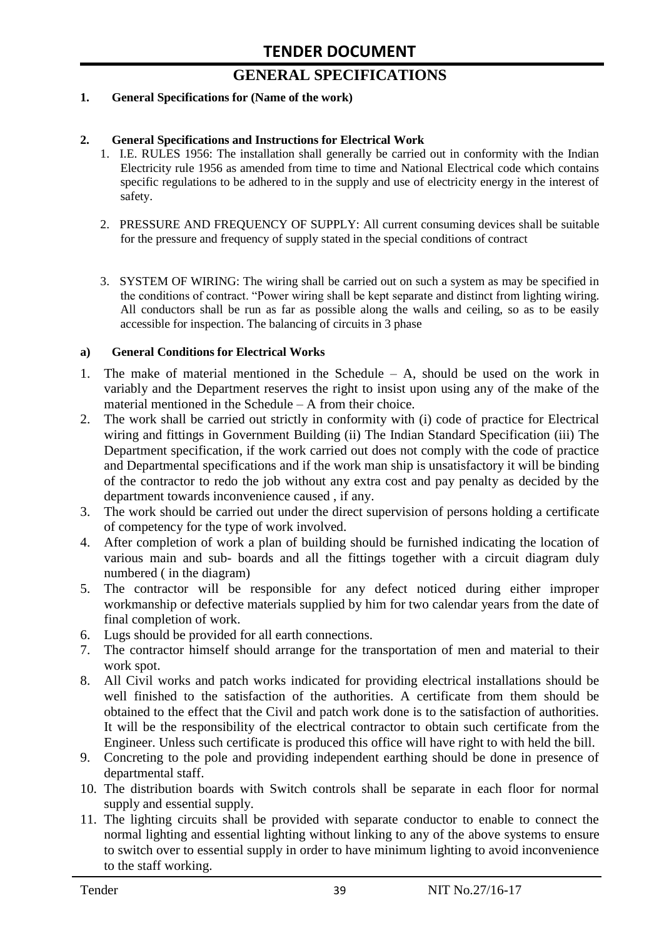# **GENERAL SPECIFICATIONS**

#### **1. General Specifications for (Name of the work)**

#### **2. General Specifications and Instructions for Electrical Work**

- 1. I.E. RULES 1956: The installation shall generally be carried out in conformity with the Indian Electricity rule 1956 as amended from time to time and National Electrical code which contains specific regulations to be adhered to in the supply and use of electricity energy in the interest of safety.
- 2. PRESSURE AND FREQUENCY OF SUPPLY: All current consuming devices shall be suitable for the pressure and frequency of supply stated in the special conditions of contract
- 3. SYSTEM OF WIRING: The wiring shall be carried out on such a system as may be specified in the conditions of contract. "Power wiring shall be kept separate and distinct from lighting wiring. All conductors shall be run as far as possible along the walls and ceiling, so as to be easily accessible for inspection. The balancing of circuits in 3 phase

#### **a) General Conditions for Electrical Works**

- 1. The make of material mentioned in the Schedule A, should be used on the work in variably and the Department reserves the right to insist upon using any of the make of the material mentioned in the Schedule – A from their choice.
- 2. The work shall be carried out strictly in conformity with (i) code of practice for Electrical wiring and fittings in Government Building (ii) The Indian Standard Specification (iii) The Department specification, if the work carried out does not comply with the code of practice and Departmental specifications and if the work man ship is unsatisfactory it will be binding of the contractor to redo the job without any extra cost and pay penalty as decided by the department towards inconvenience caused , if any.
- 3. The work should be carried out under the direct supervision of persons holding a certificate of competency for the type of work involved.
- 4. After completion of work a plan of building should be furnished indicating the location of various main and sub- boards and all the fittings together with a circuit diagram duly numbered ( in the diagram)
- 5. The contractor will be responsible for any defect noticed during either improper workmanship or defective materials supplied by him for two calendar years from the date of final completion of work.
- 6. Lugs should be provided for all earth connections.
- 7. The contractor himself should arrange for the transportation of men and material to their work spot.
- 8. All Civil works and patch works indicated for providing electrical installations should be well finished to the satisfaction of the authorities. A certificate from them should be obtained to the effect that the Civil and patch work done is to the satisfaction of authorities. It will be the responsibility of the electrical contractor to obtain such certificate from the Engineer. Unless such certificate is produced this office will have right to with held the bill.
- 9. Concreting to the pole and providing independent earthing should be done in presence of departmental staff.
- 10. The distribution boards with Switch controls shall be separate in each floor for normal supply and essential supply.
- 11. The lighting circuits shall be provided with separate conductor to enable to connect the normal lighting and essential lighting without linking to any of the above systems to ensure to switch over to essential supply in order to have minimum lighting to avoid inconvenience to the staff working.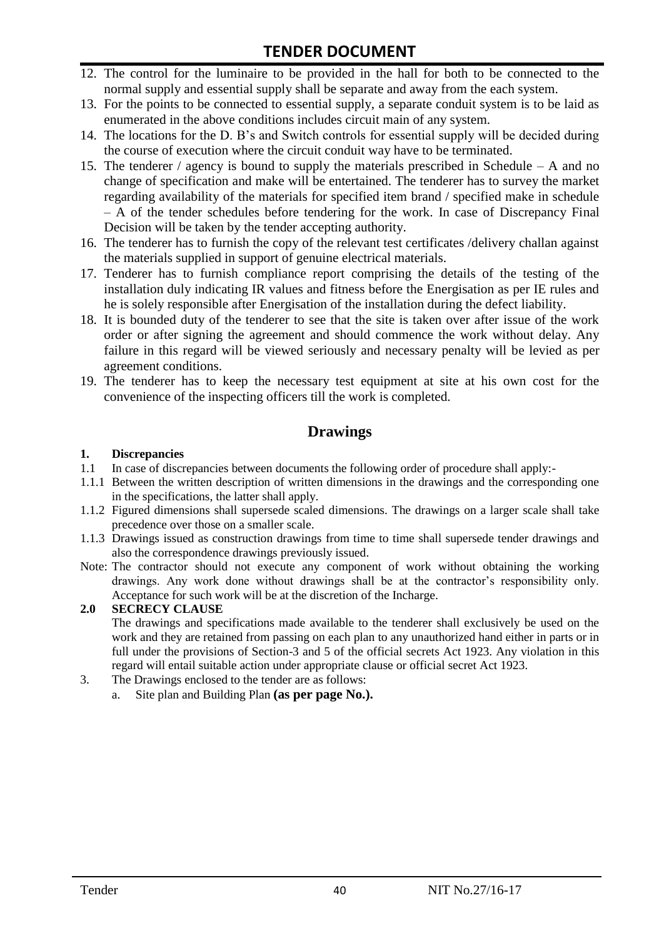- 12. The control for the luminaire to be provided in the hall for both to be connected to the normal supply and essential supply shall be separate and away from the each system.
- 13. For the points to be connected to essential supply, a separate conduit system is to be laid as enumerated in the above conditions includes circuit main of any system.
- 14. The locations for the D. B"s and Switch controls for essential supply will be decided during the course of execution where the circuit conduit way have to be terminated.
- 15. The tenderer / agency is bound to supply the materials prescribed in Schedule A and no change of specification and make will be entertained. The tenderer has to survey the market regarding availability of the materials for specified item brand / specified make in schedule – A of the tender schedules before tendering for the work. In case of Discrepancy Final Decision will be taken by the tender accepting authority.
- 16. The tenderer has to furnish the copy of the relevant test certificates /delivery challan against the materials supplied in support of genuine electrical materials.
- 17. Tenderer has to furnish compliance report comprising the details of the testing of the installation duly indicating IR values and fitness before the Energisation as per IE rules and he is solely responsible after Energisation of the installation during the defect liability.
- 18. It is bounded duty of the tenderer to see that the site is taken over after issue of the work order or after signing the agreement and should commence the work without delay. Any failure in this regard will be viewed seriously and necessary penalty will be levied as per agreement conditions.
- 19. The tenderer has to keep the necessary test equipment at site at his own cost for the convenience of the inspecting officers till the work is completed.

#### **Drawings**

#### **1. Discrepancies**

- 1.1 In case of discrepancies between documents the following order of procedure shall apply:-
- 1.1.1 Between the written description of written dimensions in the drawings and the corresponding one in the specifications, the latter shall apply.
- 1.1.2 Figured dimensions shall supersede scaled dimensions. The drawings on a larger scale shall take precedence over those on a smaller scale.
- 1.1.3 Drawings issued as construction drawings from time to time shall supersede tender drawings and also the correspondence drawings previously issued.
- Note: The contractor should not execute any component of work without obtaining the working drawings. Any work done without drawings shall be at the contractor"s responsibility only. Acceptance for such work will be at the discretion of the Incharge.

#### **2.0 SECRECY CLAUSE**

The drawings and specifications made available to the tenderer shall exclusively be used on the work and they are retained from passing on each plan to any unauthorized hand either in parts or in full under the provisions of Section-3 and 5 of the official secrets Act 1923. Any violation in this regard will entail suitable action under appropriate clause or official secret Act 1923.

- 3. The Drawings enclosed to the tender are as follows:
	- a. Site plan and Building Plan **(as per page No.).**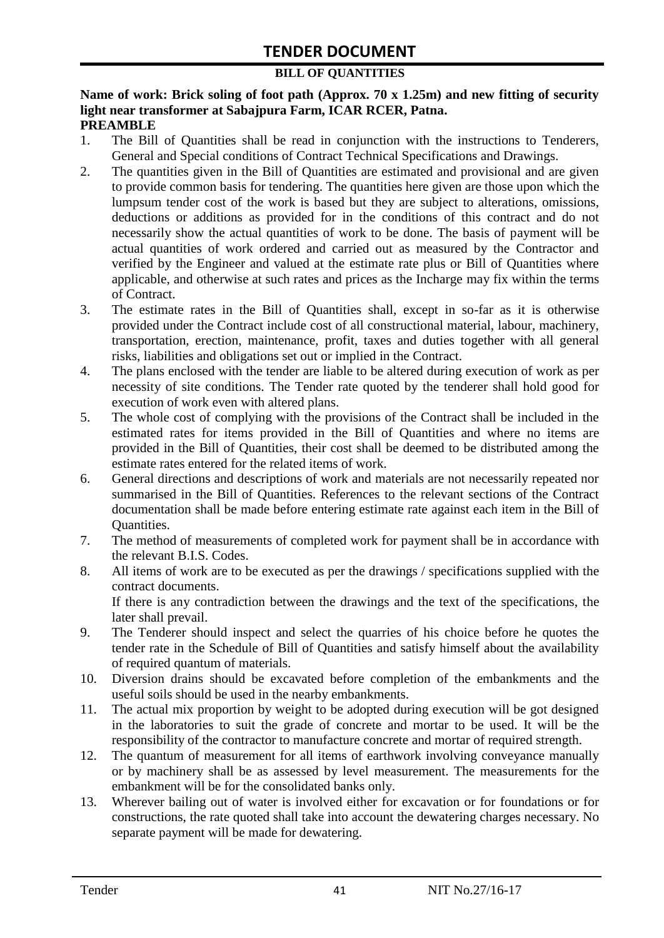#### **BILL OF QUANTITIES**

#### **Name of work: Brick soling of foot path (Approx. 70 x 1.25m) and new fitting of security light near transformer at Sabajpura Farm, ICAR RCER, Patna. PREAMBLE**

- 1. The Bill of Quantities shall be read in conjunction with the instructions to Tenderers, General and Special conditions of Contract Technical Specifications and Drawings.
- 2. The quantities given in the Bill of Quantities are estimated and provisional and are given to provide common basis for tendering. The quantities here given are those upon which the lumpsum tender cost of the work is based but they are subject to alterations, omissions, deductions or additions as provided for in the conditions of this contract and do not necessarily show the actual quantities of work to be done. The basis of payment will be actual quantities of work ordered and carried out as measured by the Contractor and verified by the Engineer and valued at the estimate rate plus or Bill of Quantities where applicable, and otherwise at such rates and prices as the Incharge may fix within the terms of Contract.
- 3. The estimate rates in the Bill of Quantities shall, except in so-far as it is otherwise provided under the Contract include cost of all constructional material, labour, machinery, transportation, erection, maintenance, profit, taxes and duties together with all general risks, liabilities and obligations set out or implied in the Contract.
- 4. The plans enclosed with the tender are liable to be altered during execution of work as per necessity of site conditions. The Tender rate quoted by the tenderer shall hold good for execution of work even with altered plans.
- 5. The whole cost of complying with the provisions of the Contract shall be included in the estimated rates for items provided in the Bill of Quantities and where no items are provided in the Bill of Quantities, their cost shall be deemed to be distributed among the estimate rates entered for the related items of work.
- 6. General directions and descriptions of work and materials are not necessarily repeated nor summarised in the Bill of Quantities. References to the relevant sections of the Contract documentation shall be made before entering estimate rate against each item in the Bill of Quantities.
- 7. The method of measurements of completed work for payment shall be in accordance with the relevant B.I.S. Codes.
- 8. All items of work are to be executed as per the drawings / specifications supplied with the contract documents. If there is any contradiction between the drawings and the text of the specifications, the

later shall prevail.

- 9. The Tenderer should inspect and select the quarries of his choice before he quotes the tender rate in the Schedule of Bill of Quantities and satisfy himself about the availability of required quantum of materials.
- 10. Diversion drains should be excavated before completion of the embankments and the useful soils should be used in the nearby embankments.
- 11. The actual mix proportion by weight to be adopted during execution will be got designed in the laboratories to suit the grade of concrete and mortar to be used. It will be the responsibility of the contractor to manufacture concrete and mortar of required strength.
- 12. The quantum of measurement for all items of earthwork involving conveyance manually or by machinery shall be as assessed by level measurement. The measurements for the embankment will be for the consolidated banks only.
- 13. Wherever bailing out of water is involved either for excavation or for foundations or for constructions, the rate quoted shall take into account the dewatering charges necessary. No separate payment will be made for dewatering.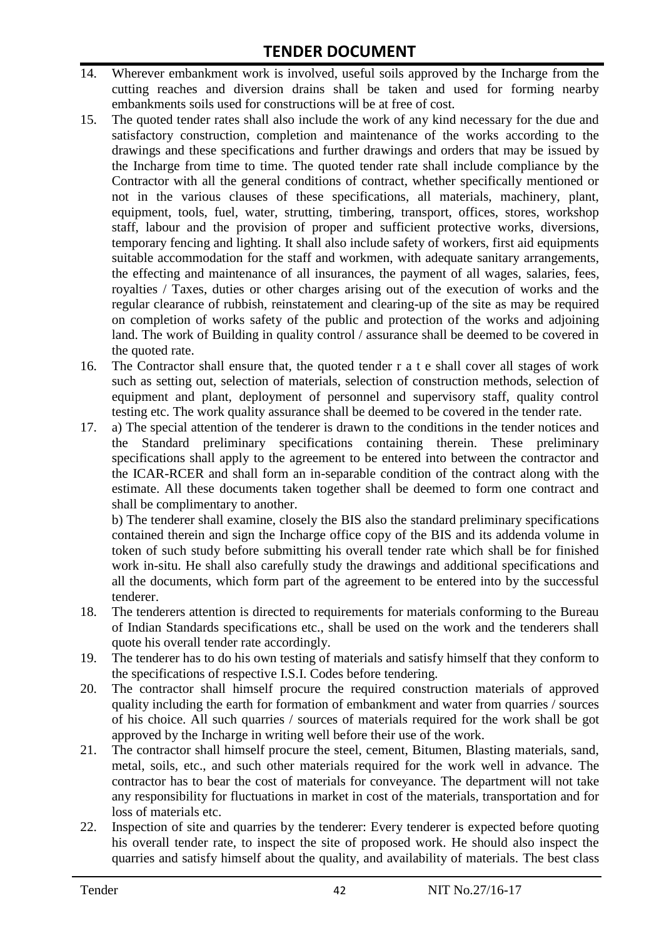- 14. Wherever embankment work is involved, useful soils approved by the Incharge from the cutting reaches and diversion drains shall be taken and used for forming nearby embankments soils used for constructions will be at free of cost.
- 15. The quoted tender rates shall also include the work of any kind necessary for the due and satisfactory construction, completion and maintenance of the works according to the drawings and these specifications and further drawings and orders that may be issued by the Incharge from time to time. The quoted tender rate shall include compliance by the Contractor with all the general conditions of contract, whether specifically mentioned or not in the various clauses of these specifications, all materials, machinery, plant, equipment, tools, fuel, water, strutting, timbering, transport, offices, stores, workshop staff, labour and the provision of proper and sufficient protective works, diversions, temporary fencing and lighting. It shall also include safety of workers, first aid equipments suitable accommodation for the staff and workmen, with adequate sanitary arrangements, the effecting and maintenance of all insurances, the payment of all wages, salaries, fees, royalties / Taxes, duties or other charges arising out of the execution of works and the regular clearance of rubbish, reinstatement and clearing-up of the site as may be required on completion of works safety of the public and protection of the works and adjoining land. The work of Building in quality control / assurance shall be deemed to be covered in the quoted rate.
- 16. The Contractor shall ensure that, the quoted tender r a t e shall cover all stages of work such as setting out, selection of materials, selection of construction methods, selection of equipment and plant, deployment of personnel and supervisory staff, quality control testing etc. The work quality assurance shall be deemed to be covered in the tender rate.
- 17. a) The special attention of the tenderer is drawn to the conditions in the tender notices and the Standard preliminary specifications containing therein. These preliminary specifications shall apply to the agreement to be entered into between the contractor and the ICAR-RCER and shall form an in-separable condition of the contract along with the estimate. All these documents taken together shall be deemed to form one contract and shall be complimentary to another.

b) The tenderer shall examine, closely the BIS also the standard preliminary specifications contained therein and sign the Incharge office copy of the BIS and its addenda volume in token of such study before submitting his overall tender rate which shall be for finished work in-situ. He shall also carefully study the drawings and additional specifications and all the documents, which form part of the agreement to be entered into by the successful tenderer.

- 18. The tenderers attention is directed to requirements for materials conforming to the Bureau of Indian Standards specifications etc., shall be used on the work and the tenderers shall quote his overall tender rate accordingly.
- 19. The tenderer has to do his own testing of materials and satisfy himself that they conform to the specifications of respective I.S.I. Codes before tendering.
- 20. The contractor shall himself procure the required construction materials of approved quality including the earth for formation of embankment and water from quarries / sources of his choice. All such quarries / sources of materials required for the work shall be got approved by the Incharge in writing well before their use of the work.
- 21. The contractor shall himself procure the steel, cement, Bitumen, Blasting materials, sand, metal, soils, etc., and such other materials required for the work well in advance. The contractor has to bear the cost of materials for conveyance. The department will not take any responsibility for fluctuations in market in cost of the materials, transportation and for loss of materials etc.
- 22. Inspection of site and quarries by the tenderer: Every tenderer is expected before quoting his overall tender rate, to inspect the site of proposed work. He should also inspect the quarries and satisfy himself about the quality, and availability of materials. The best class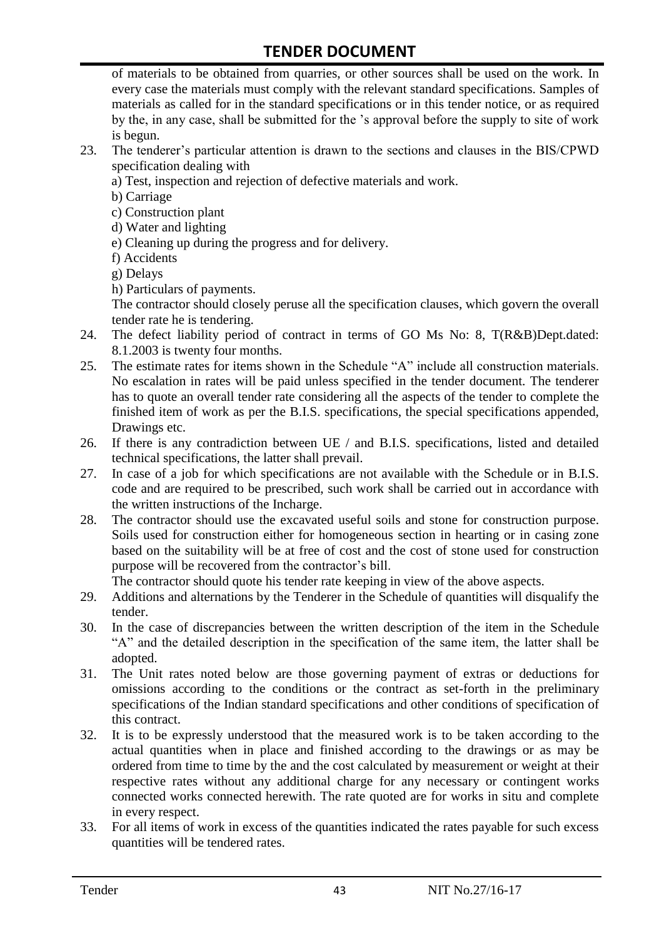of materials to be obtained from quarries, or other sources shall be used on the work. In every case the materials must comply with the relevant standard specifications. Samples of materials as called for in the standard specifications or in this tender notice, or as required by the, in any case, shall be submitted for the "s approval before the supply to site of work is begun.

- 23. The tenderer"s particular attention is drawn to the sections and clauses in the BIS/CPWD specification dealing with
	- a) Test, inspection and rejection of defective materials and work.
	- b) Carriage
	- c) Construction plant
	- d) Water and lighting
	- e) Cleaning up during the progress and for delivery.
	- f) Accidents
	- g) Delays
	- h) Particulars of payments.

The contractor should closely peruse all the specification clauses, which govern the overall tender rate he is tendering.

- 24. The defect liability period of contract in terms of GO Ms No: 8, T(R&B)Dept.dated: 8.1.2003 is twenty four months.
- 25. The estimate rates for items shown in the Schedule "A" include all construction materials. No escalation in rates will be paid unless specified in the tender document. The tenderer has to quote an overall tender rate considering all the aspects of the tender to complete the finished item of work as per the B.I.S. specifications, the special specifications appended, Drawings etc.
- 26. If there is any contradiction between UE / and B.I.S. specifications, listed and detailed technical specifications, the latter shall prevail.
- 27. In case of a job for which specifications are not available with the Schedule or in B.I.S. code and are required to be prescribed, such work shall be carried out in accordance with the written instructions of the Incharge.
- 28. The contractor should use the excavated useful soils and stone for construction purpose. Soils used for construction either for homogeneous section in hearting or in casing zone based on the suitability will be at free of cost and the cost of stone used for construction purpose will be recovered from the contractor's bill.

The contractor should quote his tender rate keeping in view of the above aspects.

- 29. Additions and alternations by the Tenderer in the Schedule of quantities will disqualify the tender.
- 30. In the case of discrepancies between the written description of the item in the Schedule "A" and the detailed description in the specification of the same item, the latter shall be adopted.
- 31. The Unit rates noted below are those governing payment of extras or deductions for omissions according to the conditions or the contract as set-forth in the preliminary specifications of the Indian standard specifications and other conditions of specification of this contract.
- 32. It is to be expressly understood that the measured work is to be taken according to the actual quantities when in place and finished according to the drawings or as may be ordered from time to time by the and the cost calculated by measurement or weight at their respective rates without any additional charge for any necessary or contingent works connected works connected herewith. The rate quoted are for works in situ and complete in every respect.
- 33. For all items of work in excess of the quantities indicated the rates payable for such excess quantities will be tendered rates.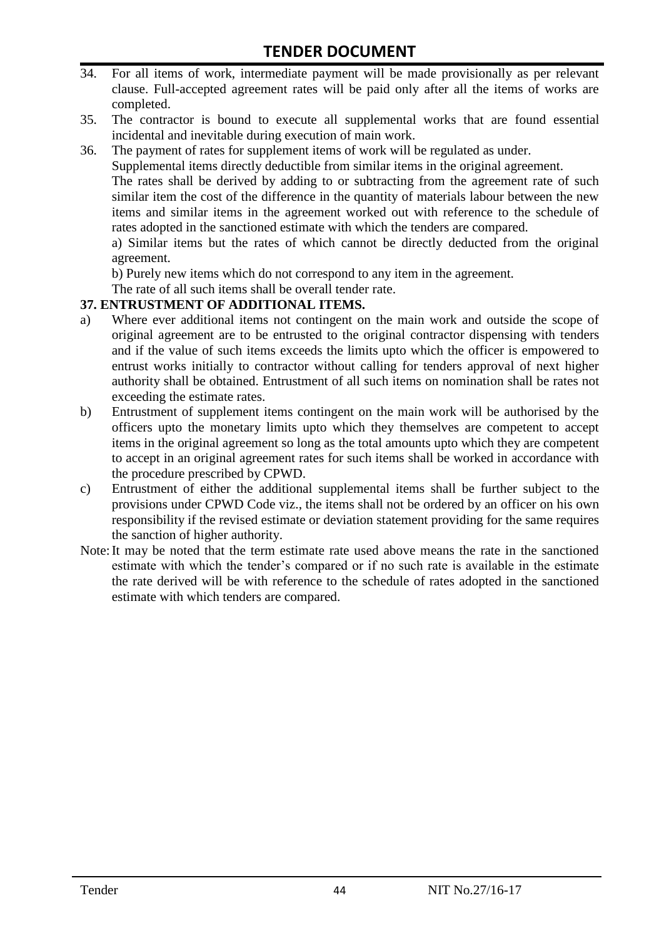- 34. For all items of work, intermediate payment will be made provisionally as per relevant clause. Full-accepted agreement rates will be paid only after all the items of works are completed.
- 35. The contractor is bound to execute all supplemental works that are found essential incidental and inevitable during execution of main work.
- 36. The payment of rates for supplement items of work will be regulated as under.

Supplemental items directly deductible from similar items in the original agreement.

The rates shall be derived by adding to or subtracting from the agreement rate of such similar item the cost of the difference in the quantity of materials labour between the new items and similar items in the agreement worked out with reference to the schedule of rates adopted in the sanctioned estimate with which the tenders are compared.

a) Similar items but the rates of which cannot be directly deducted from the original agreement.

b) Purely new items which do not correspond to any item in the agreement.

The rate of all such items shall be overall tender rate.

#### **37. ENTRUSTMENT OF ADDITIONAL ITEMS.**

- a) Where ever additional items not contingent on the main work and outside the scope of original agreement are to be entrusted to the original contractor dispensing with tenders and if the value of such items exceeds the limits upto which the officer is empowered to entrust works initially to contractor without calling for tenders approval of next higher authority shall be obtained. Entrustment of all such items on nomination shall be rates not exceeding the estimate rates.
- b) Entrustment of supplement items contingent on the main work will be authorised by the officers upto the monetary limits upto which they themselves are competent to accept items in the original agreement so long as the total amounts upto which they are competent to accept in an original agreement rates for such items shall be worked in accordance with the procedure prescribed by CPWD.
- c) Entrustment of either the additional supplemental items shall be further subject to the provisions under CPWD Code viz., the items shall not be ordered by an officer on his own responsibility if the revised estimate or deviation statement providing for the same requires the sanction of higher authority.
- Note:It may be noted that the term estimate rate used above means the rate in the sanctioned estimate with which the tender"s compared or if no such rate is available in the estimate the rate derived will be with reference to the schedule of rates adopted in the sanctioned estimate with which tenders are compared.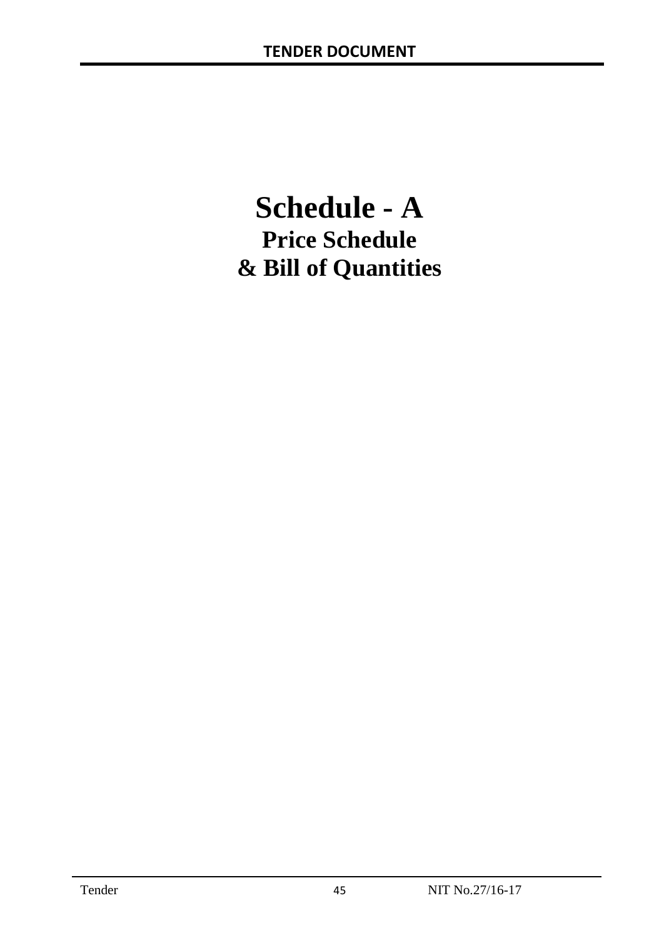# **Schedule - A Price Schedule & Bill of Quantities**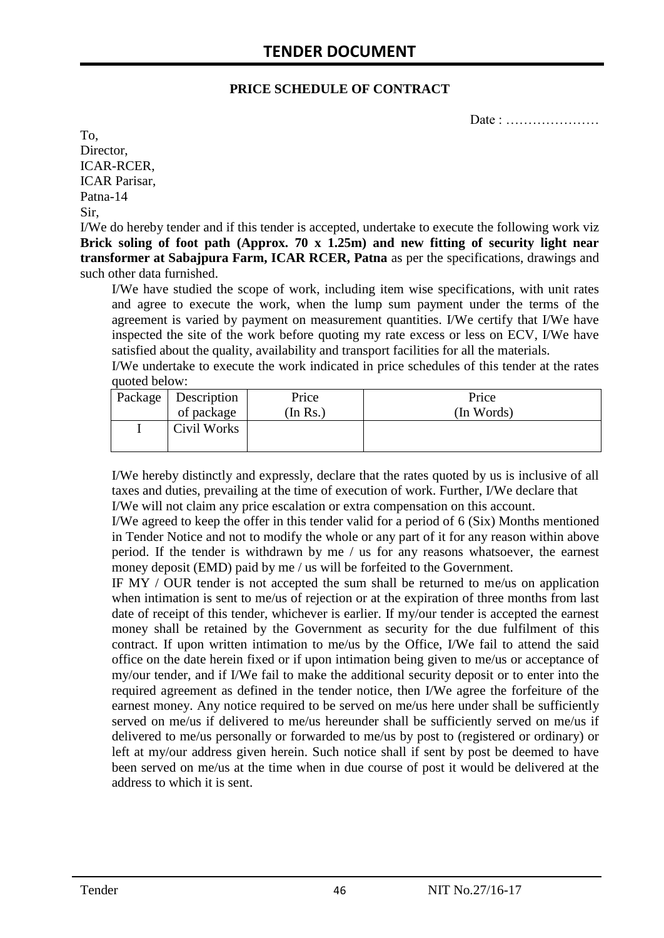#### **PRICE SCHEDULE OF CONTRACT**

Date : …………………

To, Director, ICAR-RCER, ICAR Parisar, Patna-14 Sir,

I/We do hereby tender and if this tender is accepted, undertake to execute the following work viz **Brick soling of foot path (Approx. 70 x 1.25m) and new fitting of security light near transformer at Sabajpura Farm, ICAR RCER, Patna** as per the specifications, drawings and such other data furnished.

I/We have studied the scope of work, including item wise specifications, with unit rates and agree to execute the work, when the lump sum payment under the terms of the agreement is varied by payment on measurement quantities. I/We certify that I/We have inspected the site of the work before quoting my rate excess or less on ECV, I/We have satisfied about the quality, availability and transport facilities for all the materials.

I/We undertake to execute the work indicated in price schedules of this tender at the rates quoted below:

| Package   Description | Price   | Price      |
|-----------------------|---------|------------|
| of package            | In Rs.) | (In Words) |
| Civil Works           |         |            |

I/We hereby distinctly and expressly, declare that the rates quoted by us is inclusive of all taxes and duties, prevailing at the time of execution of work. Further, I/We declare that I/We will not claim any price escalation or extra compensation on this account.

I/We agreed to keep the offer in this tender valid for a period of 6 (Six) Months mentioned in Tender Notice and not to modify the whole or any part of it for any reason within above period. If the tender is withdrawn by me / us for any reasons whatsoever, the earnest money deposit (EMD) paid by me / us will be forfeited to the Government.

IF MY / OUR tender is not accepted the sum shall be returned to me/us on application when intimation is sent to me/us of rejection or at the expiration of three months from last date of receipt of this tender, whichever is earlier. If my/our tender is accepted the earnest money shall be retained by the Government as security for the due fulfilment of this contract. If upon written intimation to me/us by the Office, I/We fail to attend the said office on the date herein fixed or if upon intimation being given to me/us or acceptance of my/our tender, and if I/We fail to make the additional security deposit or to enter into the required agreement as defined in the tender notice, then I/We agree the forfeiture of the earnest money. Any notice required to be served on me/us here under shall be sufficiently served on me/us if delivered to me/us hereunder shall be sufficiently served on me/us if delivered to me/us personally or forwarded to me/us by post to (registered or ordinary) or left at my/our address given herein. Such notice shall if sent by post be deemed to have been served on me/us at the time when in due course of post it would be delivered at the address to which it is sent.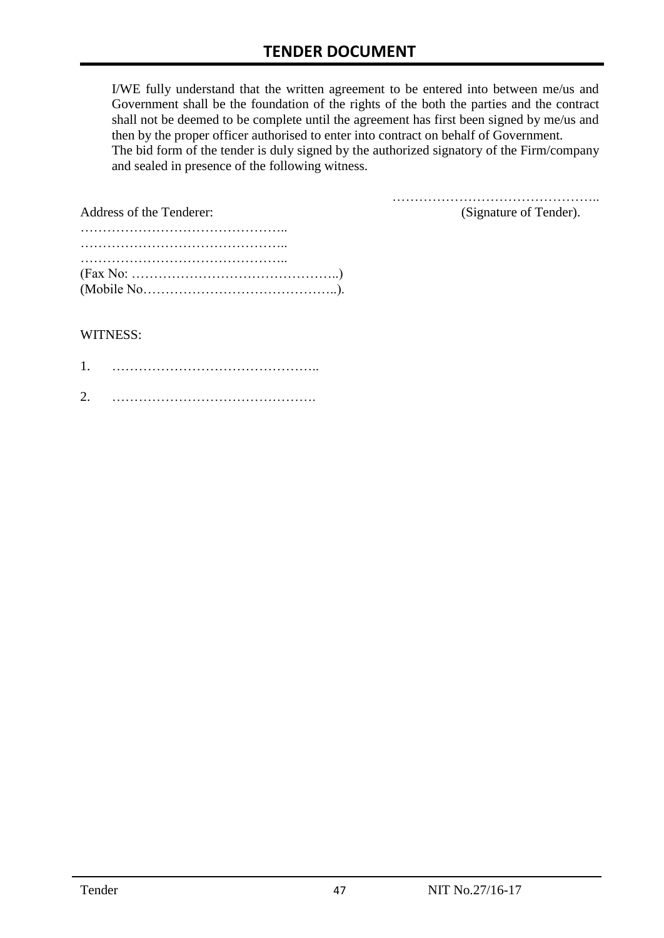I/WE fully understand that the written agreement to be entered into between me/us and Government shall be the foundation of the rights of the both the parties and the contract shall not be deemed to be complete until the agreement has first been signed by me/us and then by the proper officer authorised to enter into contract on behalf of Government. The bid form of the tender is duly signed by the authorized signatory of the Firm/company and sealed in presence of the following witness.

| Address of the Tenderer:                                                                  | (Signature of Tender). |
|-------------------------------------------------------------------------------------------|------------------------|
|                                                                                           |                        |
|                                                                                           |                        |
|                                                                                           |                        |
| $(Fax No: \dots \dots \dots \dots \dots \dots \dots \dots \dots \dots \dots \dots \dots)$ |                        |
|                                                                                           |                        |

#### WITNESS:

| 1 |  |
|---|--|
| ⌒ |  |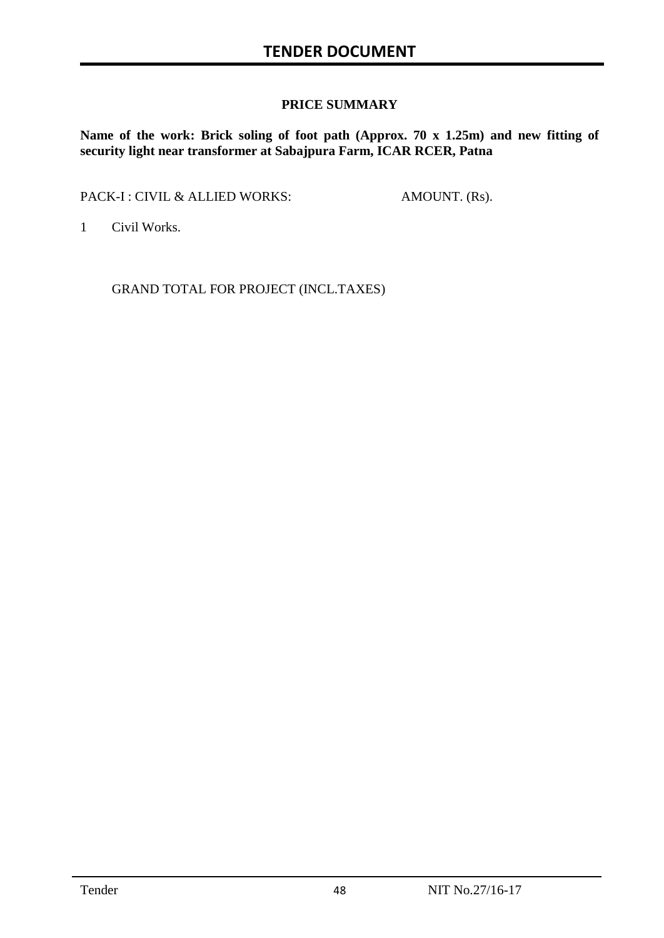#### **PRICE SUMMARY**

**Name of the work: Brick soling of foot path (Approx. 70 x 1.25m) and new fitting of security light near transformer at Sabajpura Farm, ICAR RCER, Patna**

PACK-I : CIVIL & ALLIED WORKS: AMOUNT. (Rs).

1 Civil Works.

GRAND TOTAL FOR PROJECT (INCL.TAXES)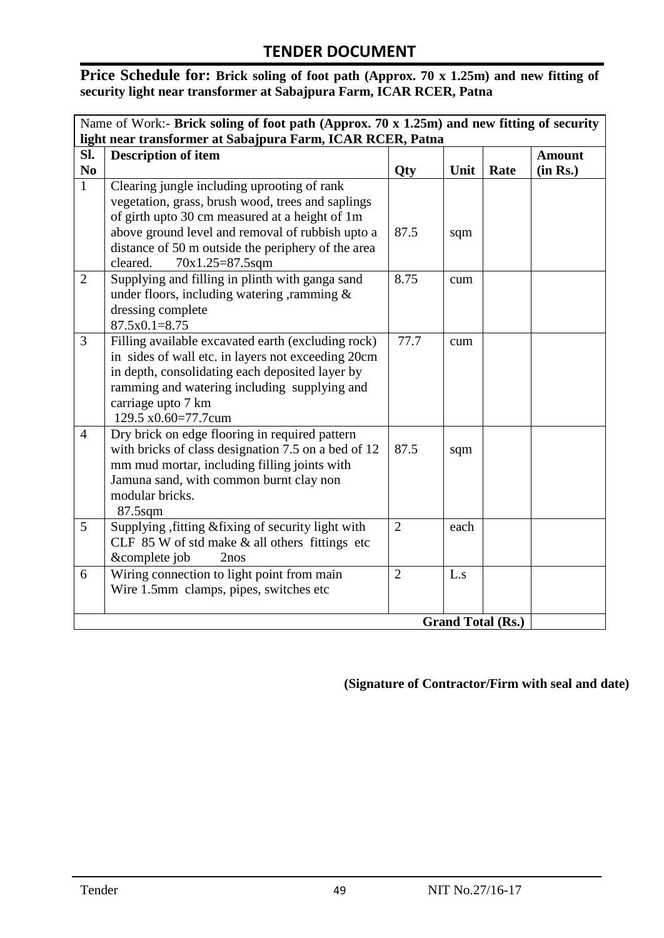#### Price Schedule for: Brick soling of foot path (Approx. 70 x 1.25m) and new fitting of **security light near transformer at Sabajpura Farm, ICAR RCER, Patna**

| Name of Work:- Brick soling of foot path (Approx. 70 x 1.25m) and new fitting of security<br>light near transformer at Sabajpura Farm, ICAR RCER, Patna |                                                                                                                                                                                                                                                                                               |                |      |      |                           |
|---------------------------------------------------------------------------------------------------------------------------------------------------------|-----------------------------------------------------------------------------------------------------------------------------------------------------------------------------------------------------------------------------------------------------------------------------------------------|----------------|------|------|---------------------------|
| SI.<br>N <sub>0</sub>                                                                                                                                   | <b>Description of item</b>                                                                                                                                                                                                                                                                    | Qty            | Unit | Rate | <b>Amount</b><br>(in Rs.) |
| $\mathbf{1}$                                                                                                                                            | Clearing jungle including uprooting of rank<br>vegetation, grass, brush wood, trees and saplings<br>of girth upto 30 cm measured at a height of 1m<br>above ground level and removal of rubbish upto a<br>distance of 50 m outside the periphery of the area<br>$70x1.25=87.5sqm$<br>cleared. | 87.5           | sqm  |      |                           |
| $\overline{2}$                                                                                                                                          | Supplying and filling in plinth with ganga sand<br>under floors, including watering, ramming $\&$<br>dressing complete<br>$87.5x0.1=8.75$                                                                                                                                                     | 8.75           | cum  |      |                           |
| $\overline{3}$                                                                                                                                          | Filling available excavated earth (excluding rock)<br>in sides of wall etc. in layers not exceeding 20cm<br>in depth, consolidating each deposited layer by<br>ramming and watering including supplying and<br>carriage upto 7 km<br>129.5 x0.60=77.7cum                                      | 77.7           | cum  |      |                           |
| $\overline{4}$                                                                                                                                          | Dry brick on edge flooring in required pattern<br>with bricks of class designation 7.5 on a bed of 12<br>mm mud mortar, including filling joints with<br>Jamuna sand, with common burnt clay non<br>modular bricks.<br>$87.5$ sqm                                                             | 87.5           | sqm  |      |                           |
| 5                                                                                                                                                       | Supplying, fitting & fixing of security light with<br>CLF 85 W of std make & all others fittings etc<br>&complete job<br>2nos                                                                                                                                                                 | $\overline{2}$ | each |      |                           |
| 6                                                                                                                                                       | Wiring connection to light point from main<br>Wire 1.5mm clamps, pipes, switches etc                                                                                                                                                                                                          | $\overline{2}$ | L.s  |      |                           |
|                                                                                                                                                         | <b>Grand Total (Rs.)</b>                                                                                                                                                                                                                                                                      |                |      |      |                           |

#### **(Signature of Contractor/Firm with seal and date)**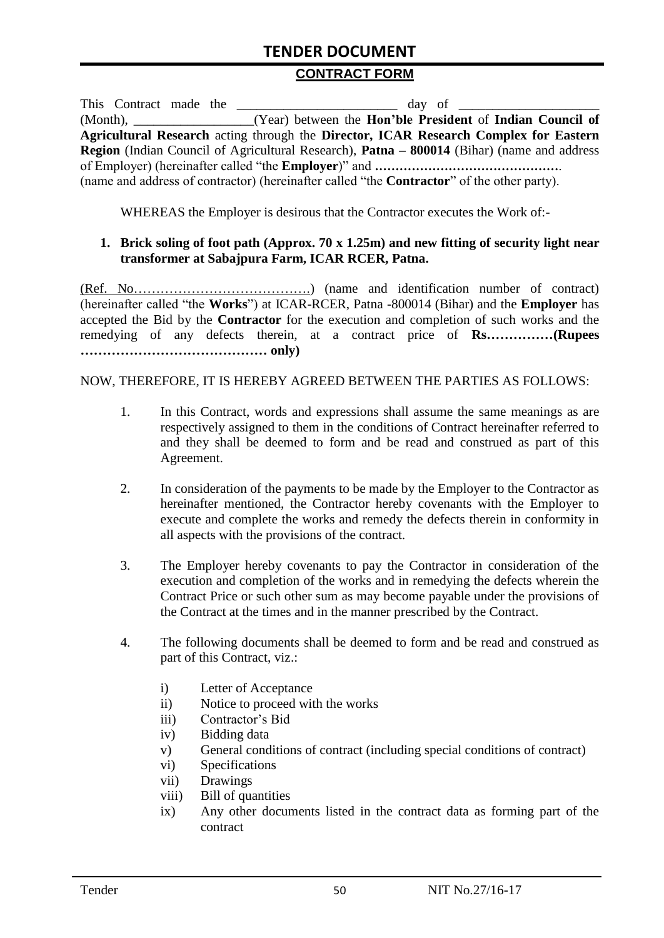#### **CONTRACT FORM**

| This Contract made the |                                                                                                          |
|------------------------|----------------------------------------------------------------------------------------------------------|
|                        | (Month), ____________________(Year) between the <b>Hon'ble President</b> of <b>Indian Council of</b>     |
|                        | Agricultural Research acting through the Director, ICAR Research Complex for Eastern                     |
|                        | <b>Region</b> (Indian Council of Agricultural Research), <b>Patna – 800014</b> (Bihar) (name and address |
|                        |                                                                                                          |
|                        | (name and address of contractor) (hereinafter called "the <b>Contractor</b> " of the other party).       |

WHEREAS the Employer is desirous that the Contractor executes the Work of:-

#### **1. Brick soling of foot path (Approx. 70 x 1.25m) and new fitting of security light near transformer at Sabajpura Farm, ICAR RCER, Patna.**

(Ref. No………………………………….) (name and identification number of contract) (hereinafter called "the **Works**") at ICAR-RCER, Patna -800014 (Bihar) and the **Employer** has accepted the Bid by the **Contractor** for the execution and completion of such works and the remedying of any defects therein, at a contract price of **Rs……………(Rupees …………………………………… only)**

NOW, THEREFORE, IT IS HEREBY AGREED BETWEEN THE PARTIES AS FOLLOWS:

- 1. In this Contract, words and expressions shall assume the same meanings as are respectively assigned to them in the conditions of Contract hereinafter referred to and they shall be deemed to form and be read and construed as part of this Agreement.
- 2. In consideration of the payments to be made by the Employer to the Contractor as hereinafter mentioned, the Contractor hereby covenants with the Employer to execute and complete the works and remedy the defects therein in conformity in all aspects with the provisions of the contract.
- 3. The Employer hereby covenants to pay the Contractor in consideration of the execution and completion of the works and in remedying the defects wherein the Contract Price or such other sum as may become payable under the provisions of the Contract at the times and in the manner prescribed by the Contract.
- 4. The following documents shall be deemed to form and be read and construed as part of this Contract, viz.:
	- i) Letter of Acceptance
	- ii) Notice to proceed with the works
	- iii) Contractor's Bid
	- iv) Bidding data
	- v) General conditions of contract (including special conditions of contract)
	- vi) Specifications
	- vii) Drawings
	- viii) Bill of quantities
	- ix) Any other documents listed in the contract data as forming part of the contract